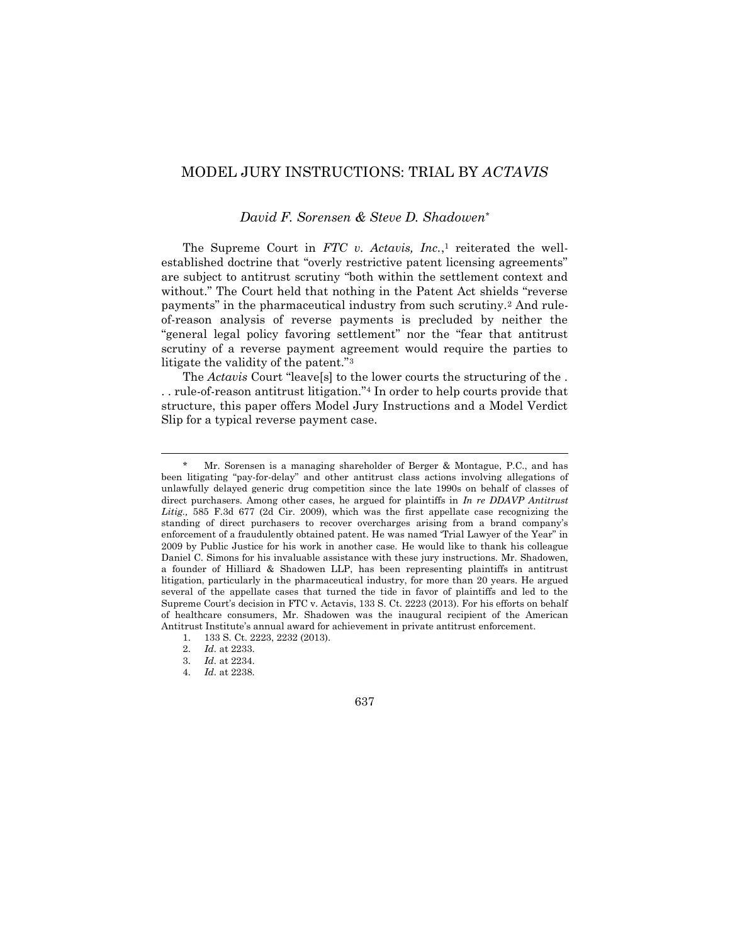# MODEL JURY INSTRUCTIONS: TRIAL BY *ACTAVIS*

# *David F. Sorensen & Steve D. Shadowen\**

The Supreme Court in *FTC v. Actavis, Inc.*,<sup>1</sup> reiterated the wellestablished doctrine that "overly restrictive patent licensing agreements" are subject to antitrust scrutiny "both within the settlement context and without." The Court held that nothing in the Patent Act shields "reverse payments" in the pharmaceutical industry from such scrutiny.<sup>2</sup> And ruleof-reason analysis of reverse payments is precluded by neither the "general legal policy favoring settlement" nor the "fear that antitrust scrutiny of a reverse payment agreement would require the parties to litigate the validity of the patent."<sup>3</sup>

The *Actavis* Court "leave[s] to the lower courts the structuring of the . . . rule-of-reason antitrust litigation."<sup>4</sup> In order to help courts provide that structure, this paper offers Model Jury Instructions and a Model Verdict Slip for a typical reverse payment case.

Mr. Sorensen is a managing shareholder of Berger & Montague, P.C., and has been litigating "pay-for-delay" and other antitrust class actions involving allegations of unlawfully delayed generic drug competition since the late 1990s on behalf of classes of direct purchasers. Among other cases, he argued for plaintiffs in *In re DDAVP Antitrust Litig.,* 585 F.3d 677 (2d Cir. 2009), which was the first appellate case recognizing the standing of direct purchasers to recover overcharges arising from a brand company's enforcement of a fraudulently obtained patent. He was named 'Trial Lawyer of the Year" in 2009 by Public Justice for his work in another case. He would like to thank his colleague Daniel C. Simons for his invaluable assistance with these jury instructions. Mr. Shadowen, a founder of Hilliard & Shadowen LLP, has been representing plaintiffs in antitrust litigation, particularly in the pharmaceutical industry, for more than 20 years. He argued several of the appellate cases that turned the tide in favor of plaintiffs and led to the Supreme Court's decision in FTC v. Actavis, 133 S. Ct. 2223 (2013). For his efforts on behalf of healthcare consumers, Mr. Shadowen was the inaugural recipient of the American Antitrust Institute's annual award for achievement in private antitrust enforcement.

<sup>1.</sup> 133 S. Ct. 2223, 2232 (2013).

<sup>2.</sup> *Id.* at 2233.

<sup>3.</sup> *Id.* at 2234.

<sup>4.</sup> *Id.* at 2238.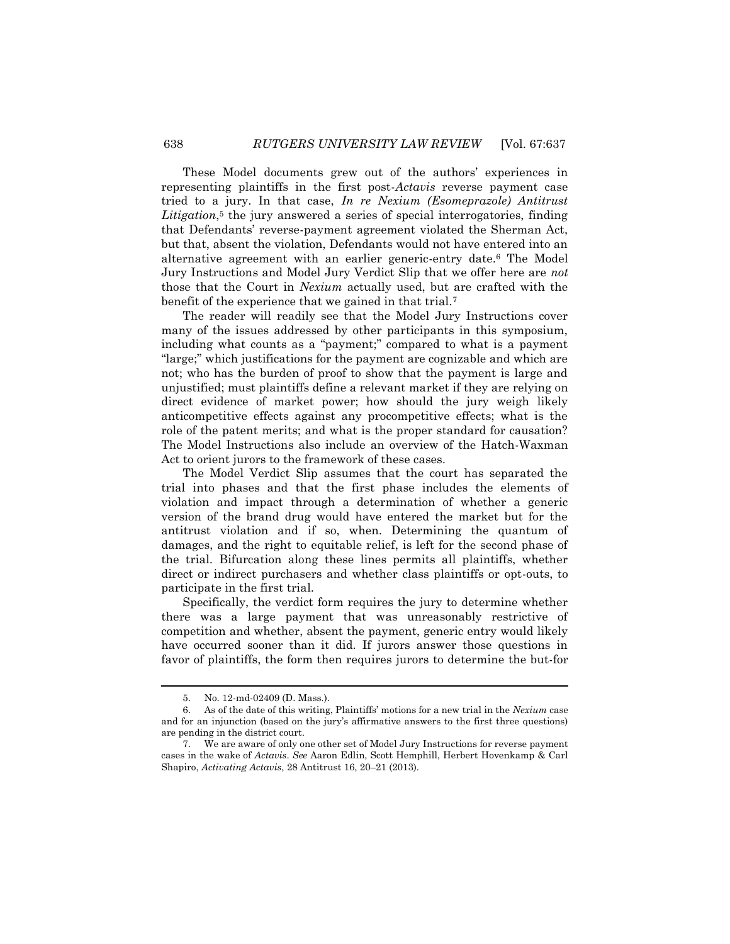These Model documents grew out of the authors' experiences in representing plaintiffs in the first post-*Actavis* reverse payment case tried to a jury. In that case, *In re Nexium (Esomeprazole) Antitrust*  Litigation,<sup>5</sup> the jury answered a series of special interrogatories, finding that Defendants' reverse-payment agreement violated the Sherman Act, but that, absent the violation, Defendants would not have entered into an alternative agreement with an earlier generic-entry date.<sup>6</sup> The Model Jury Instructions and Model Jury Verdict Slip that we offer here are *not* those that the Court in *Nexium* actually used, but are crafted with the benefit of the experience that we gained in that trial.<sup>7</sup>

The reader will readily see that the Model Jury Instructions cover many of the issues addressed by other participants in this symposium, including what counts as a "payment;" compared to what is a payment "large;" which justifications for the payment are cognizable and which are not; who has the burden of proof to show that the payment is large and unjustified; must plaintiffs define a relevant market if they are relying on direct evidence of market power; how should the jury weigh likely anticompetitive effects against any procompetitive effects; what is the role of the patent merits; and what is the proper standard for causation? The Model Instructions also include an overview of the Hatch-Waxman Act to orient jurors to the framework of these cases.

The Model Verdict Slip assumes that the court has separated the trial into phases and that the first phase includes the elements of violation and impact through a determination of whether a generic version of the brand drug would have entered the market but for the antitrust violation and if so, when. Determining the quantum of damages, and the right to equitable relief, is left for the second phase of the trial. Bifurcation along these lines permits all plaintiffs, whether direct or indirect purchasers and whether class plaintiffs or opt-outs, to participate in the first trial.

Specifically, the verdict form requires the jury to determine whether there was a large payment that was unreasonably restrictive of competition and whether, absent the payment, generic entry would likely have occurred sooner than it did. If jurors answer those questions in favor of plaintiffs, the form then requires jurors to determine the but-for

<sup>5.</sup> No. 12-md-02409 (D. Mass.).

<sup>6.</sup> As of the date of this writing, Plaintiffs' motions for a new trial in the *Nexium* case and for an injunction (based on the jury's affirmative answers to the first three questions) are pending in the district court.

<sup>7.</sup> We are aware of only one other set of Model Jury Instructions for reverse payment cases in the wake of *Actavis*. *See* Aaron Edlin, Scott Hemphill, Herbert Hovenkamp & Carl Shapiro, *Activating Actavis*, 28 Antitrust 16, 20–21 (2013).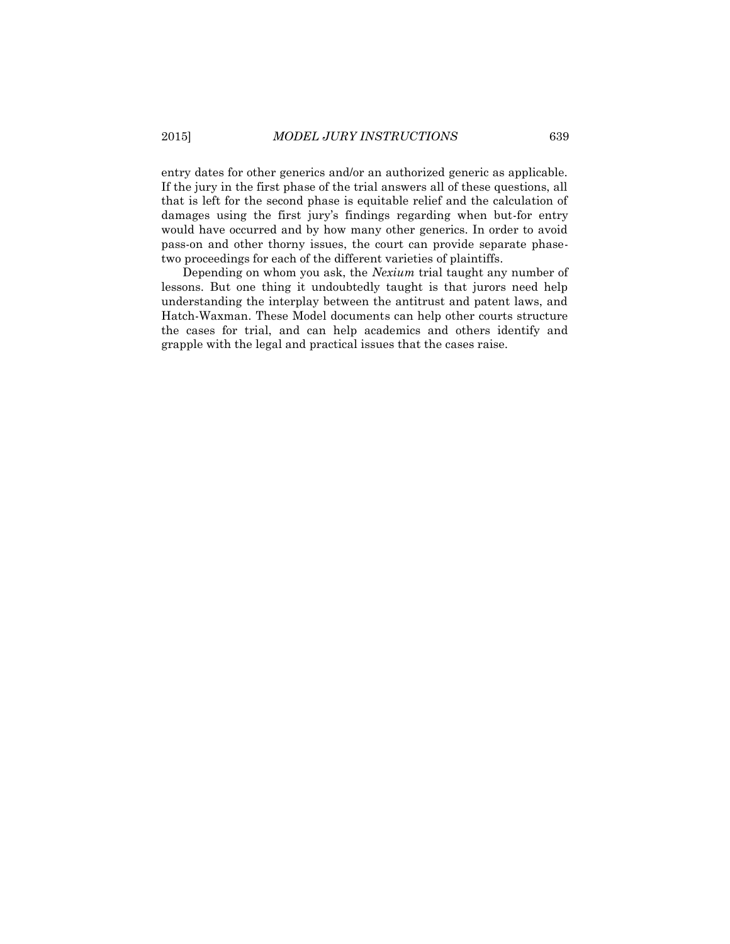entry dates for other generics and/or an authorized generic as applicable. If the jury in the first phase of the trial answers all of these questions, all that is left for the second phase is equitable relief and the calculation of damages using the first jury's findings regarding when but-for entry would have occurred and by how many other generics. In order to avoid pass-on and other thorny issues, the court can provide separate phasetwo proceedings for each of the different varieties of plaintiffs.

Depending on whom you ask, the *Nexium* trial taught any number of lessons. But one thing it undoubtedly taught is that jurors need help understanding the interplay between the antitrust and patent laws, and Hatch-Waxman. These Model documents can help other courts structure the cases for trial, and can help academics and others identify and grapple with the legal and practical issues that the cases raise.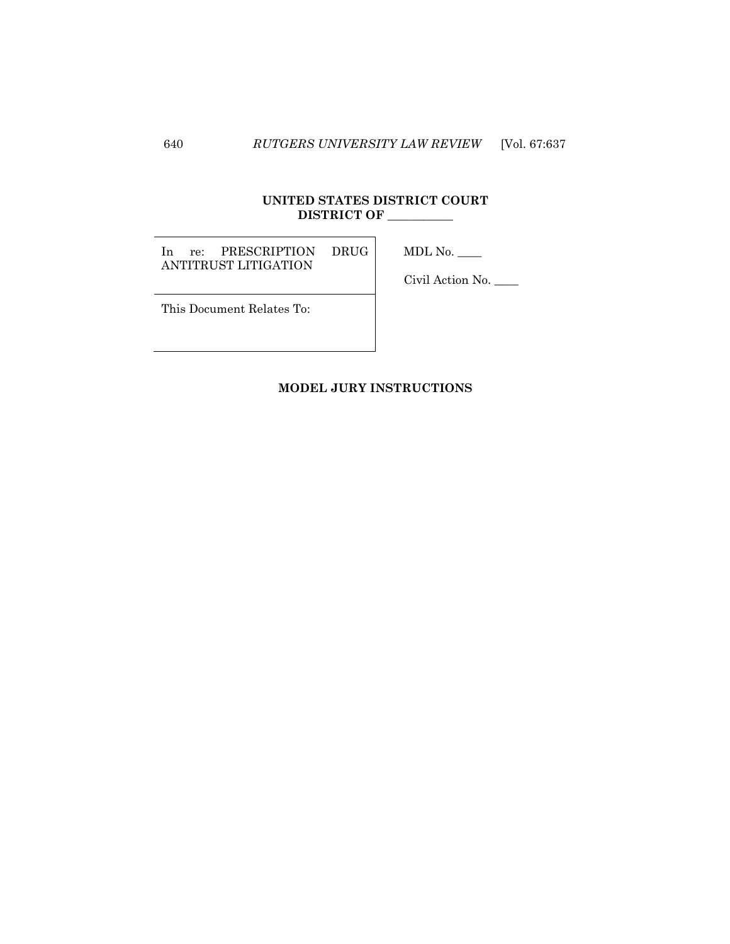# **UNITED STATES DISTRICT COURT DISTRICT OF \_\_\_\_\_\_\_\_\_\_\_**

In re: PRESCRIPTION DRUG ANTITRUST LITIGATION

 $MDL$  No.  $\_\_$ 

Civil Action No. \_\_\_\_

This Document Relates To:

# **MODEL JURY INSTRUCTIONS**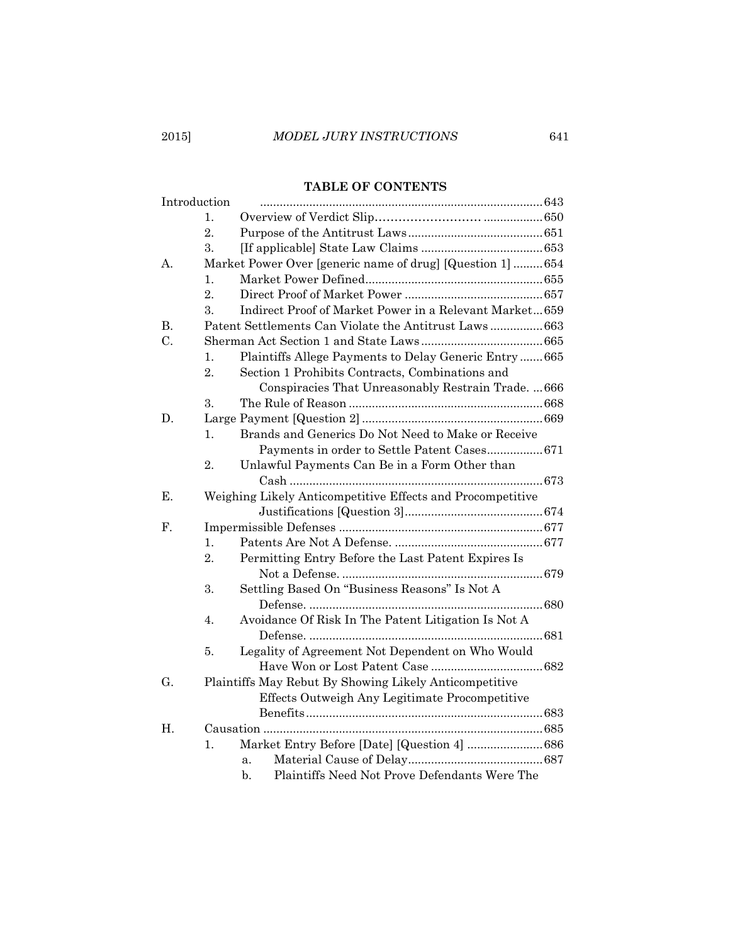# **TABLE OF CONTENTS**

| Introduction |                                                      |                                                            |  |  |
|--------------|------------------------------------------------------|------------------------------------------------------------|--|--|
|              | 1.                                                   |                                                            |  |  |
|              | $\overline{2}$ .                                     |                                                            |  |  |
|              | 3.                                                   |                                                            |  |  |
| Α.           |                                                      | Market Power Over [generic name of drug] [Question 1]  654 |  |  |
|              | $\mathbf{1}$ .                                       |                                                            |  |  |
|              | 2.                                                   |                                                            |  |  |
|              | 3.                                                   | Indirect Proof of Market Power in a Relevant Market659     |  |  |
| В.           | Patent Settlements Can Violate the Antitrust Laws663 |                                                            |  |  |
| C.           |                                                      |                                                            |  |  |
|              | 1.                                                   | Plaintiffs Allege Payments to Delay Generic Entry 665      |  |  |
|              | 2.                                                   | Section 1 Prohibits Contracts, Combinations and            |  |  |
|              |                                                      | Conspiracies That Unreasonably Restrain Trade666           |  |  |
|              | 3.                                                   |                                                            |  |  |
| D.           |                                                      |                                                            |  |  |
|              | 1.                                                   | Brands and Generics Do Not Need to Make or Receive         |  |  |
|              |                                                      |                                                            |  |  |
|              | 2.                                                   | Unlawful Payments Can Be in a Form Other than              |  |  |
|              |                                                      |                                                            |  |  |
| Е.           |                                                      | Weighing Likely Anticompetitive Effects and Procompetitive |  |  |
|              |                                                      |                                                            |  |  |
| F.           |                                                      |                                                            |  |  |
|              | 1.                                                   |                                                            |  |  |
|              | 2.                                                   | Permitting Entry Before the Last Patent Expires Is         |  |  |
|              |                                                      |                                                            |  |  |
|              | 3.                                                   | Settling Based On "Business Reasons" Is Not A              |  |  |
|              |                                                      |                                                            |  |  |
|              | $\overline{4}$ .                                     | Avoidance Of Risk In The Patent Litigation Is Not A        |  |  |
|              |                                                      |                                                            |  |  |
|              | 5.                                                   | Legality of Agreement Not Dependent on Who Would           |  |  |
|              |                                                      |                                                            |  |  |
| G.           |                                                      | Plaintiffs May Rebut By Showing Likely Anticompetitive     |  |  |
|              |                                                      | Effects Outweigh Any Legitimate Procompetitive             |  |  |
|              |                                                      |                                                            |  |  |
| H.           |                                                      |                                                            |  |  |
|              | 1.                                                   | Market Entry Before [Date] [Question 4]  686               |  |  |
|              |                                                      | a.                                                         |  |  |
|              |                                                      | Plaintiffs Need Not Prove Defendants Were The<br>b.        |  |  |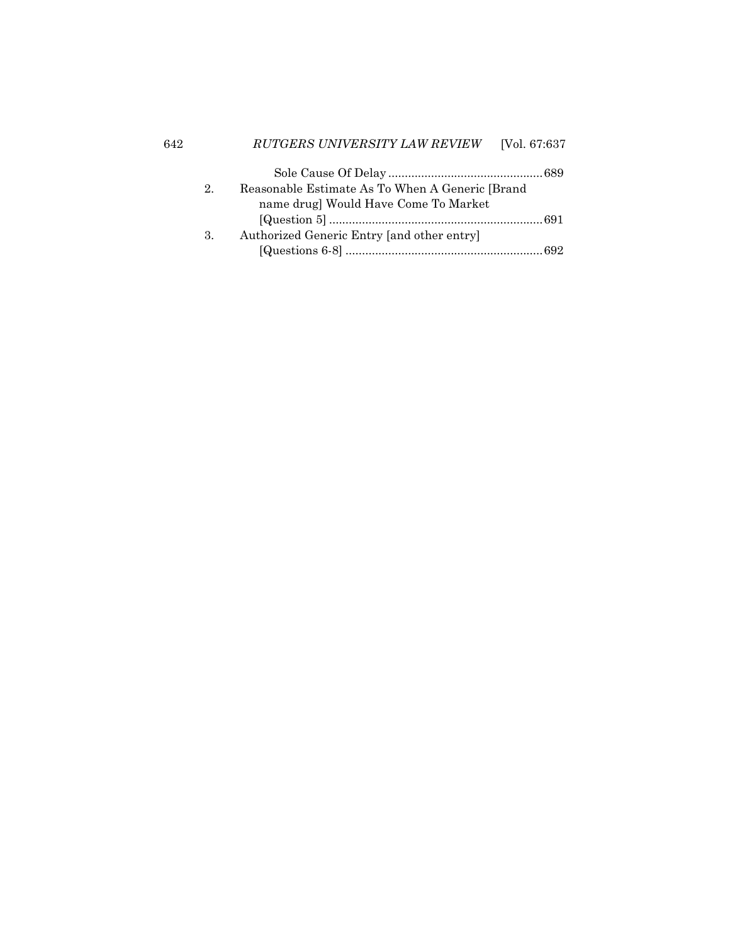# 642 *RUTGERS UNIVERSITY LAW REVIEW* [Vol. 67:637

| 2.            | Reasonable Estimate As To When A Generic [Brand] |  |
|---------------|--------------------------------------------------|--|
|               | name drug] Would Have Come To Market             |  |
|               |                                                  |  |
| $\mathcal{R}$ | Authorized Generic Entry [and other entry]       |  |
|               |                                                  |  |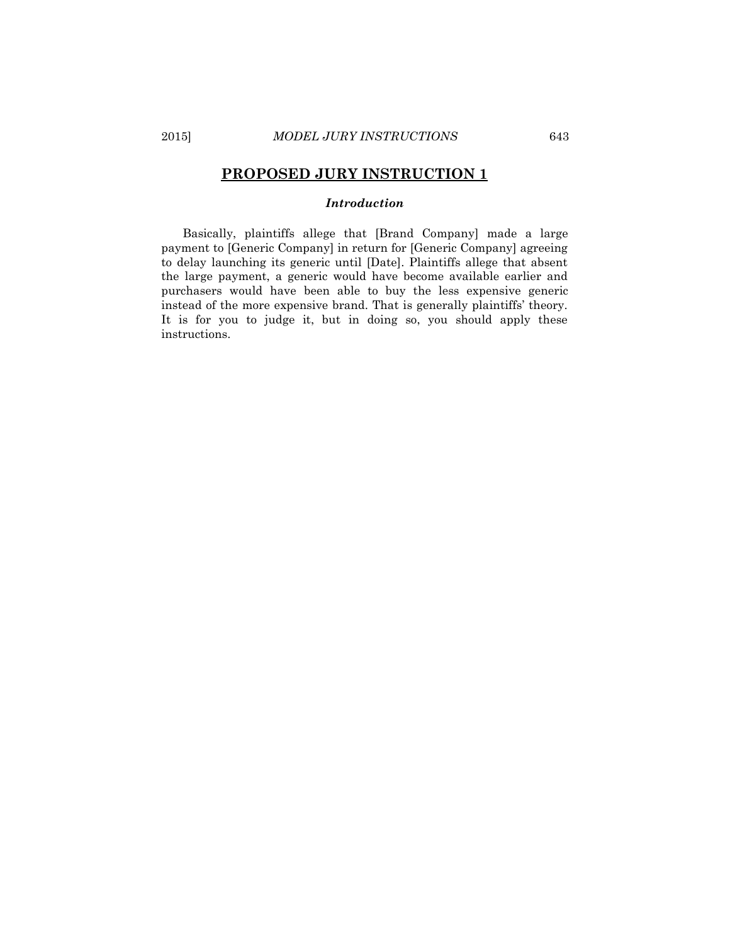# *Introduction*

<span id="page-6-0"></span>Basically, plaintiffs allege that [Brand Company] made a large payment to [Generic Company] in return for [Generic Company] agreeing to delay launching its generic until [Date]. Plaintiffs allege that absent the large payment, a generic would have become available earlier and purchasers would have been able to buy the less expensive generic instead of the more expensive brand. That is generally plaintiffs' theory. It is for you to judge it, but in doing so, you should apply these instructions.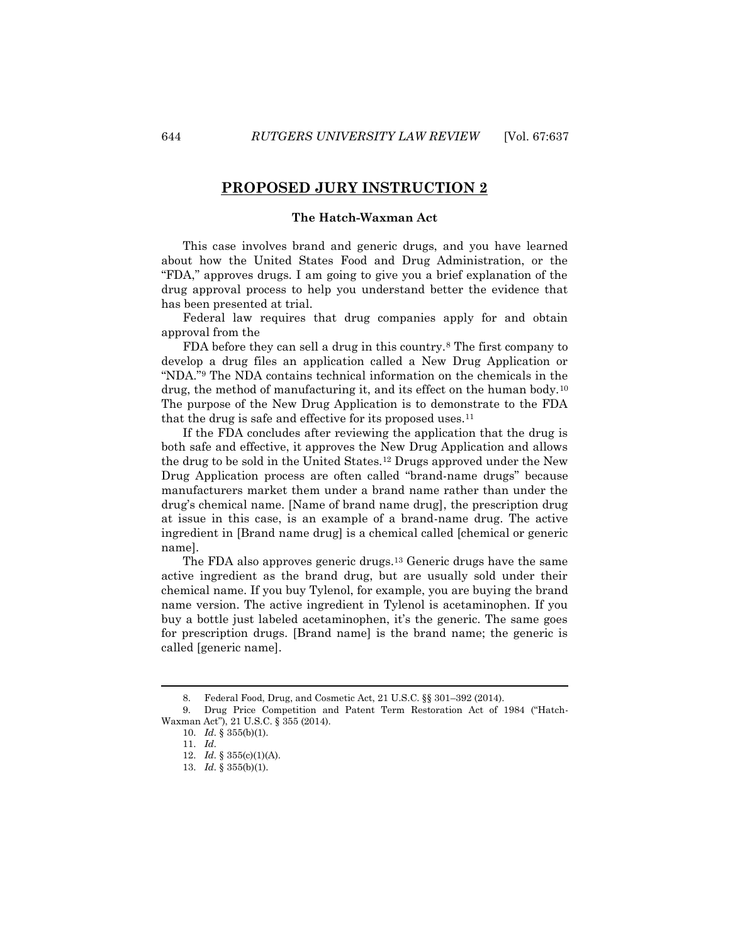#### **The Hatch-Waxman Act**

This case involves brand and generic drugs, and you have learned about how the United States Food and Drug Administration, or the "FDA," approves drugs. I am going to give you a brief explanation of the drug approval process to help you understand better the evidence that has been presented at trial.

Federal law requires that drug companies apply for and obtain approval from the

FDA before they can sell a drug in this country.<sup>8</sup> The first company to develop a drug files an application called a New Drug Application or "NDA."<sup>9</sup> The NDA contains technical information on the chemicals in the drug, the method of manufacturing it, and its effect on the human body.<sup>10</sup> The purpose of the New Drug Application is to demonstrate to the FDA that the drug is safe and effective for its proposed uses.<sup>11</sup>

If the FDA concludes after reviewing the application that the drug is both safe and effective, it approves the New Drug Application and allows the drug to be sold in the United States.<sup>12</sup> Drugs approved under the New Drug Application process are often called "brand-name drugs" because manufacturers market them under a brand name rather than under the drug's chemical name. [Name of brand name drug], the prescription drug at issue in this case, is an example of a brand-name drug. The active ingredient in [Brand name drug] is a chemical called [chemical or generic name].

The FDA also approves generic drugs.<sup>13</sup> Generic drugs have the same active ingredient as the brand drug, but are usually sold under their chemical name. If you buy Tylenol, for example, you are buying the brand name version. The active ingredient in Tylenol is acetaminophen. If you buy a bottle just labeled acetaminophen, it's the generic. The same goes for prescription drugs. [Brand name] is the brand name; the generic is called [generic name].

<sup>8.</sup> Federal Food, Drug, and Cosmetic Act, 21 U.S.C. §§ 301–392 (2014).

<sup>9.</sup> Drug Price Competition and Patent Term Restoration Act of 1984 ("Hatch-Waxman Act"), 21 U.S.C. § 355 (2014).

<sup>10.</sup> *Id.* § 355(b)(1).

<sup>11.</sup> *Id.*

<sup>12.</sup> *Id.* § 355(c)(1)(A).

<sup>13.</sup> *Id.* § 355(b)(1).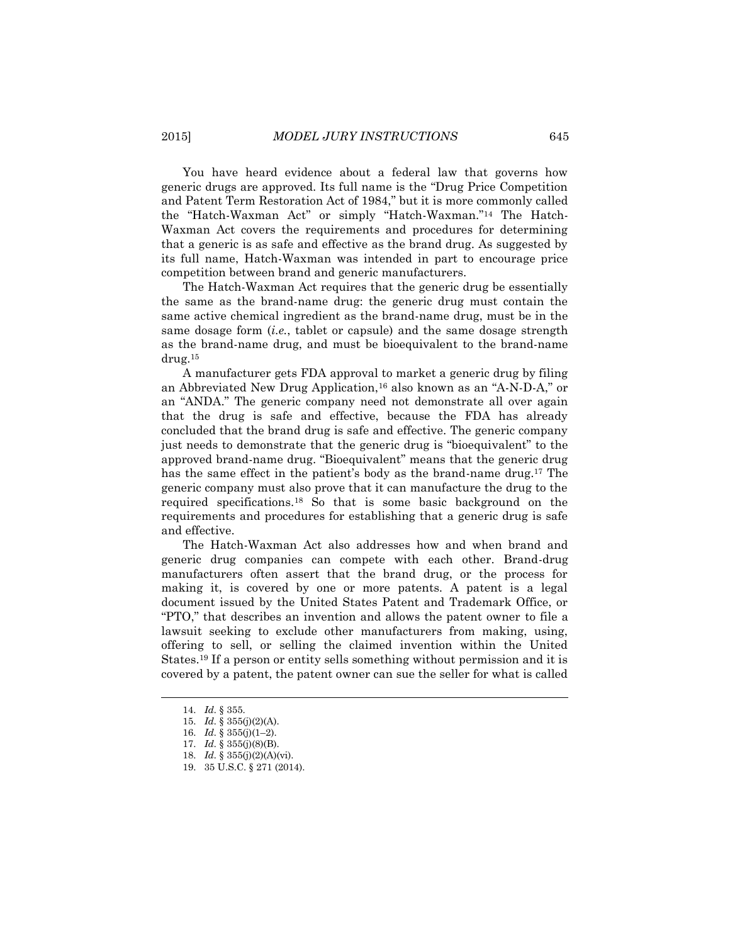You have heard evidence about a federal law that governs how generic drugs are approved. Its full name is the "Drug Price Competition and Patent Term Restoration Act of 1984," but it is more commonly called the "Hatch-Waxman Act" or simply "Hatch-Waxman."<sup>14</sup> The Hatch-Waxman Act covers the requirements and procedures for determining that a generic is as safe and effective as the brand drug. As suggested by its full name, Hatch-Waxman was intended in part to encourage price competition between brand and generic manufacturers.

The Hatch-Waxman Act requires that the generic drug be essentially the same as the brand-name drug: the generic drug must contain the same active chemical ingredient as the brand-name drug, must be in the same dosage form (*i.e.*, tablet or capsule) and the same dosage strength as the brand-name drug, and must be bioequivalent to the brand-name drug.<sup>15</sup>

A manufacturer gets FDA approval to market a generic drug by filing an Abbreviated New Drug Application,<sup>16</sup> also known as an "A-N-D-A," or an "ANDA." The generic company need not demonstrate all over again that the drug is safe and effective, because the FDA has already concluded that the brand drug is safe and effective. The generic company just needs to demonstrate that the generic drug is "bioequivalent" to the approved brand-name drug. "Bioequivalent" means that the generic drug has the same effect in the patient's body as the brand-name drug.<sup>17</sup> The generic company must also prove that it can manufacture the drug to the required specifications.<sup>18</sup> So that is some basic background on the requirements and procedures for establishing that a generic drug is safe and effective.

The Hatch-Waxman Act also addresses how and when brand and generic drug companies can compete with each other. Brand-drug manufacturers often assert that the brand drug, or the process for making it, is covered by one or more patents. A patent is a legal document issued by the United States Patent and Trademark Office, or "PTO," that describes an invention and allows the patent owner to file a lawsuit seeking to exclude other manufacturers from making, using, offering to sell, or selling the claimed invention within the United States.<sup>19</sup> If a person or entity sells something without permission and it is covered by a patent, the patent owner can sue the seller for what is called

 $\overline{a}$ 

<sup>14.</sup> *Id.* § 355.

<sup>15.</sup> *Id.* § 355(j)(2)(A).

<sup>16.</sup> *Id.* § 355(j)(1–2).

<sup>17.</sup> *Id.* § 355(j)(8)(B).

<sup>18.</sup> *Id.* § 355(j)(2)(A)(vi).

<sup>19.</sup> 35 U.S.C. § 271 (2014).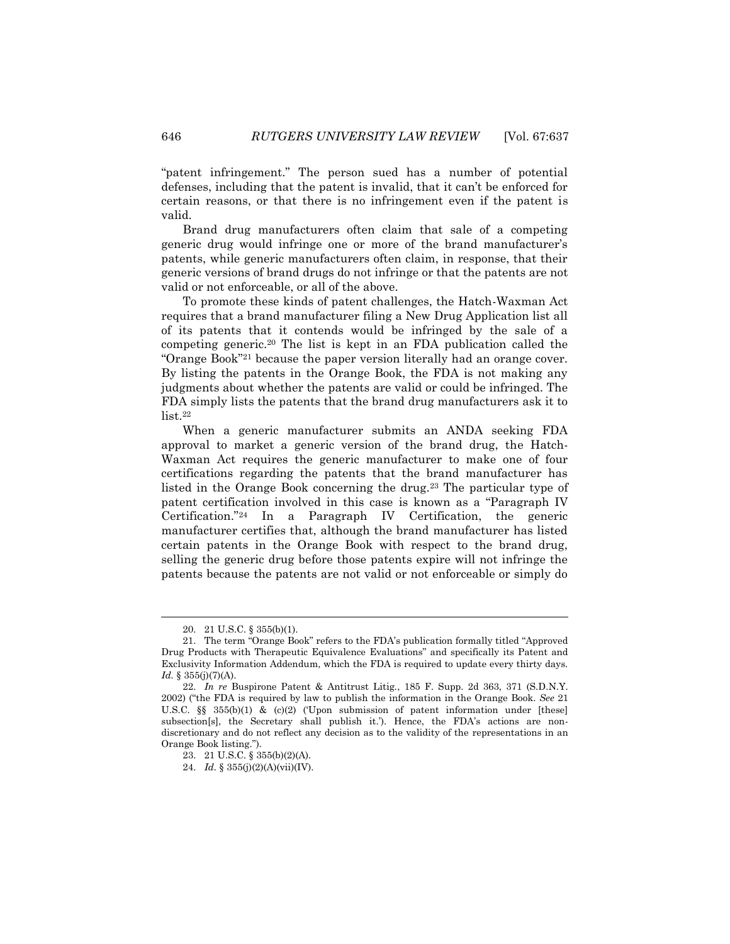"patent infringement." The person sued has a number of potential defenses, including that the patent is invalid, that it can't be enforced for certain reasons, or that there is no infringement even if the patent is valid.

Brand drug manufacturers often claim that sale of a competing generic drug would infringe one or more of the brand manufacturer's patents, while generic manufacturers often claim, in response, that their generic versions of brand drugs do not infringe or that the patents are not valid or not enforceable, or all of the above.

To promote these kinds of patent challenges, the Hatch-Waxman Act requires that a brand manufacturer filing a New Drug Application list all of its patents that it contends would be infringed by the sale of a competing generic.<sup>20</sup> The list is kept in an FDA publication called the "Orange Book"<sup>21</sup> because the paper version literally had an orange cover. By listing the patents in the Orange Book, the FDA is not making any judgments about whether the patents are valid or could be infringed. The FDA simply lists the patents that the brand drug manufacturers ask it to list.<sup>22</sup>

When a generic manufacturer submits an ANDA seeking FDA approval to market a generic version of the brand drug, the Hatch-Waxman Act requires the generic manufacturer to make one of four certifications regarding the patents that the brand manufacturer has listed in the Orange Book concerning the drug.<sup>23</sup> The particular type of patent certification involved in this case is known as a "Paragraph IV Certification."<sup>24</sup> In a Paragraph IV Certification, the generic manufacturer certifies that, although the brand manufacturer has listed certain patents in the Orange Book with respect to the brand drug, selling the generic drug before those patents expire will not infringe the patents because the patents are not valid or not enforceable or simply do

<sup>20.</sup> 21 U.S.C. § 355(b)(1).

<sup>21.</sup> The term "Orange Book" refers to the FDA's publication formally titled "Approved Drug Products with Therapeutic Equivalence Evaluations" and specifically its Patent and Exclusivity Information Addendum, which the FDA is required to update every thirty days. *Id.* § 355(j)(7)(A).

<sup>22.</sup> *In re* Buspirone Patent & Antitrust Litig., 185 F. Supp. 2d 363, 371 (S.D.N.Y. 2002) ("the FDA is required by law to publish the information in the Orange Book. *See* 21 U.S.C.  $\S$  355(b)(1) & (c)(2) ('Upon submission of patent information under [these] subsection[s], the Secretary shall publish it.'). Hence, the FDA's actions are nondiscretionary and do not reflect any decision as to the validity of the representations in an Orange Book listing.").

<sup>23.</sup> 21 U.S.C. § 355(b)(2)(A).

<sup>24.</sup> *Id.* § 355(j)(2)(A)(vii)(IV).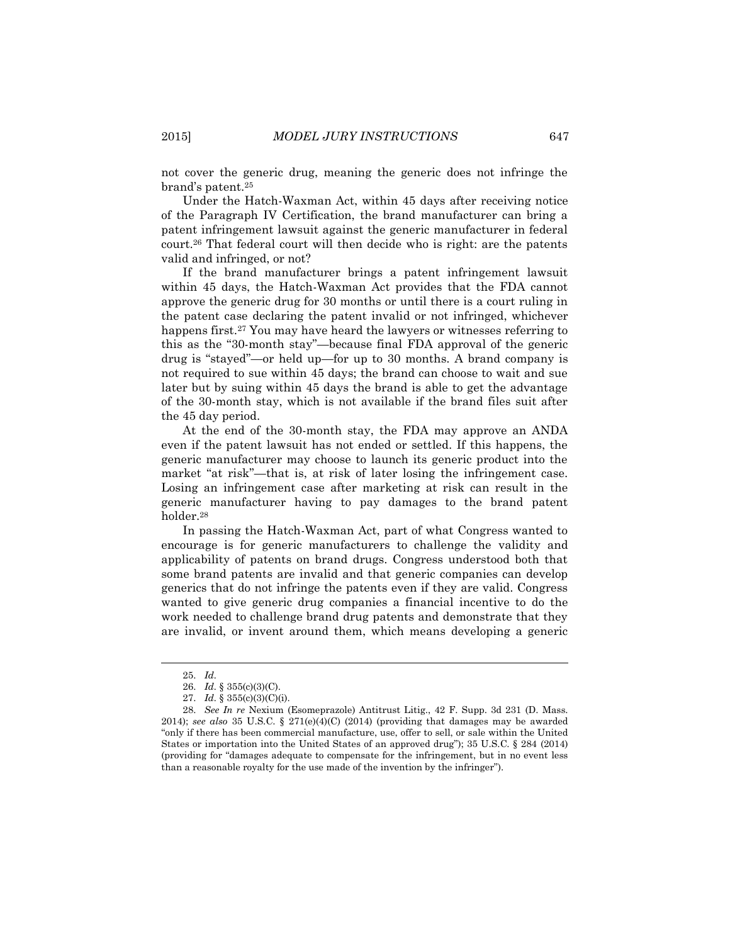not cover the generic drug, meaning the generic does not infringe the brand's patent.<sup>25</sup>

Under the Hatch-Waxman Act, within 45 days after receiving notice of the Paragraph IV Certification, the brand manufacturer can bring a patent infringement lawsuit against the generic manufacturer in federal court.<sup>26</sup> That federal court will then decide who is right: are the patents valid and infringed, or not?

If the brand manufacturer brings a patent infringement lawsuit within 45 days, the Hatch-Waxman Act provides that the FDA cannot approve the generic drug for 30 months or until there is a court ruling in the patent case declaring the patent invalid or not infringed, whichever happens first.<sup>27</sup> You may have heard the lawyers or witnesses referring to this as the "30-month stay"—because final FDA approval of the generic drug is "stayed"—or held up—for up to 30 months. A brand company is not required to sue within 45 days; the brand can choose to wait and sue later but by suing within 45 days the brand is able to get the advantage of the 30-month stay, which is not available if the brand files suit after the 45 day period.

At the end of the 30-month stay, the FDA may approve an ANDA even if the patent lawsuit has not ended or settled. If this happens, the generic manufacturer may choose to launch its generic product into the market "at risk"—that is, at risk of later losing the infringement case. Losing an infringement case after marketing at risk can result in the generic manufacturer having to pay damages to the brand patent holder.<sup>28</sup>

In passing the Hatch-Waxman Act, part of what Congress wanted to encourage is for generic manufacturers to challenge the validity and applicability of patents on brand drugs. Congress understood both that some brand patents are invalid and that generic companies can develop generics that do not infringe the patents even if they are valid. Congress wanted to give generic drug companies a financial incentive to do the work needed to challenge brand drug patents and demonstrate that they are invalid, or invent around them, which means developing a generic

<sup>25.</sup> *Id.*

<sup>26.</sup> *Id.* § 355(c)(3)(C).

<sup>27.</sup> *Id.* § 355(c)(3)(C)(i).

<sup>28.</sup> *See In re* Nexium (Esomeprazole) Antitrust Litig., 42 F. Supp. 3d 231 (D. Mass. 2014); *see also* 35 U.S.C. § 271(e)(4)(C) (2014) (providing that damages may be awarded "only if there has been commercial manufacture, use, offer to sell, or sale within the United States or importation into the United States of an approved drug"); 35 U.S.C. § 284 (2014) (providing for "damages adequate to compensate for the infringement, but in no event less than a reasonable royalty for the use made of the invention by the infringer").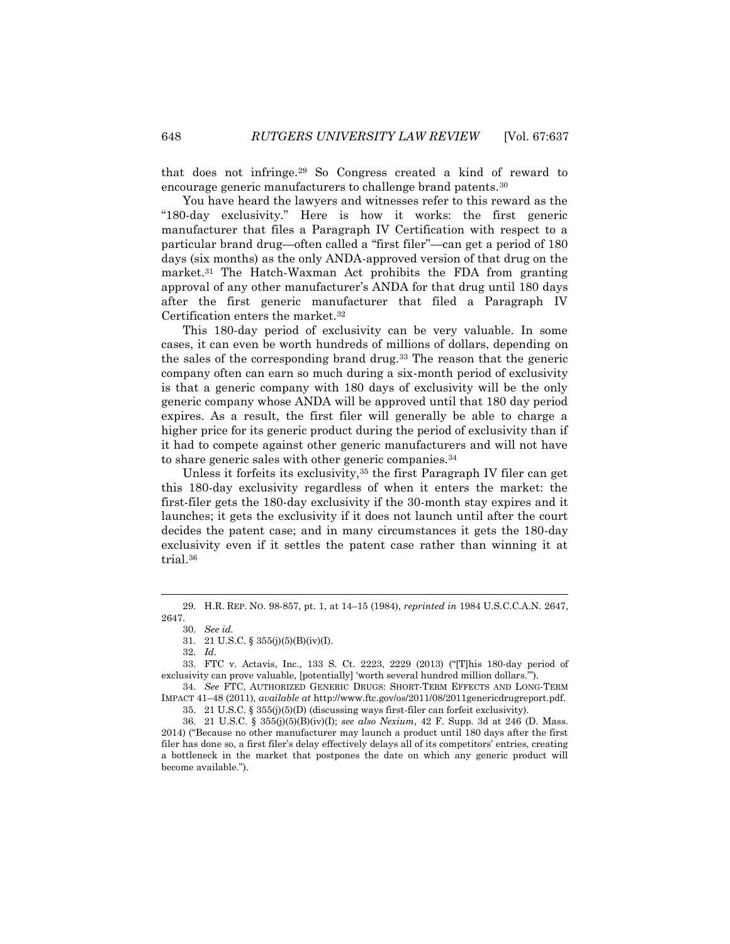that does not infringe.<sup>29</sup> So Congress created a kind of reward to encourage generic manufacturers to challenge brand patents.<sup>30</sup>

You have heard the lawyers and witnesses refer to this reward as the "180-day exclusivity." Here is how it works: the first generic manufacturer that files a Paragraph IV Certification with respect to a particular brand drug—often called a "first filer"—can get a period of 180 days (six months) as the only ANDA-approved version of that drug on the market.<sup>31</sup> The Hatch-Waxman Act prohibits the FDA from granting approval of any other manufacturer's ANDA for that drug until 180 days after the first generic manufacturer that filed a Paragraph IV Certification enters the market.<sup>32</sup>

This 180-day period of exclusivity can be very valuable. In some cases, it can even be worth hundreds of millions of dollars, depending on the sales of the corresponding brand drug.<sup>33</sup> The reason that the generic company often can earn so much during a six-month period of exclusivity is that a generic company with 180 days of exclusivity will be the only generic company whose ANDA will be approved until that 180 day period expires. As a result, the first filer will generally be able to charge a higher price for its generic product during the period of exclusivity than if it had to compete against other generic manufacturers and will not have to share generic sales with other generic companies.<sup>34</sup>

Unless it forfeits its exclusivity,<sup>35</sup> the first Paragraph IV filer can get this 180-day exclusivity regardless of when it enters the market: the first-filer gets the 180-day exclusivity if the 30-month stay expires and it launches; it gets the exclusivity if it does not launch until after the court decides the patent case; and in many circumstances it gets the 180-day exclusivity even if it settles the patent case rather than winning it at trial.<sup>36</sup>

<sup>29.</sup> H.R. REP. NO. 98-857, pt. 1, at 14–15 (1984), *reprinted in* 1984 U.S.C.C.A.N. 2647, 2647.

<sup>30.</sup> *See id.*

<sup>31.</sup> 21 U.S.C. § 355(j)(5)(B)(iv)(I).

<sup>32.</sup> *Id.*

<sup>33.</sup> FTC v. Actavis, Inc.*,* 133 S. Ct. 2223, 2229 (2013) ("[T]his 180-day period of exclusivity can prove valuable, [potentially] 'worth several hundred million dollars.'").

<sup>34.</sup> *See* FTC, AUTHORIZED GENERIC DRUGS: SHORT-TERM EFFECTS AND LONG-TERM IMPACT 41–48 (2011), *available at* http://www.ftc.gov/os/2011/08/2011genericdrugreport.pdf.

<sup>35.</sup> 21 U.S.C. § 355(j)(5)(D) (discussing ways first-filer can forfeit exclusivity).

<sup>36.</sup> 21 U.S.C. § 355(j)(5)(B)(iv)(I); *see also Nexium*, 42 F. Supp. 3d at 246 (D. Mass. 2014) ("Because no other manufacturer may launch a product until 180 days after the first filer has done so, a first filer's delay effectively delays all of its competitors' entries, creating a bottleneck in the market that postpones the date on which any generic product will become available.").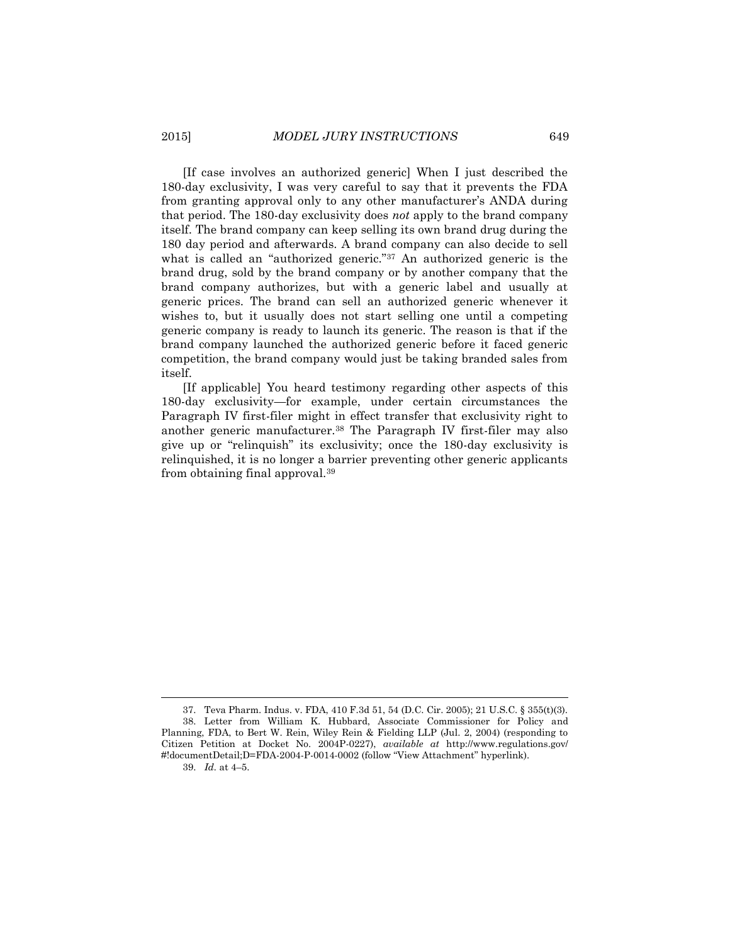[If case involves an authorized generic] When I just described the 180-day exclusivity, I was very careful to say that it prevents the FDA from granting approval only to any other manufacturer's ANDA during that period. The 180-day exclusivity does *not* apply to the brand company itself. The brand company can keep selling its own brand drug during the 180 day period and afterwards. A brand company can also decide to sell what is called an "authorized generic."<sup>37</sup> An authorized generic is the brand drug, sold by the brand company or by another company that the brand company authorizes, but with a generic label and usually at generic prices. The brand can sell an authorized generic whenever it wishes to, but it usually does not start selling one until a competing generic company is ready to launch its generic. The reason is that if the brand company launched the authorized generic before it faced generic competition, the brand company would just be taking branded sales from itself.

[If applicable] You heard testimony regarding other aspects of this 180-day exclusivity—for example, under certain circumstances the Paragraph IV first-filer might in effect transfer that exclusivity right to another generic manufacturer.<sup>38</sup> The Paragraph IV first-filer may also give up or "relinquish" its exclusivity; once the 180-day exclusivity is relinquished, it is no longer a barrier preventing other generic applicants from obtaining final approval.<sup>39</sup>

 $\overline{a}$ 

<sup>37.</sup> Teva Pharm. Indus. v. FDA, 410 F.3d 51, 54 (D.C. Cir. 2005); 21 U.S.C. § 355(t)(3). 38. Letter from William K. Hubbard, Associate Commissioner for Policy and Planning, FDA, to Bert W. Rein, Wiley Rein & Fielding LLP (Jul. 2, 2004) (responding to Citizen Petition at Docket No. 2004P-0227), *available at* http://www.regulations.gov/ #!documentDetail;D=FDA-2004-P-0014-0002 (follow "View Attachment" hyperlink).

<sup>39.</sup> *Id.* at 4–5.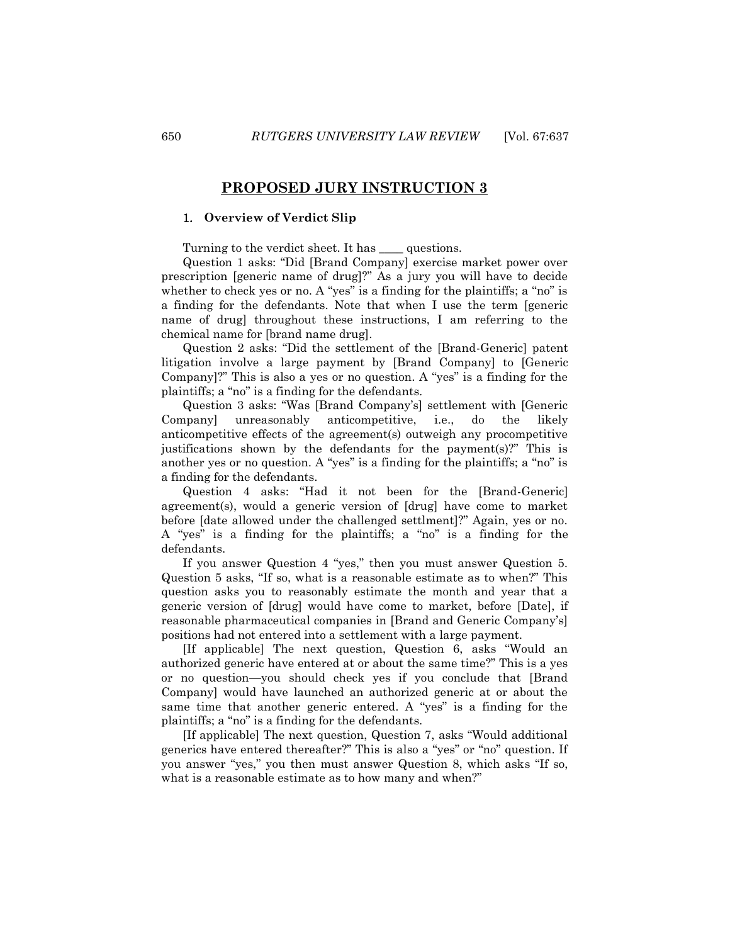#### <span id="page-13-0"></span>1. **Overview of Verdict Slip**

Turning to the verdict sheet. It has questions.

Question 1 asks: "Did [Brand Company] exercise market power over prescription [generic name of drug]?" As a jury you will have to decide whether to check yes or no. A "yes" is a finding for the plaintiffs; a "no" is a finding for the defendants. Note that when I use the term [generic name of drug] throughout these instructions, I am referring to the chemical name for [brand name drug].

Question 2 asks: "Did the settlement of the [Brand-Generic] patent litigation involve a large payment by [Brand Company] to [Generic Company]?" This is also a yes or no question. A "yes" is a finding for the plaintiffs; a "no" is a finding for the defendants.

Question 3 asks: "Was [Brand Company's] settlement with [Generic Company] unreasonably anticompetitive, i.e., do the likely anticompetitive effects of the agreement(s) outweigh any procompetitive justifications shown by the defendants for the payment(s)?" This is another yes or no question. A "yes" is a finding for the plaintiffs; a "no" is a finding for the defendants.

Question 4 asks: "Had it not been for the [Brand-Generic] agreement(s), would a generic version of [drug] have come to market before [date allowed under the challenged settlment]?" Again, yes or no. A "yes" is a finding for the plaintiffs; a "no" is a finding for the defendants.

If you answer Question 4 "yes," then you must answer Question 5. Question 5 asks, "If so, what is a reasonable estimate as to when?" This question asks you to reasonably estimate the month and year that a generic version of [drug] would have come to market, before [Date], if reasonable pharmaceutical companies in [Brand and Generic Company's] positions had not entered into a settlement with a large payment.

[If applicable] The next question, Question 6, asks "Would an authorized generic have entered at or about the same time?" This is a yes or no question—you should check yes if you conclude that [Brand Company] would have launched an authorized generic at or about the same time that another generic entered. A "yes" is a finding for the plaintiffs; a "no" is a finding for the defendants.

[If applicable] The next question, Question 7, asks "Would additional generics have entered thereafter?" This is also a "yes" or "no" question. If you answer "yes," you then must answer Question 8, which asks "If so, what is a reasonable estimate as to how many and when?"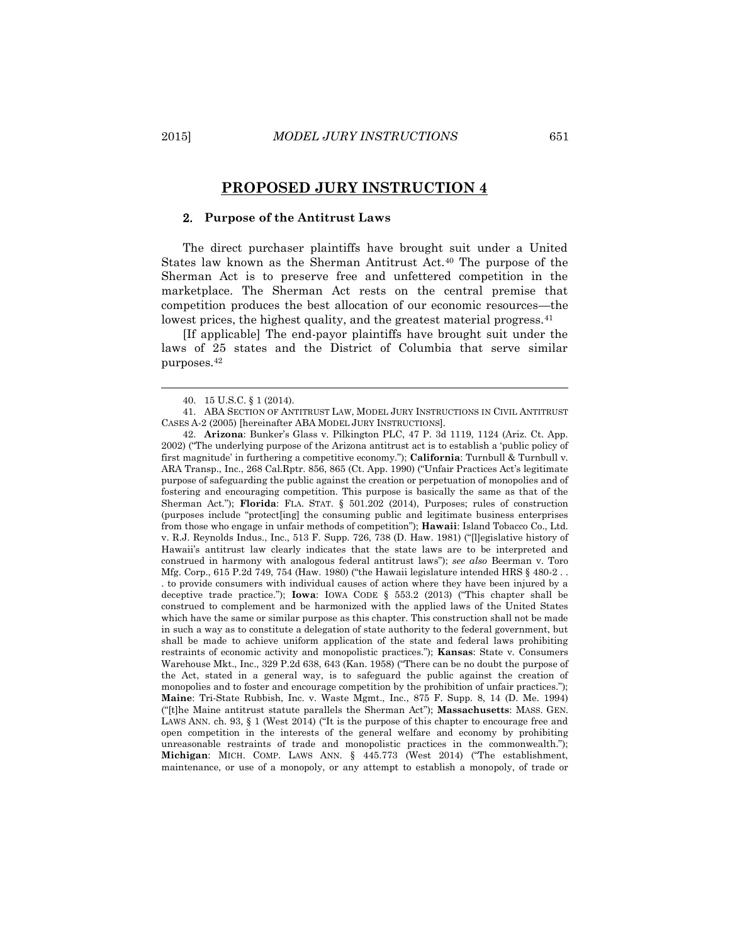l

### **PROPOSED JURY INSTRUCTION 4**

#### <span id="page-14-0"></span>2. **Purpose of the Antitrust Laws**

The direct purchaser plaintiffs have brought suit under a United States law known as the Sherman Antitrust Act.<sup>40</sup> The purpose of the Sherman Act is to preserve free and unfettered competition in the marketplace. The Sherman Act rests on the central premise that competition produces the best allocation of our economic resources—the lowest prices, the highest quality, and the greatest material progress.<sup>41</sup>

[If applicable] The end-payor plaintiffs have brought suit under the laws of 25 states and the District of Columbia that serve similar purposes.<sup>42</sup>

<sup>40.</sup> 15 U.S.C. § 1 (2014).

<sup>41.</sup> ABA SECTION OF ANTITRUST LAW, MODEL JURY INSTRUCTIONS IN CIVIL ANTITRUST CASES A-2 (2005) [hereinafter ABA MODEL JURY INSTRUCTIONS].

<sup>42.</sup> **Arizona**: Bunker's Glass v. Pilkington PLC, 47 P. 3d 1119, 1124 (Ariz. Ct. App. 2002) ("The underlying purpose of the Arizona antitrust act is to establish a 'public policy of first magnitude' in furthering a competitive economy."); **California**: Turnbull & Turnbull v. ARA Transp., Inc., 268 Cal.Rptr. 856, 865 (Ct. App. 1990) ("Unfair Practices Act's legitimate purpose of safeguarding the public against the creation or perpetuation of monopolies and of fostering and encouraging competition. This purpose is basically the same as that of the Sherman Act."); **Florida**: FLA. STAT. § 501.202 (2014), Purposes; rules of construction (purposes include "protect[ing] the consuming public and legitimate business enterprises from those who engage in unfair methods of competition"); **Hawaii**: Island Tobacco Co., Ltd. v. R.J. Reynolds Indus., Inc., 513 F. Supp. 726, 738 (D. Haw. 1981) ("[l]egislative history of Hawaii's antitrust law clearly indicates that the state laws are to be interpreted and construed in harmony with analogous federal antitrust laws"); *see also* Beerman v. Toro Mfg. Corp., 615 P.2d 749, 754 (Haw. 1980) ("the Hawaii legislature intended HRS § 480-2 . . . to provide consumers with individual causes of action where they have been injured by a deceptive trade practice."); **Iowa**: IOWA CODE § 553.2 (2013) ("This chapter shall be construed to complement and be harmonized with the applied laws of the United States which have the same or similar purpose as this chapter. This construction shall not be made in such a way as to constitute a delegation of state authority to the federal government, but shall be made to achieve uniform application of the state and federal laws prohibiting restraints of economic activity and monopolistic practices."); **Kansas**: State v. Consumers Warehouse Mkt., Inc., 329 P.2d 638, 643 (Kan. 1958) ("There can be no doubt the purpose of the Act, stated in a general way, is to safeguard the public against the creation of monopolies and to foster and encourage competition by the prohibition of unfair practices."); **Maine**: Tri-State Rubbish, Inc. v. Waste Mgmt., Inc., 875 F. Supp. 8, 14 (D. Me. 1994) ("[t]he Maine antitrust statute parallels the Sherman Act"); **Massachusetts**: MASS. GEN. LAWS ANN. ch. 93, § 1 (West 2014) ("It is the purpose of this chapter to encourage free and open competition in the interests of the general welfare and economy by prohibiting unreasonable restraints of trade and monopolistic practices in the commonwealth."); **Michigan**: MICH. COMP. LAWS ANN. § 445.773 (West 2014) ("The establishment, maintenance, or use of a monopoly, or any attempt to establish a monopoly, of trade or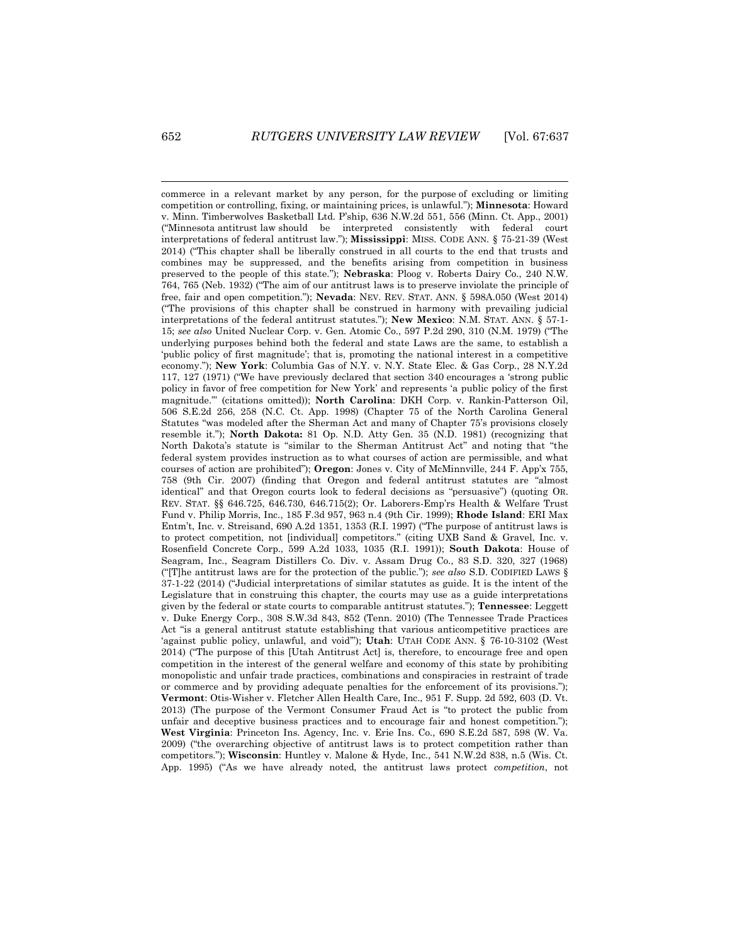commerce in a relevant market by any person, for the purpose of excluding or limiting competition or controlling, fixing, or maintaining prices, is unlawful."); **Minnesota**: Howard v. Minn. Timberwolves Basketball Ltd. P'ship, 636 N.W.2d 551, 556 (Minn. Ct. App., 2001) ("Minnesota antitrust law should be interpreted consistently with federal court interpretations of federal antitrust law."); **Mississippi**: MISS. CODE ANN. § 75-21-39 (West 2014) ("This chapter shall be liberally construed in all courts to the end that trusts and combines may be suppressed, and the benefits arising from competition in business preserved to the people of this state."); **Nebraska**: Ploog v. Roberts Dairy Co., 240 N.W. 764, 765 (Neb. 1932) ("The aim of our antitrust laws is to preserve inviolate the principle of free, fair and open competition."); **Nevada**: NEV. REV. STAT. ANN. § 598A.050 (West 2014) ("The provisions of this chapter shall be construed in harmony with prevailing judicial interpretations of the federal antitrust statutes."); **New Mexico**: N.M. STAT. ANN. § 57-1- 15; *see also* United Nuclear Corp. v. Gen. Atomic Co., 597 P.2d 290, 310 (N.M. 1979) ("The underlying purposes behind both the federal and state Laws are the same, to establish a 'public policy of first magnitude'; that is, promoting the national interest in a competitive economy."); **New York**: Columbia Gas of N.Y. v. N.Y. State Elec. & Gas Corp., 28 N.Y.2d 117, 127 (1971) ("We have previously declared that section 340 encourages a 'strong public policy in favor of free competition for New York' and represents 'a public policy of the first magnitude.'" (citations omitted)); **North Carolina**: DKH Corp. v. Rankin-Patterson Oil, 506 S.E.2d 256, 258 (N.C. Ct. App. 1998) (Chapter 75 of the North Carolina General Statutes "was modeled after the Sherman Act and many of Chapter 75's provisions closely resemble it."); **North Dakota:** 81 Op. N.D. Atty Gen. 35 (N.D. 1981) (recognizing that North Dakota's statute is "similar to the Sherman Antitrust Act" and noting that "the federal system provides instruction as to what courses of action are permissible, and what courses of action are prohibited"); **Oregon**: Jones v. City of McMinnville, 244 F. App'x 755, 758 (9th Cir. 2007) (finding that Oregon and federal antitrust statutes are "almost identical" and that Oregon courts look to federal decisions as "persuasive") (quoting OR. REV. STAT. §§ 646.725, 646.730, 646.715(2); Or. Laborers-Emp'rs Health & Welfare Trust Fund v. Philip Morris, Inc., 185 F.3d 957, 963 n.4 (9th Cir. 1999); **Rhode Island**: ERI Max Entm't, Inc. v. Streisand, 690 A.2d 1351, 1353 (R.I. 1997) ("The purpose of antitrust laws is to protect competition, not [individual] competitors." (citing UXB Sand & Gravel, Inc. v. Rosenfield Concrete Corp., 599 A.2d 1033, 1035 (R.I. 1991)); **South Dakota**: House of Seagram, Inc., Seagram Distillers Co. Div. v. Assam Drug Co., 83 S.D. 320, 327 (1968) ("[T]he antitrust laws are for the protection of the public."); *see also* S.D. CODIFIED LAWS § 37-1-22 (2014) ("Judicial interpretations of similar statutes as guide. It is the intent of the Legislature that in construing this chapter, the courts may use as a guide interpretations given by the federal or state courts to comparable antitrust statutes."); **Tennessee**: Leggett v. Duke Energy Corp., 308 S.W.3d 843, 852 (Tenn. 2010) (The Tennessee Trade Practices Act "is a general antitrust statute establishing that various anticompetitive practices are 'against public policy, unlawful, and void'"); **Utah**: UTAH CODE ANN. § 76-10-3102 (West 2014) ("The purpose of this [Utah Antitrust Act] is, therefore, to encourage free and open competition in the interest of the general welfare and economy of this state by prohibiting monopolistic and unfair trade practices, combinations and conspiracies in restraint of trade or commerce and by providing adequate penalties for the enforcement of its provisions."); **Vermont**: Otis-Wisher v. Fletcher Allen Health Care, Inc., 951 F. Supp. 2d 592, 603 (D. Vt. 2013) (The purpose of the Vermont Consumer Fraud Act is "to protect the public from unfair and deceptive business practices and to encourage fair and honest competition."); **West Virginia**: Princeton Ins. Agency, Inc. v. Erie Ins. Co., 690 S.E.2d 587, 598 (W. Va. 2009) ("the overarching objective of antitrust laws is to protect competition rather than competitors."); **Wisconsin**: Huntley v. Malone & Hyde, Inc., 541 N.W.2d 838, n.5 (Wis. Ct. App. 1995) ("As we have already noted, the antitrust laws protect *competition*, not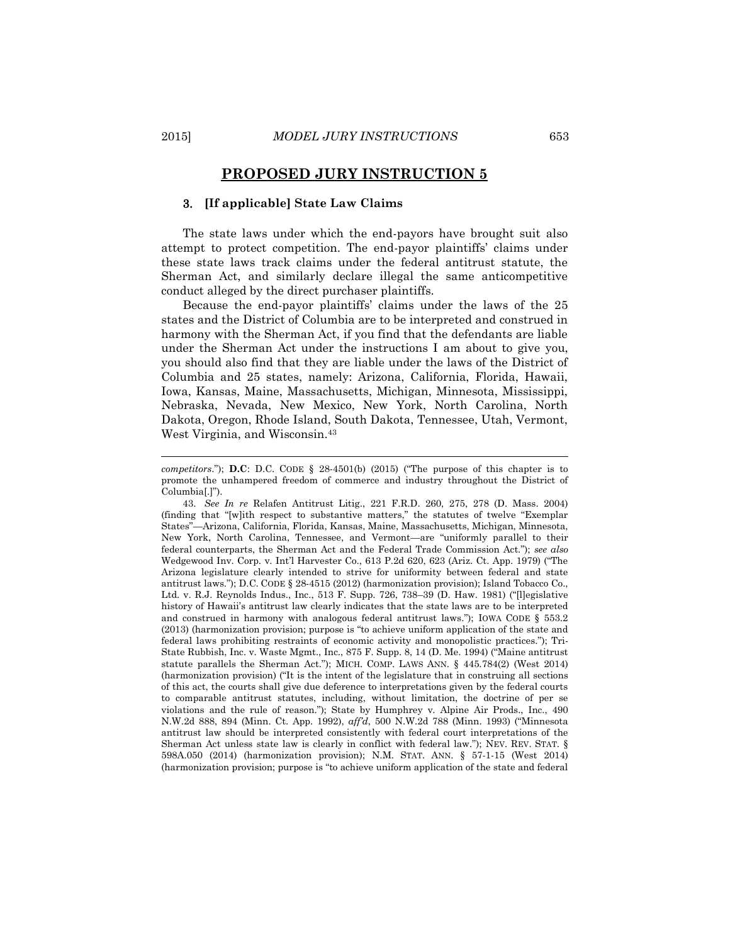#### <span id="page-16-0"></span>3. **[If applicable] State Law Claims**

The state laws under which the end-payors have brought suit also attempt to protect competition. The end-payor plaintiffs' claims under these state laws track claims under the federal antitrust statute, the Sherman Act, and similarly declare illegal the same anticompetitive conduct alleged by the direct purchaser plaintiffs.

Because the end-payor plaintiffs' claims under the laws of the 25 states and the District of Columbia are to be interpreted and construed in harmony with the Sherman Act, if you find that the defendants are liable under the Sherman Act under the instructions I am about to give you, you should also find that they are liable under the laws of the District of Columbia and 25 states, namely: Arizona, California, Florida, Hawaii, Iowa, Kansas, Maine, Massachusetts, Michigan, Minnesota, Mississippi, Nebraska, Nevada, New Mexico, New York, North Carolina, North Dakota, Oregon, Rhode Island, South Dakota, Tennessee, Utah, Vermont, West Virginia, and Wisconsin.<sup>43</sup>

*competitors*."); **D.C**: D.C. CODE § 28-4501(b) (2015) ("The purpose of this chapter is to promote the unhampered freedom of commerce and industry throughout the District of Columbia[.]").

<sup>43.</sup> *See In re* Relafen Antitrust Litig., 221 F.R.D. 260, 275, 278 (D. Mass. 2004) (finding that "[w]ith respect to substantive matters," the statutes of twelve "Exemplar States"—Arizona, California, Florida, Kansas, Maine, Massachusetts, Michigan, Minnesota, New York, North Carolina, Tennessee, and Vermont—are "uniformly parallel to their federal counterparts, the Sherman Act and the Federal Trade Commission Act."); *see also*  Wedgewood Inv. Corp. v. Int'l Harvester Co., 613 P.2d 620, 623 (Ariz. Ct. App. 1979) ("The Arizona legislature clearly intended to strive for uniformity between federal and state antitrust laws."); D.C. CODE § 28-4515 (2012) (harmonization provision); Island Tobacco Co., Ltd. v. R.J. Reynolds Indus., Inc., 513 F. Supp. 726, 738–39 (D. Haw. 1981) ("[l]egislative history of Hawaii's antitrust law clearly indicates that the state laws are to be interpreted and construed in harmony with analogous federal antitrust laws."); IOWA CODE § 553.2 (2013) (harmonization provision; purpose is "to achieve uniform application of the state and federal laws prohibiting restraints of economic activity and monopolistic practices."); Tri-State Rubbish, Inc. v. Waste Mgmt., Inc., 875 F. Supp. 8, 14 (D. Me. 1994) ("Maine antitrust statute parallels the Sherman Act."); MICH. COMP. LAWS ANN. § 445.784(2) (West 2014) (harmonization provision) ("It is the intent of the legislature that in construing all sections of this act, the courts shall give due deference to interpretations given by the federal courts to comparable antitrust statutes, including, without limitation, the doctrine of per se violations and the rule of reason."); State by Humphrey v. Alpine Air Prods., Inc., 490 N.W.2d 888, 894 (Minn. Ct. App. 1992), *aff'd*, 500 N.W.2d 788 (Minn. 1993) ("Minnesota antitrust law should be interpreted consistently with federal court interpretations of the Sherman Act unless state law is clearly in conflict with federal law."); NEV. REV. STAT. § 598A.050 (2014) (harmonization provision); N.M. STAT. ANN. § 57-1-15 (West 2014) (harmonization provision; purpose is "to achieve uniform application of the state and federal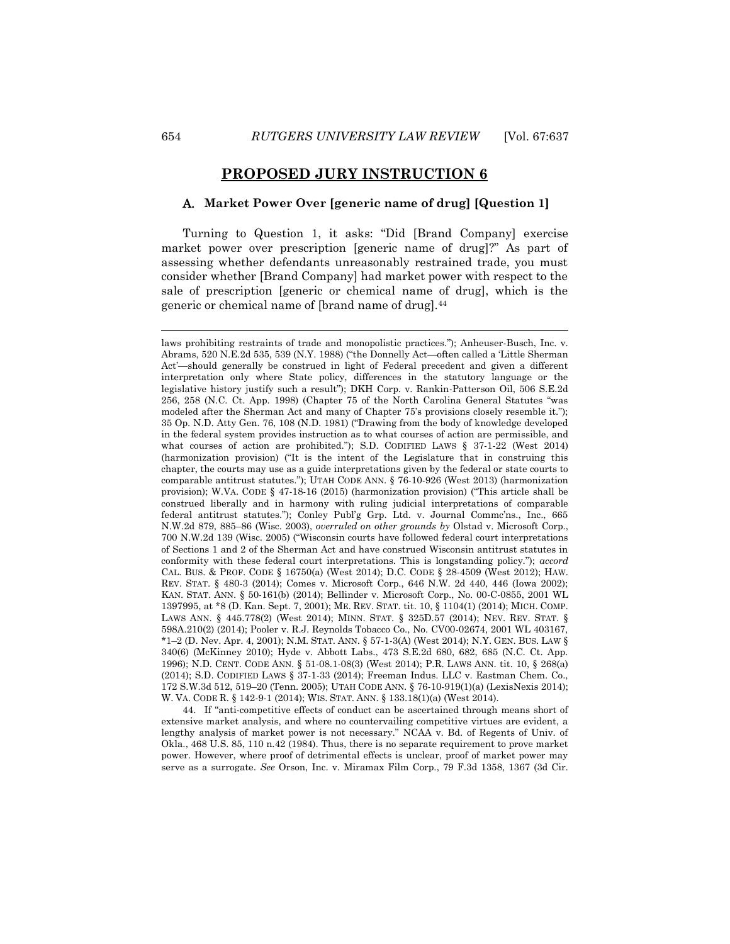#### <span id="page-17-0"></span>A. **Market Power Over [generic name of drug] [Question 1]**

Turning to Question 1, it asks: "Did [Brand Company] exercise market power over prescription [generic name of drug]?" As part of assessing whether defendants unreasonably restrained trade, you must consider whether [Brand Company] had market power with respect to the sale of prescription [generic or chemical name of drug], which is the generic or chemical name of [brand name of drug].<sup>44</sup>

44. If "anti-competitive effects of conduct can be ascertained through means short of extensive market analysis, and where no countervailing competitive virtues are evident, a lengthy analysis of market power is not necessary." NCAA v. Bd. of Regents of Univ. of Okla., 468 U.S. 85, 110 n.42 (1984). Thus, there is no separate requirement to prove market power. However, where proof of detrimental effects is unclear, proof of market power may serve as a surrogate. *See* Orson, Inc. v. Miramax Film Corp., 79 F.3d 1358, 1367 (3d Cir.

laws prohibiting restraints of trade and monopolistic practices."); Anheuser-Busch, Inc. v. Abrams, 520 N.E.2d 535, 539 (N.Y. 1988) ("the Donnelly Act—often called a 'Little Sherman Act'—should generally be construed in light of Federal precedent and given a different interpretation only where State policy, differences in the statutory language or the legislative history justify such a result"); DKH Corp. v. Rankin-Patterson Oil, 506 S.E.2d 256, 258 (N.C. Ct. App. 1998) (Chapter 75 of the North Carolina General Statutes "was modeled after the Sherman Act and many of Chapter 75's provisions closely resemble it."); 35 Op. N.D. Atty Gen. 76, 108 (N.D. 1981) ("Drawing from the body of knowledge developed in the federal system provides instruction as to what courses of action are permissible, and what courses of action are prohibited."); S.D. CODIFIED LAWS § 37-1-22 (West 2014) (harmonization provision) ("It is the intent of the Legislature that in construing this chapter, the courts may use as a guide interpretations given by the federal or state courts to comparable antitrust statutes."); UTAH CODE ANN. § 76-10-926 (West 2013) (harmonization provision); W.VA. CODE § 47-18-16 (2015) (harmonization provision) ("This article shall be construed liberally and in harmony with ruling judicial interpretations of comparable federal antitrust statutes."); Conley Publ'g Grp. Ltd. v. Journal Commc'ns., Inc., 665 N.W.2d 879, 885–86 (Wisc. 2003), *overruled on other grounds by* Olstad v. Microsoft Corp., 700 N.W.2d 139 (Wisc. 2005) ("Wisconsin courts have followed federal court interpretations of Sections 1 and 2 of the Sherman Act and have construed Wisconsin antitrust statutes in conformity with these federal court interpretations. This is longstanding policy."); *accord* CAL. BUS. & PROF. CODE § 16750(a) (West 2014); D.C. CODE § 28-4509 (West 2012); HAW. REV. STAT. § 480-3 (2014); Comes v. Microsoft Corp., 646 N.W. 2d 440, 446 (Iowa 2002); KAN. STAT. ANN. § 50-161(b) (2014); Bellinder v. Microsoft Corp., No. 00-C-0855, 2001 WL 1397995, at \*8 (D. Kan. Sept. 7, 2001); ME. REV. STAT. tit. 10, § 1104(1) (2014); MICH. COMP. LAWS ANN. § 445.778(2) (West 2014); MINN. STAT. § 325D.57 (2014); NEV. REV. STAT. § 598A.210(2) (2014); Pooler v. R.J. Reynolds Tobacco Co., No. CV00-02674, 2001 WL 403167, \*1–2 (D. Nev. Apr. 4, 2001); N.M. STAT. ANN. § 57-1-3(A) (West 2014); N.Y. GEN. BUS. LAW § 340(6) (McKinney 2010); Hyde v. Abbott Labs., 473 S.E.2d 680, 682, 685 (N.C. Ct. App. 1996); N.D. CENT. CODE ANN. § 51-08.1-08(3) (West 2014); P.R. LAWS ANN. tit. 10, § 268(a) (2014); S.D. CODIFIED LAWS § 37-1-33 (2014); Freeman Indus. LLC v. Eastman Chem. Co., 172 S.W.3d 512, 519–20 (Tenn. 2005); UTAH CODE ANN. § 76-10-919(1)(a) (LexisNexis 2014); W. VA. CODE R. § 142-9-1 (2014); WIS. STAT. ANN. § 133.18(1)(a) (West 2014).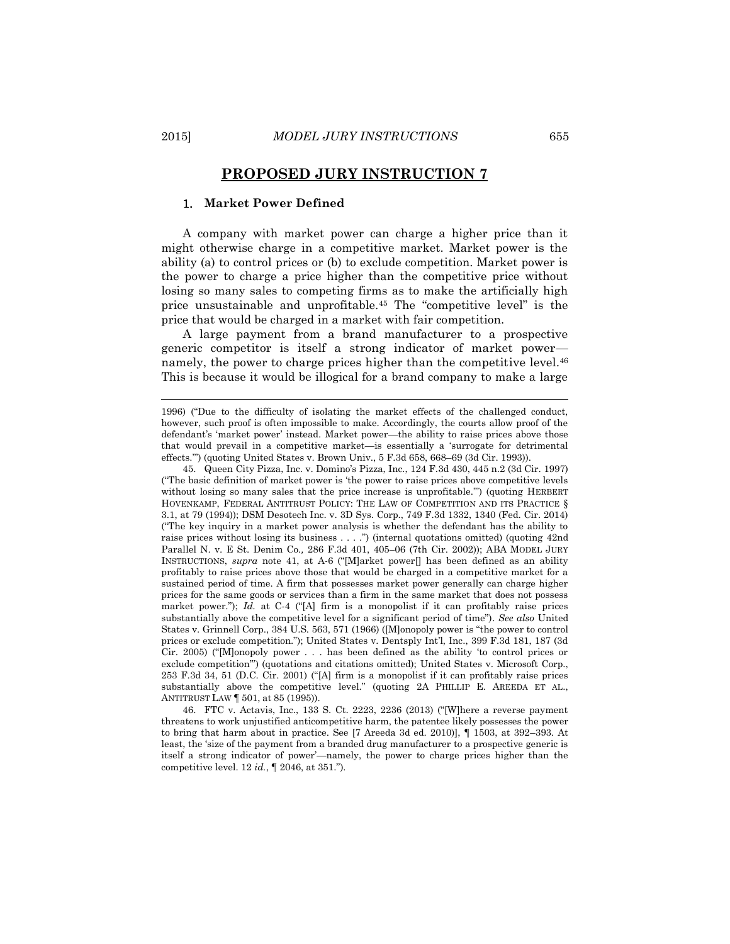#### <span id="page-18-0"></span>1. **Market Power Defined**

A company with market power can charge a higher price than it might otherwise charge in a competitive market. Market power is the ability (a) to control prices or (b) to exclude competition. Market power is the power to charge a price higher than the competitive price without losing so many sales to competing firms as to make the artificially high price unsustainable and unprofitable.<sup>45</sup> The "competitive level" is the price that would be charged in a market with fair competition.

A large payment from a brand manufacturer to a prospective generic competitor is itself a strong indicator of market power namely, the power to charge prices higher than the competitive level.<sup>46</sup> This is because it would be illogical for a brand company to make a large

46. FTC v. Actavis, Inc., 133 S. Ct. 2223, 2236 (2013) ("[W]here a reverse payment threatens to work unjustified anticompetitive harm, the patentee likely possesses the power to bring that harm about in practice. See [7 Areeda 3d ed. 2010)], ¶ 1503, at 392–393. At least, the 'size of the payment from a branded drug manufacturer to a prospective generic is itself a strong indicator of power'—namely, the power to charge prices higher than the competitive level. 12 *id.*, ¶ 2046, at 351.").

<sup>1996) (&</sup>quot;Due to the difficulty of isolating the market effects of the challenged conduct, however, such proof is often impossible to make. Accordingly, the courts allow proof of the defendant's 'market power' instead. Market power—the ability to raise prices above those that would prevail in a competitive market—is essentially a 'surrogate for detrimental effects.'") (quoting United States v. Brown Univ., 5 F.3d 658, 668–69 (3d Cir. 1993)).

<sup>45.</sup> Queen City Pizza, Inc. v. Domino's Pizza, Inc., 124 F.3d 430, 445 n.2 (3d Cir. 1997) ("The basic definition of market power is 'the power to raise prices above competitive levels without losing so many sales that the price increase is unprofitable.'") (quoting HERBERT HOVENKAMP, FEDERAL ANTITRUST POLICY: THE LAW OF COMPETITION AND ITS PRACTICE § 3.1, at 79 (1994)); DSM Desotech Inc. v. 3D Sys. Corp., 749 F.3d 1332, 1340 (Fed. Cir. 2014) ("The key inquiry in a market power analysis is whether the defendant has the ability to raise prices without losing its business . . . .") (internal quotations omitted) (quoting 42nd Parallel N. v. E St. Denim Co.*,* 286 F.3d 401, 405–06 (7th Cir. 2002)); ABA MODEL JURY INSTRUCTIONS, *supra* note 41, at A-6 ("[M]arket power[] has been defined as an ability profitably to raise prices above those that would be charged in a competitive market for a sustained period of time. A firm that possesses market power generally can charge higher prices for the same goods or services than a firm in the same market that does not possess market power."); *Id.* at C-4 ("[A] firm is a monopolist if it can profitably raise prices substantially above the competitive level for a significant period of time"). *See also* United States v. Grinnell Corp., 384 U.S. 563, 571 (1966) ([M]onopoly power is "the power to control prices or exclude competition."); United States v. Dentsply Int'l, Inc., 399 F.3d 181, 187 (3d Cir. 2005) ("[M]onopoly power . . . has been defined as the ability 'to control prices or exclude competition'") (quotations and citations omitted); United States v. Microsoft Corp., 253 F.3d 34, 51 (D.C. Cir. 2001) ("[A] firm is a monopolist if it can profitably raise prices substantially above the competitive level." (quoting 2A PHILLIP E. AREEDA ET AL., ANTITRUST LAW ¶ 501, at 85 (1995)).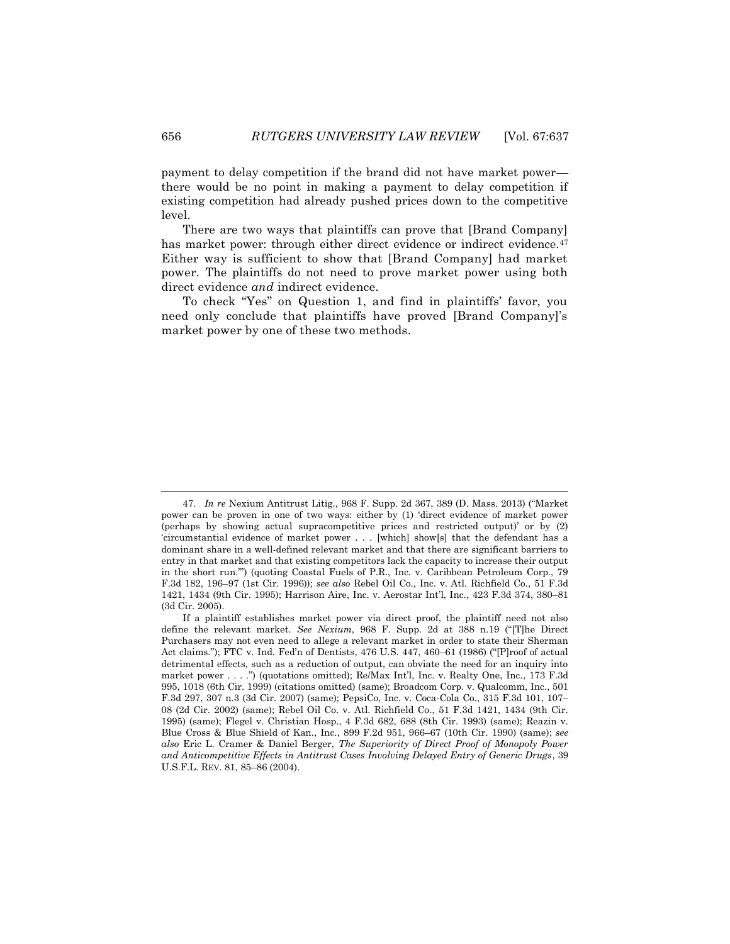payment to delay competition if the brand did not have market power there would be no point in making a payment to delay competition if existing competition had already pushed prices down to the competitive level.

There are two ways that plaintiffs can prove that [Brand Company] has market power: through either direct evidence or indirect evidence.<sup>47</sup> Either way is sufficient to show that [Brand Company] had market power. The plaintiffs do not need to prove market power using both direct evidence *and* indirect evidence.

To check "Yes" on Question 1, and find in plaintiffs' favor, you need only conclude that plaintiffs have proved [Brand Company]'s market power by one of these two methods.

<sup>47.</sup> *In re* Nexium Antitrust Litig., 968 F. Supp. 2d 367, 389 (D. Mass. 2013) ("Market power can be proven in one of two ways: either by (1) 'direct evidence of market power (perhaps by showing actual supracompetitive prices and restricted output)' or by (2) 'circumstantial evidence of market power . . . [which] show[s] that the defendant has a dominant share in a well-defined relevant market and that there are significant barriers to entry in that market and that existing competitors lack the capacity to increase their output in the short run.'") (quoting Coastal Fuels of P.R., Inc. v. Caribbean Petroleum Corp., 79 F.3d 182, 196–97 (1st Cir. 1996)); *see also* Rebel Oil Co., Inc. v. Atl. Richfield Co., 51 F.3d 1421, 1434 (9th Cir. 1995); Harrison Aire, Inc. v. Aerostar Int'l, Inc., 423 F.3d 374, 380–81 (3d Cir. 2005).

If a plaintiff establishes market power via direct proof, the plaintiff need not also define the relevant market. *See Nexium*, 968 F. Supp. 2d at 388 n.19 ("[T]he Direct Purchasers may not even need to allege a relevant market in order to state their Sherman Act claims."); FTC v. Ind. Fed'n of Dentists, 476 U.S. 447, 460–61 (1986) ("[P]roof of actual detrimental effects, such as a reduction of output, can obviate the need for an inquiry into market power . . . .") (quotations omitted); Re/Max Int'l, Inc. v. Realty One, Inc., 173 F.3d 995, 1018 (6th Cir. 1999) (citations omitted) (same); Broadcom Corp. v. Qualcomm, Inc., 501 F.3d 297, 307 n.3 (3d Cir. 2007) (same); PepsiCo, Inc. v. Coca-Cola Co., 315 F.3d 101, 107– 08 (2d Cir. 2002) (same); Rebel Oil Co. v. Atl. Richfield Co., 51 F.3d 1421, 1434 (9th Cir. 1995) (same); Flegel v. Christian Hosp., 4 F.3d 682, 688 (8th Cir. 1993) (same); Reazin v. Blue Cross & Blue Shield of Kan., Inc., 899 F.2d 951, 966–67 (10th Cir. 1990) (same); *see also* Eric L. Cramer & Daniel Berger, *The Superiority of Direct Proof of Monopoly Power and Anticompetitive Effects in Antitrust Cases Involving Delayed Entry of Generic Drugs*, 39 U.S.F.L. REV. 81, 85–86 (2004).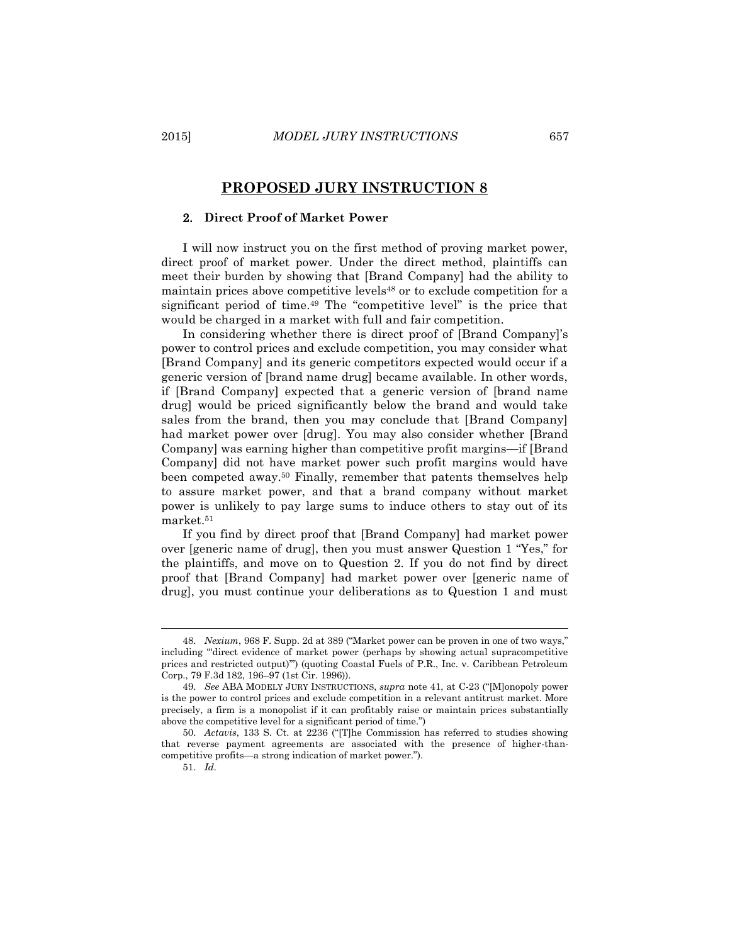# <span id="page-20-0"></span>2. **Direct Proof of Market Power**

I will now instruct you on the first method of proving market power, direct proof of market power. Under the direct method, plaintiffs can meet their burden by showing that [Brand Company] had the ability to maintain prices above competitive levels<sup>48</sup> or to exclude competition for a significant period of time.<sup>49</sup> The "competitive level" is the price that would be charged in a market with full and fair competition.

In considering whether there is direct proof of [Brand Company]'s power to control prices and exclude competition, you may consider what [Brand Company] and its generic competitors expected would occur if a generic version of [brand name drug] became available. In other words, if [Brand Company] expected that a generic version of [brand name drug] would be priced significantly below the brand and would take sales from the brand, then you may conclude that [Brand Company] had market power over [drug]. You may also consider whether [Brand Company] was earning higher than competitive profit margins—if [Brand Company] did not have market power such profit margins would have been competed away.<sup>50</sup> Finally, remember that patents themselves help to assure market power, and that a brand company without market power is unlikely to pay large sums to induce others to stay out of its market.<sup>51</sup>

If you find by direct proof that [Brand Company] had market power over [generic name of drug], then you must answer Question 1 "Yes," for the plaintiffs, and move on to Question 2. If you do not find by direct proof that [Brand Company] had market power over [generic name of drug], you must continue your deliberations as to Question 1 and must

 $\overline{a}$ 

<sup>48.</sup> *Nexium*, 968 F. Supp. 2d at 389 ("Market power can be proven in one of two ways," including "'direct evidence of market power (perhaps by showing actual supracompetitive prices and restricted output)'") (quoting Coastal Fuels of P.R., Inc. v. Caribbean Petroleum Corp., 79 F.3d 182, 196–97 (1st Cir. 1996)).

<sup>49.</sup> *See* ABA MODELY JURY INSTRUCTIONS, *supra* note 41, at C-23 ("[M]onopoly power is the power to control prices and exclude competition in a relevant antitrust market. More precisely, a firm is a monopolist if it can profitably raise or maintain prices substantially above the competitive level for a significant period of time.")

<sup>50.</sup> *Actavis*, 133 S. Ct. at 2236 ("[T]he Commission has referred to studies showing that reverse payment agreements are associated with the presence of higher-thancompetitive profits—a strong indication of market power.").

<sup>51.</sup> *Id.*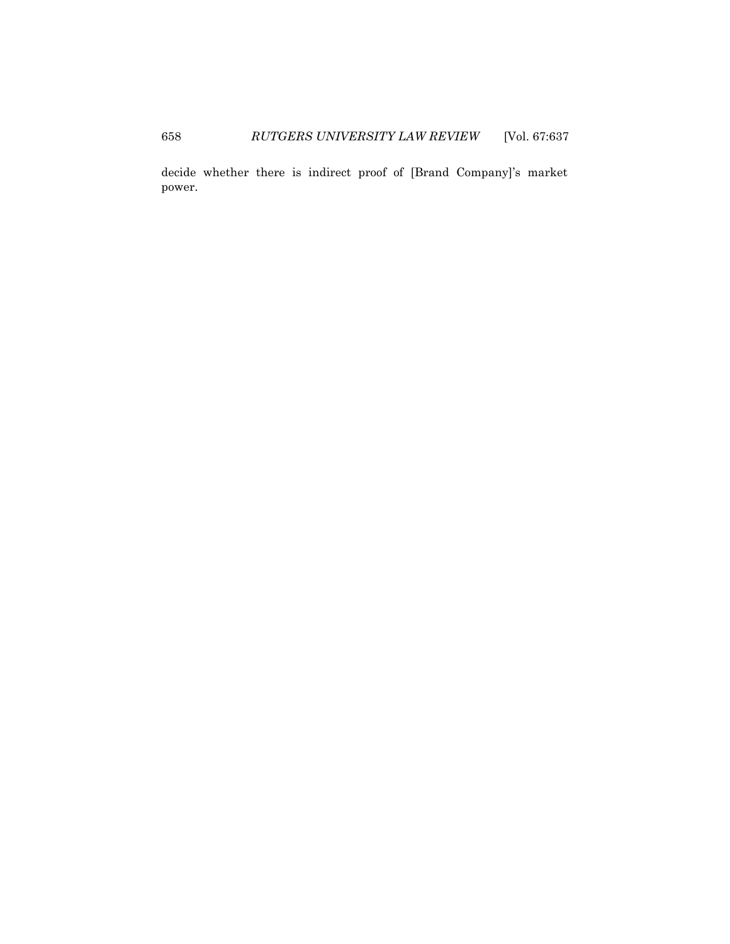decide whether there is indirect proof of [Brand Company]'s market power.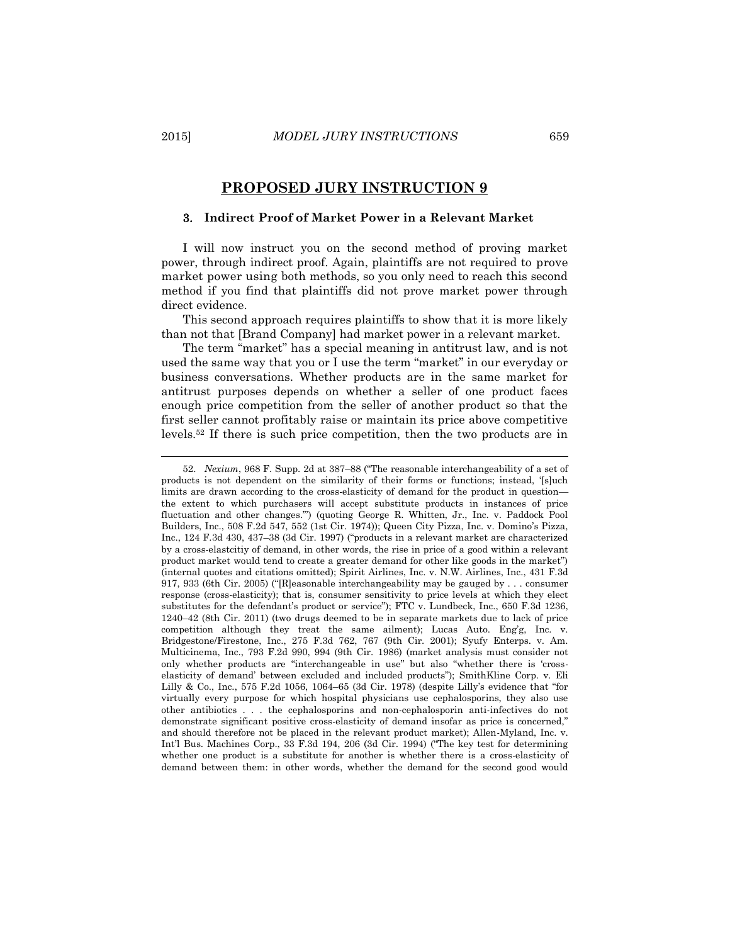l

### **PROPOSED JURY INSTRUCTION 9**

#### <span id="page-22-0"></span>3. **Indirect Proof of Market Power in a Relevant Market**

I will now instruct you on the second method of proving market power, through indirect proof. Again, plaintiffs are not required to prove market power using both methods, so you only need to reach this second method if you find that plaintiffs did not prove market power through direct evidence.

This second approach requires plaintiffs to show that it is more likely than not that [Brand Company] had market power in a relevant market.

The term "market" has a special meaning in antitrust law, and is not used the same way that you or I use the term "market" in our everyday or business conversations. Whether products are in the same market for antitrust purposes depends on whether a seller of one product faces enough price competition from the seller of another product so that the first seller cannot profitably raise or maintain its price above competitive levels.<sup>52</sup> If there is such price competition, then the two products are in

<sup>52.</sup> *Nexium*, 968 F. Supp. 2d at 387–88 ("The reasonable interchangeability of a set of products is not dependent on the similarity of their forms or functions; instead, '[s]uch limits are drawn according to the cross-elasticity of demand for the product in question the extent to which purchasers will accept substitute products in instances of price fluctuation and other changes.'") (quoting George R. Whitten, Jr., Inc. v. Paddock Pool Builders, Inc., 508 F.2d 547, 552 (1st Cir. 1974)); Queen City Pizza, Inc. v. Domino's Pizza, Inc., 124 F.3d 430, 437–38 (3d Cir. 1997) ("products in a relevant market are characterized by a cross-elastcitiy of demand, in other words, the rise in price of a good within a relevant product market would tend to create a greater demand for other like goods in the market") (internal quotes and citations omitted); Spirit Airlines, Inc. v. N.W. Airlines, Inc., 431 F.3d 917, 933 (6th Cir. 2005) ("[R]easonable interchangeability may be gauged by . . . consumer response (cross-elasticity); that is, consumer sensitivity to price levels at which they elect substitutes for the defendant's product or service"); FTC v. Lundbeck, Inc., 650 F.3d 1236, 1240–42 (8th Cir. 2011) (two drugs deemed to be in separate markets due to lack of price competition although they treat the same ailment); Lucas Auto. Eng'g, Inc. v. Bridgestone/Firestone, Inc., 275 F.3d 762, 767 (9th Cir. 2001); Syufy Enterps. v. Am. Multicinema, Inc., 793 F.2d 990, 994 (9th Cir. 1986) (market analysis must consider not only whether products are "interchangeable in use" but also "whether there is 'crosselasticity of demand' between excluded and included products"); SmithKline Corp. v. Eli Lilly & Co., Inc., 575 F.2d 1056, 1064–65 (3d Cir. 1978) (despite Lilly's evidence that "for virtually every purpose for which hospital physicians use cephalosporins, they also use other antibiotics . . . the cephalosporins and non-cephalosporin anti-infectives do not demonstrate significant positive cross-elasticity of demand insofar as price is concerned," and should therefore not be placed in the relevant product market); Allen-Myland, Inc. v. Int'l Bus. Machines Corp., 33 F.3d 194, 206 (3d Cir. 1994) ("The key test for determining whether one product is a substitute for another is whether there is a cross-elasticity of demand between them: in other words, whether the demand for the second good would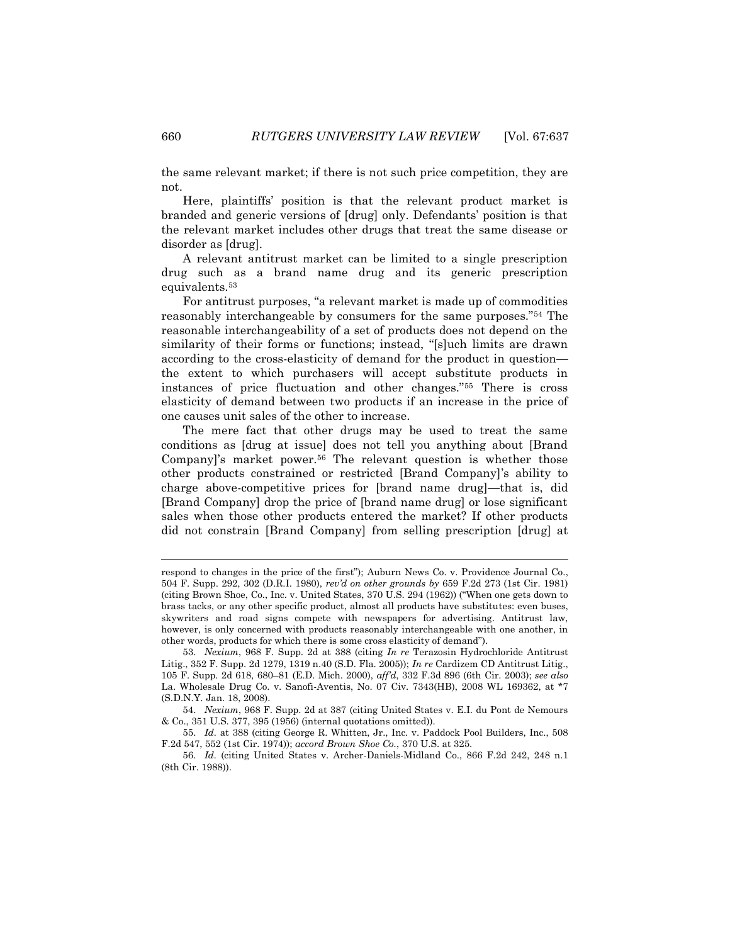the same relevant market; if there is not such price competition, they are not.

Here, plaintiffs' position is that the relevant product market is branded and generic versions of [drug] only. Defendants' position is that the relevant market includes other drugs that treat the same disease or disorder as [drug].

A relevant antitrust market can be limited to a single prescription drug such as a brand name drug and its generic prescription equivalents.<sup>53</sup>

For antitrust purposes, "a relevant market is made up of commodities reasonably interchangeable by consumers for the same purposes."<sup>54</sup> The reasonable interchangeability of a set of products does not depend on the similarity of their forms or functions; instead, "[s]uch limits are drawn according to the cross-elasticity of demand for the product in question the extent to which purchasers will accept substitute products in instances of price fluctuation and other changes."<sup>55</sup> There is cross elasticity of demand between two products if an increase in the price of one causes unit sales of the other to increase.

The mere fact that other drugs may be used to treat the same conditions as [drug at issue] does not tell you anything about [Brand Company]'s market power.<sup>56</sup> The relevant question is whether those other products constrained or restricted [Brand Company]'s ability to charge above-competitive prices for [brand name drug]—that is, did [Brand Company] drop the price of [brand name drug] or lose significant sales when those other products entered the market? If other products did not constrain [Brand Company] from selling prescription [drug] at

respond to changes in the price of the first"); Auburn News Co. v. Providence Journal Co., 504 F. Supp. 292, 302 (D.R.I. 1980), *rev'd on other grounds by* 659 F.2d 273 (1st Cir. 1981) (citing Brown Shoe, Co., Inc. v. United States, 370 U.S. 294 (1962)) ("When one gets down to brass tacks, or any other specific product, almost all products have substitutes: even buses, skywriters and road signs compete with newspapers for advertising. Antitrust law, however, is only concerned with products reasonably interchangeable with one another, in other words, products for which there is some cross elasticity of demand").

<sup>53.</sup> *Nexium*, 968 F. Supp. 2d at 388 (citing *In re* Terazosin Hydrochloride Antitrust Litig., 352 F. Supp. 2d 1279, 1319 n.40 (S.D. Fla. 2005)); *In re* Cardizem CD Antitrust Litig., 105 F. Supp. 2d 618, 680–81 (E.D. Mich. 2000), *aff'd*, 332 F.3d 896 (6th Cir. 2003); *see also* La. Wholesale Drug Co. v. Sanofi-Aventis, No. 07 Civ. 7343(HB), 2008 WL 169362, at \*7 (S.D.N.Y. Jan. 18, 2008).

<sup>54.</sup> *Nexium*, 968 F. Supp. 2d at 387 (citing United States v. E.I. du Pont de Nemours & Co., 351 U.S. 377, 395 (1956) (internal quotations omitted)).

<sup>55.</sup> *Id.* at 388 (citing George R. Whitten, Jr., Inc. v. Paddock Pool Builders, Inc., 508 F.2d 547, 552 (1st Cir. 1974)); *accord Brown Shoe Co.*, 370 U.S. at 325.

<sup>56.</sup> *Id.* (citing United States v. Archer-Daniels-Midland Co., 866 F.2d 242, 248 n.1 (8th Cir. 1988)).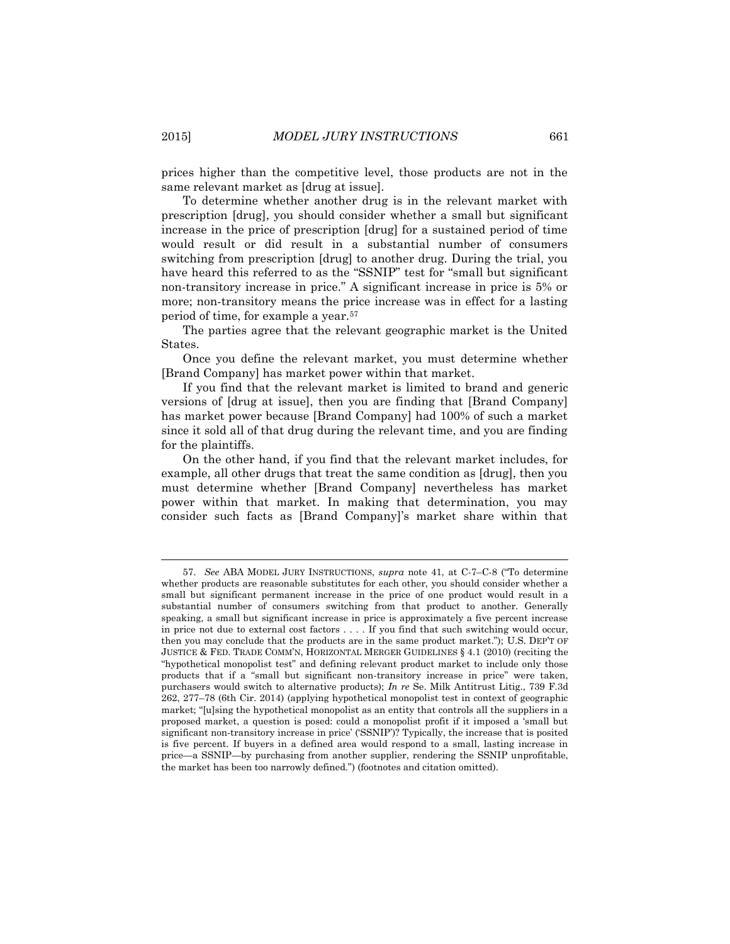prices higher than the competitive level, those products are not in the same relevant market as [drug at issue].

To determine whether another drug is in the relevant market with prescription [drug], you should consider whether a small but significant increase in the price of prescription [drug] for a sustained period of time would result or did result in a substantial number of consumers switching from prescription [drug] to another drug. During the trial, you have heard this referred to as the "SSNIP" test for "small but significant non-transitory increase in price." A significant increase in price is 5% or more; non-transitory means the price increase was in effect for a lasting period of time, for example a year.<sup>57</sup>

The parties agree that the relevant geographic market is the United States.

Once you define the relevant market, you must determine whether [Brand Company] has market power within that market.

If you find that the relevant market is limited to brand and generic versions of [drug at issue], then you are finding that [Brand Company] has market power because [Brand Company] had 100% of such a market since it sold all of that drug during the relevant time, and you are finding for the plaintiffs.

On the other hand, if you find that the relevant market includes, for example, all other drugs that treat the same condition as [drug], then you must determine whether [Brand Company] nevertheless has market power within that market. In making that determination, you may consider such facts as [Brand Company]'s market share within that

<sup>57.</sup> *See* ABA MODEL JURY INSTRUCTIONS, *supra* note 41, at C-7–C-8 ("To determine whether products are reasonable substitutes for each other, you should consider whether a small but significant permanent increase in the price of one product would result in a substantial number of consumers switching from that product to another. Generally speaking, a small but significant increase in price is approximately a five percent increase in price not due to external cost factors . . . . If you find that such switching would occur, then you may conclude that the products are in the same product market."); U.S. DEP'T OF JUSTICE & FED. TRADE COMM'N, HORIZONTAL MERGER GUIDELINES § 4.1 (2010) (reciting the "hypothetical monopolist test" and defining relevant product market to include only those products that if a "small but significant non-transitory increase in price" were taken, purchasers would switch to alternative products); *In re* Se. Milk Antitrust Litig., 739 F.3d 262, 277–78 (6th Cir. 2014) (applying hypothetical monopolist test in context of geographic market; "[u]sing the hypothetical monopolist as an entity that controls all the suppliers in a proposed market, a question is posed: could a monopolist profit if it imposed a 'small but significant non-transitory increase in price' ('SSNIP')? Typically, the increase that is posited is five percent. If buyers in a defined area would respond to a small, lasting increase in price—a SSNIP—by purchasing from another supplier, rendering the SSNIP unprofitable, the market has been too narrowly defined.") (footnotes and citation omitted).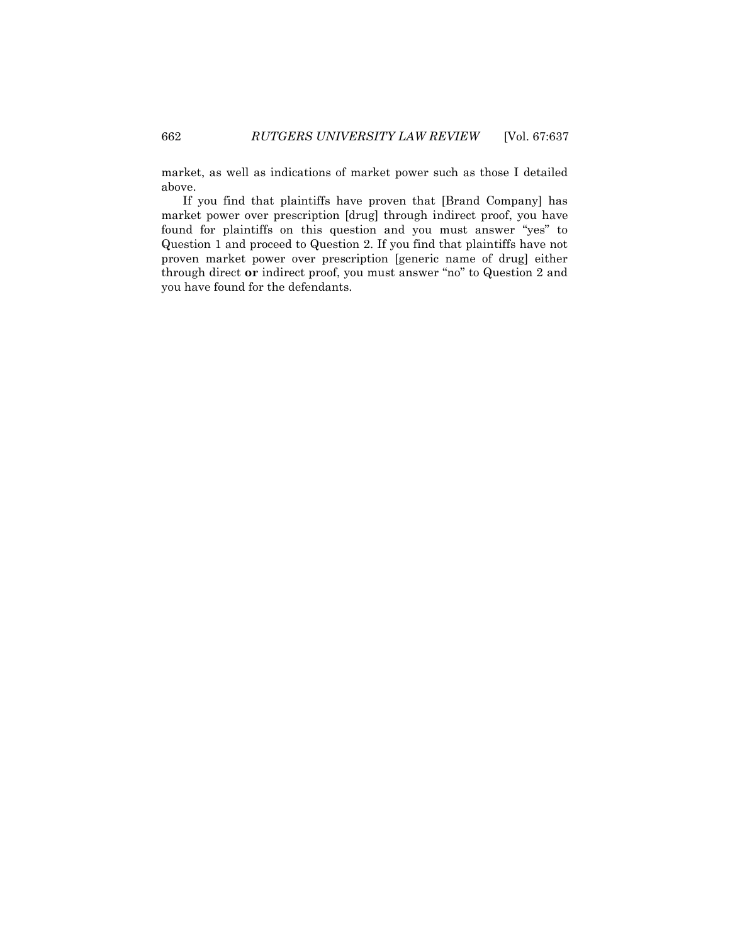market, as well as indications of market power such as those I detailed above.

If you find that plaintiffs have proven that [Brand Company] has market power over prescription [drug] through indirect proof, you have found for plaintiffs on this question and you must answer "yes" to Question 1 and proceed to Question 2. If you find that plaintiffs have not proven market power over prescription [generic name of drug] either through direct **or** indirect proof, you must answer "no" to Question 2 and you have found for the defendants.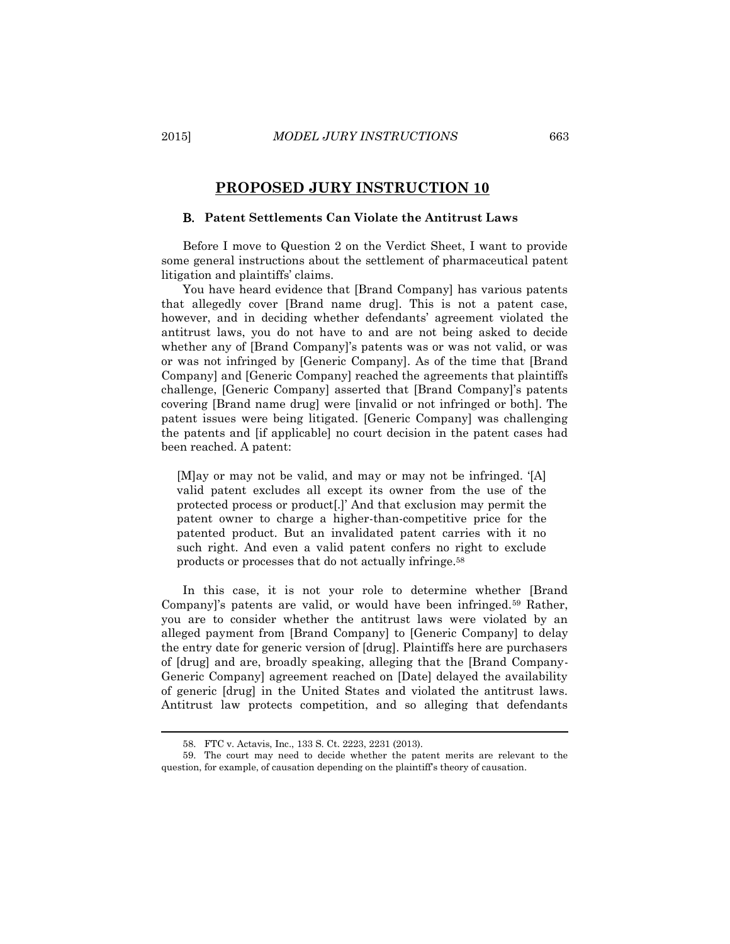#### <span id="page-26-0"></span>B. **Patent Settlements Can Violate the Antitrust Laws**

Before I move to Question 2 on the Verdict Sheet, I want to provide some general instructions about the settlement of pharmaceutical patent litigation and plaintiffs' claims.

You have heard evidence that [Brand Company] has various patents that allegedly cover [Brand name drug]. This is not a patent case, however, and in deciding whether defendants' agreement violated the antitrust laws, you do not have to and are not being asked to decide whether any of [Brand Company]'s patents was or was not valid, or was or was not infringed by [Generic Company]. As of the time that [Brand Company] and [Generic Company] reached the agreements that plaintiffs challenge, [Generic Company] asserted that [Brand Company]'s patents covering [Brand name drug] were [invalid or not infringed or both]. The patent issues were being litigated. [Generic Company] was challenging the patents and [if applicable] no court decision in the patent cases had been reached. A patent:

[M]ay or may not be valid, and may or may not be infringed. '[A] valid patent excludes all except its owner from the use of the protected process or product[.]' And that exclusion may permit the patent owner to charge a higher-than-competitive price for the patented product. But an invalidated patent carries with it no such right. And even a valid patent confers no right to exclude products or processes that do not actually infringe.<sup>58</sup>

In this case, it is not your role to determine whether [Brand Company]'s patents are valid, or would have been infringed.<sup>59</sup> Rather, you are to consider whether the antitrust laws were violated by an alleged payment from [Brand Company] to [Generic Company] to delay the entry date for generic version of [drug]. Plaintiffs here are purchasers of [drug] and are, broadly speaking, alleging that the [Brand Company-Generic Company] agreement reached on [Date] delayed the availability of generic [drug] in the United States and violated the antitrust laws. Antitrust law protects competition, and so alleging that defendants

<sup>58.</sup> FTC v. Actavis, Inc., 133 S. Ct. 2223, 2231 (2013).

<sup>59.</sup> The court may need to decide whether the patent merits are relevant to the question, for example, of causation depending on the plaintiff's theory of causation.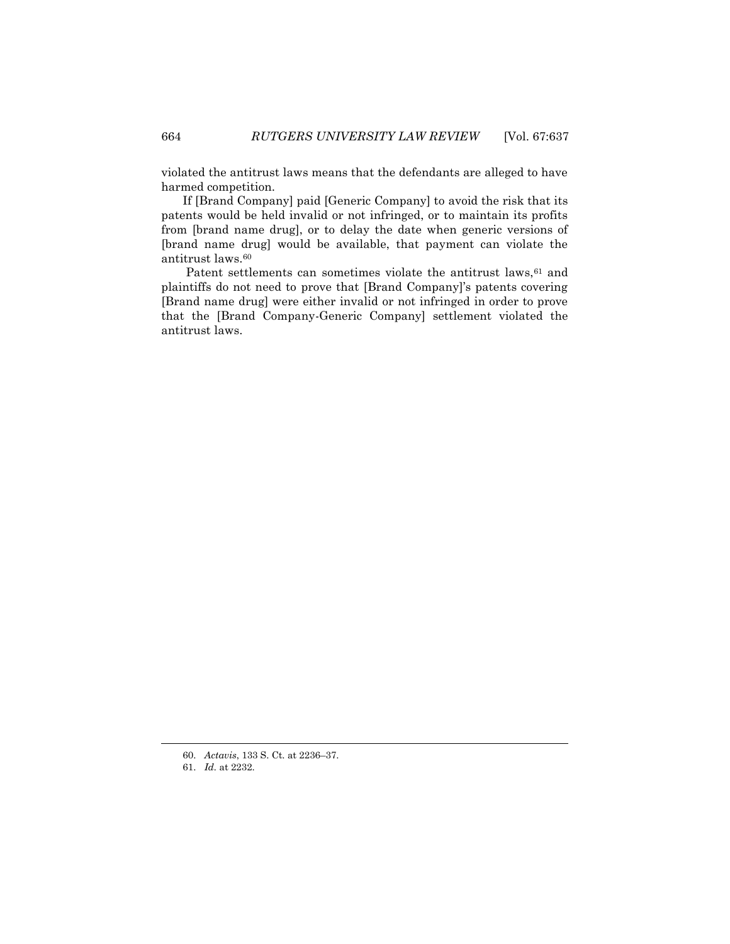violated the antitrust laws means that the defendants are alleged to have harmed competition.

If [Brand Company] paid [Generic Company] to avoid the risk that its patents would be held invalid or not infringed, or to maintain its profits from [brand name drug], or to delay the date when generic versions of [brand name drug] would be available, that payment can violate the antitrust laws.<sup>60</sup>

Patent settlements can sometimes violate the antitrust laws,<sup>61</sup> and plaintiffs do not need to prove that [Brand Company]'s patents covering [Brand name drug] were either invalid or not infringed in order to prove that the [Brand Company-Generic Company] settlement violated the antitrust laws.

<sup>60.</sup> *Actavis*, 133 S. Ct. at 2236–37.

<sup>61.</sup> *Id.* at 2232.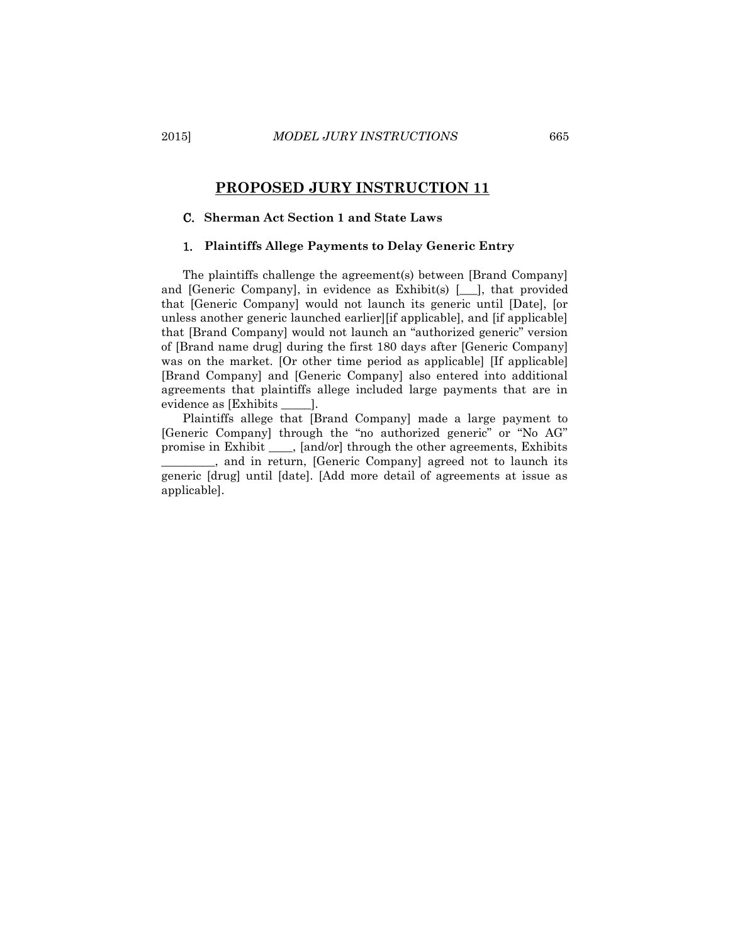### <span id="page-28-0"></span>C. **Sherman Act Section 1 and State Laws**

#### <span id="page-28-1"></span>1. **Plaintiffs Allege Payments to Delay Generic Entry**

The plaintiffs challenge the agreement(s) between [Brand Company] and [Generic Company], in evidence as Exhibit(s)  $[\_$ ], that provided that [Generic Company] would not launch its generic until [Date], [or unless another generic launched earlier][if applicable], and [if applicable] that [Brand Company] would not launch an "authorized generic" version of [Brand name drug] during the first 180 days after [Generic Company] was on the market. [Or other time period as applicable] [If applicable] [Brand Company] and [Generic Company] also entered into additional agreements that plaintiffs allege included large payments that are in evidence as [Exhibits \_\_\_\_\_].

Plaintiffs allege that [Brand Company] made a large payment to [Generic Company] through the "no authorized generic" or "No AG" promise in Exhibit \_\_\_\_, [and/or] through the other agreements, Exhibits \_\_\_\_\_\_\_\_\_, and in return, [Generic Company] agreed not to launch its generic [drug] until [date]. [Add more detail of agreements at issue as applicable].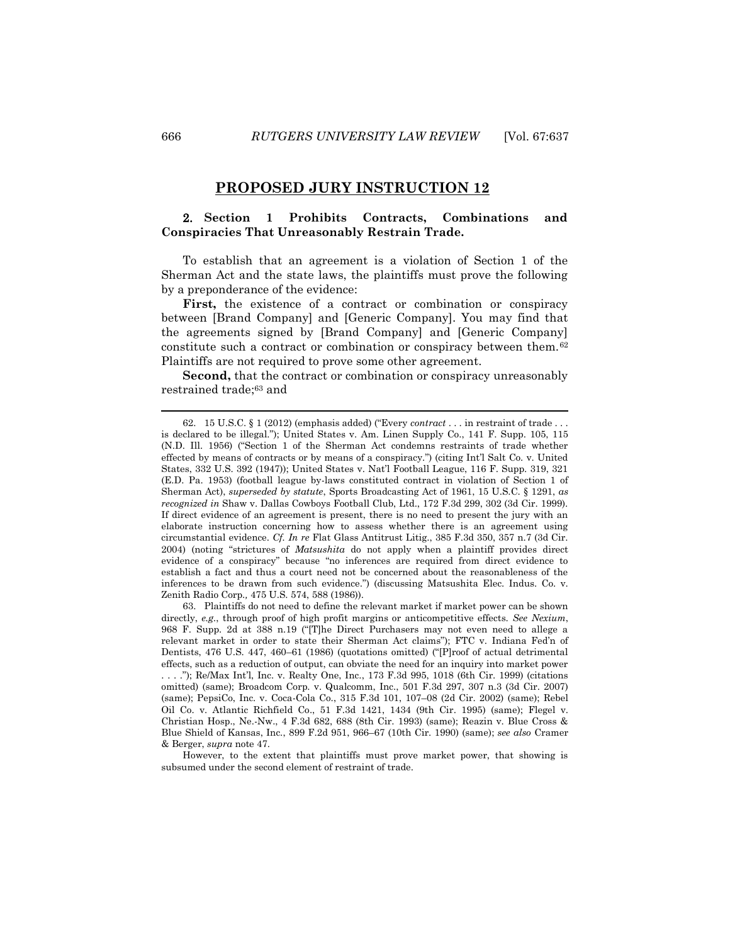### <span id="page-29-0"></span>2. **Section 1 Prohibits Contracts, Combinations and Conspiracies That Unreasonably Restrain Trade.**

To establish that an agreement is a violation of Section 1 of the Sherman Act and the state laws, the plaintiffs must prove the following by a preponderance of the evidence:

**First,** the existence of a contract or combination or conspiracy between [Brand Company] and [Generic Company]. You may find that the agreements signed by [Brand Company] and [Generic Company] constitute such a contract or combination or conspiracy between them.<sup>62</sup> Plaintiffs are not required to prove some other agreement.

**Second,** that the contract or combination or conspiracy unreasonably restrained trade;<sup>63</sup> and

63. Plaintiffs do not need to define the relevant market if market power can be shown directly, *e.g.*, through proof of high profit margins or anticompetitive effects. *See Nexium*, 968 F. Supp. 2d at 388 n.19 ("[T]he Direct Purchasers may not even need to allege a relevant market in order to state their Sherman Act claims"); FTC v. Indiana Fed'n of Dentists, 476 U.S. 447, 460–61 (1986) (quotations omitted) ("[P]roof of actual detrimental effects, such as a reduction of output, can obviate the need for an inquiry into market power . . . ."); Re/Max Int'l, Inc. v. Realty One, Inc., 173 F.3d 995, 1018 (6th Cir. 1999) (citations omitted) (same); Broadcom Corp. v. Qualcomm, Inc., 501 F.3d 297, 307 n.3 (3d Cir. 2007) (same); PepsiCo, Inc. v. Coca-Cola Co., 315 F.3d 101, 107–08 (2d Cir. 2002) (same); Rebel Oil Co. v. Atlantic Richfield Co., 51 F.3d 1421, 1434 (9th Cir. 1995) (same); Flegel v. Christian Hosp., Ne.-Nw., 4 F.3d 682, 688 (8th Cir. 1993) (same); Reazin v. Blue Cross & Blue Shield of Kansas, Inc., 899 F.2d 951, 966–67 (10th Cir. 1990) (same); *see also* Cramer & Berger, *supra* note 47.

However, to the extent that plaintiffs must prove market power, that showing is subsumed under the second element of restraint of trade.

<sup>62.</sup> 15 U.S.C. § 1 (2012) (emphasis added) ("Every *contract* . . . in restraint of trade . . . is declared to be illegal."); United States v. Am. Linen Supply Co., 141 F. Supp. 105, 115 (N.D. Ill. 1956) ("Section 1 of the Sherman Act condemns restraints of trade whether effected by means of contracts or by means of a conspiracy.") (citing Int'l Salt Co. v. United States, 332 U.S. 392 (1947)); United States v. Nat'l Football League, 116 F. Supp. 319, 321 (E.D. Pa. 1953) (football league by-laws constituted contract in violation of Section 1 of Sherman Act), *superseded by statute*, Sports Broadcasting Act of 1961, 15 U.S.C. § 1291, *as recognized in* Shaw v. Dallas Cowboys Football Club, Ltd., 172 F.3d 299, 302 (3d Cir. 1999). If direct evidence of an agreement is present, there is no need to present the jury with an elaborate instruction concerning how to assess whether there is an agreement using circumstantial evidence. *Cf. In re* Flat Glass Antitrust Litig., 385 F.3d 350, 357 n.7 (3d Cir. 2004) (noting "strictures of *Matsushita* do not apply when a plaintiff provides direct evidence of a conspiracy" because "no inferences are required from direct evidence to establish a fact and thus a court need not be concerned about the reasonableness of the inferences to be drawn from such evidence.") (discussing Matsushita Elec. Indus. Co. v. Zenith Radio Corp.*,* 475 U.S. 574, 588 (1986)).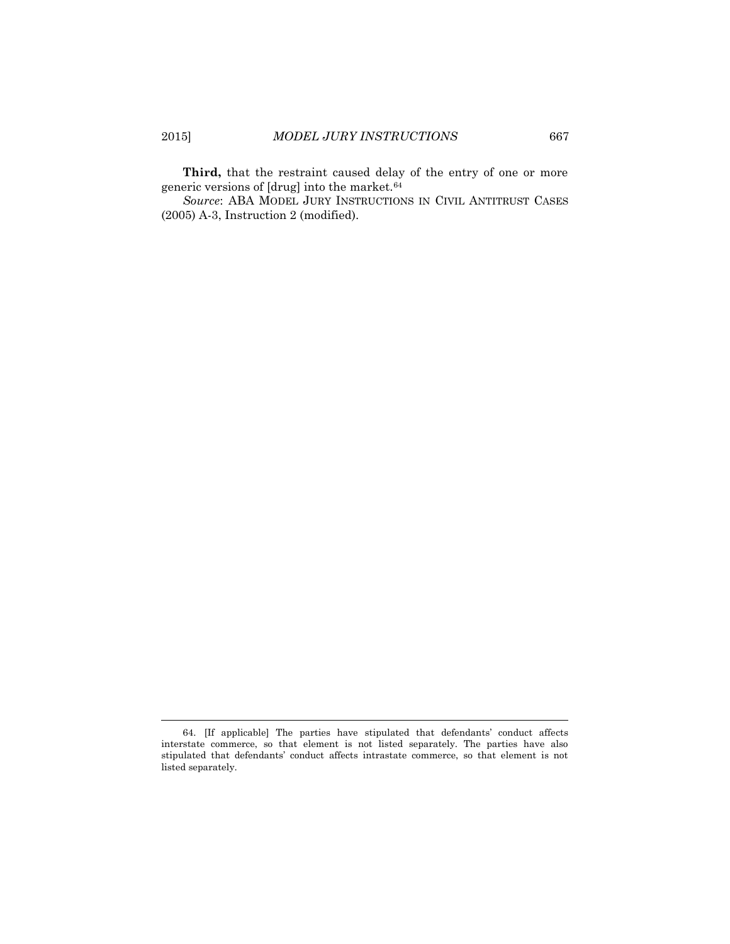**Third,** that the restraint caused delay of the entry of one or more generic versions of [drug] into the market.<sup>64</sup>

*Source*: ABA MODEL JURY INSTRUCTIONS IN CIVIL ANTITRUST CASES (2005) A-3, Instruction 2 (modified).

<sup>64.</sup> [If applicable] The parties have stipulated that defendants' conduct affects interstate commerce, so that element is not listed separately. The parties have also stipulated that defendants' conduct affects intrastate commerce, so that element is not listed separately.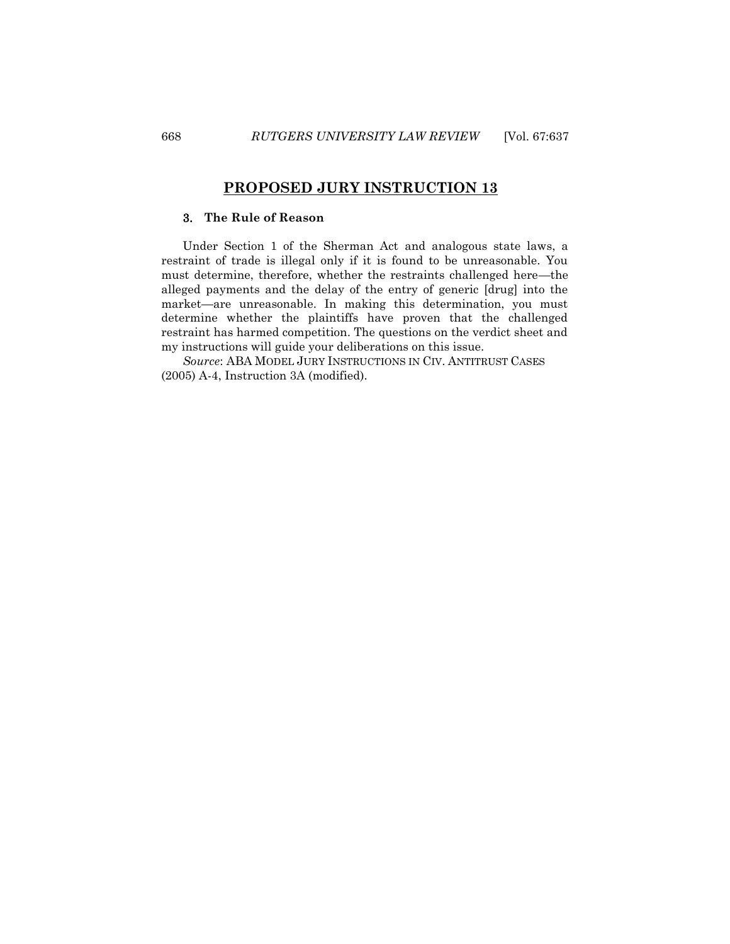#### <span id="page-31-0"></span>3. **The Rule of Reason**

Under Section 1 of the Sherman Act and analogous state laws, a restraint of trade is illegal only if it is found to be unreasonable. You must determine, therefore, whether the restraints challenged here—the alleged payments and the delay of the entry of generic [drug] into the market—are unreasonable. In making this determination, you must determine whether the plaintiffs have proven that the challenged restraint has harmed competition. The questions on the verdict sheet and my instructions will guide your deliberations on this issue.

*Source*: ABA MODEL JURY INSTRUCTIONS IN CIV. ANTITRUST CASES (2005) A-4, Instruction 3A (modified).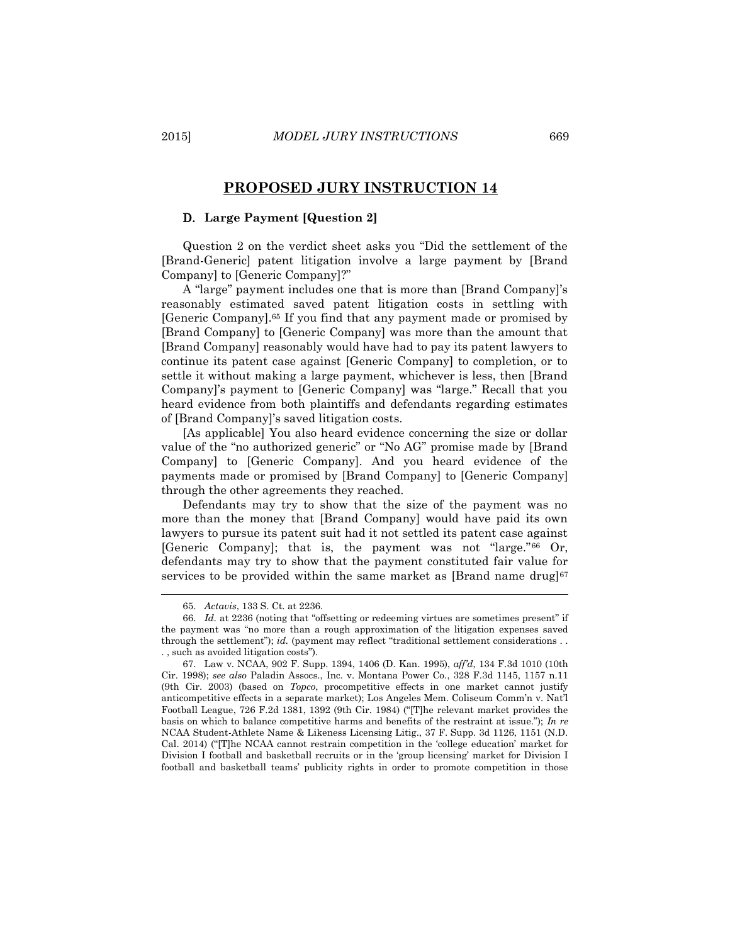#### <span id="page-32-0"></span>D. **Large Payment [Question 2]**

Question 2 on the verdict sheet asks you "Did the settlement of the [Brand-Generic] patent litigation involve a large payment by [Brand Company] to [Generic Company]?"

A "large" payment includes one that is more than [Brand Company]'s reasonably estimated saved patent litigation costs in settling with [Generic Company].<sup>65</sup> If you find that any payment made or promised by [Brand Company] to [Generic Company] was more than the amount that [Brand Company] reasonably would have had to pay its patent lawyers to continue its patent case against [Generic Company] to completion, or to settle it without making a large payment, whichever is less, then [Brand Company]'s payment to [Generic Company] was "large." Recall that you heard evidence from both plaintiffs and defendants regarding estimates of [Brand Company]'s saved litigation costs.

[As applicable] You also heard evidence concerning the size or dollar value of the "no authorized generic" or "No AG" promise made by [Brand Company] to [Generic Company]. And you heard evidence of the payments made or promised by [Brand Company] to [Generic Company] through the other agreements they reached.

Defendants may try to show that the size of the payment was no more than the money that [Brand Company] would have paid its own lawyers to pursue its patent suit had it not settled its patent case against [Generic Company]; that is, the payment was not "large."<sup>66</sup> Or, defendants may try to show that the payment constituted fair value for services to be provided within the same market as [Brand name drug] $67$ 

<sup>65.</sup> *Actavis*, 133 S. Ct. at 2236.

<sup>66.</sup> *Id.* at 2236 (noting that "offsetting or redeeming virtues are sometimes present" if the payment was "no more than a rough approximation of the litigation expenses saved through the settlement"); *id.* (payment may reflect "traditional settlement considerations . . . , such as avoided litigation costs").

<sup>67.</sup> Law v. NCAA, 902 F. Supp. 1394, 1406 (D. Kan. 1995), *aff'd*, 134 F.3d 1010 (10th Cir. 1998); *see also* Paladin Assocs., Inc. v. Montana Power Co., 328 F.3d 1145, 1157 n.11 (9th Cir. 2003) (based on *Topco*, procompetitive effects in one market cannot justify anticompetitive effects in a separate market); Los Angeles Mem. Coliseum Comm'n v. Nat'l Football League, 726 F.2d 1381, 1392 (9th Cir. 1984) ("[T]he relevant market provides the basis on which to balance competitive harms and benefits of the restraint at issue."); *In re*  NCAA Student-Athlete Name & Likeness Licensing Litig., 37 F. Supp. 3d 1126, 1151 (N.D. Cal. 2014) ("[T]he NCAA cannot restrain competition in the 'college education' market for Division I football and basketball recruits or in the 'group licensing' market for Division I football and basketball teams' publicity rights in order to promote competition in those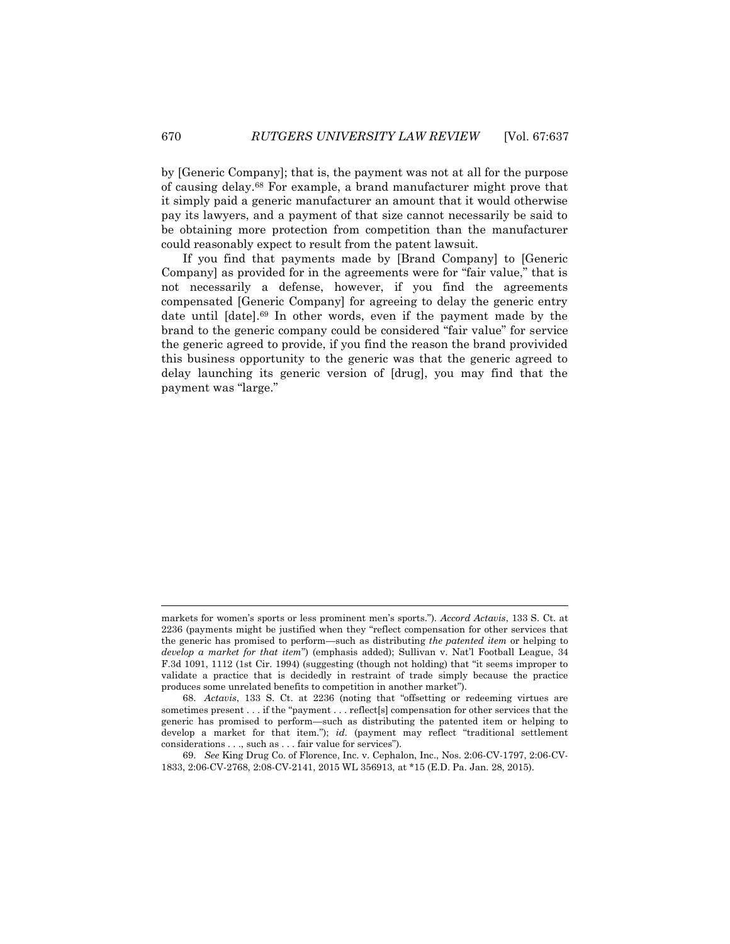by [Generic Company]; that is, the payment was not at all for the purpose of causing delay.<sup>68</sup> For example, a brand manufacturer might prove that it simply paid a generic manufacturer an amount that it would otherwise pay its lawyers, and a payment of that size cannot necessarily be said to be obtaining more protection from competition than the manufacturer could reasonably expect to result from the patent lawsuit.

If you find that payments made by [Brand Company] to [Generic Company] as provided for in the agreements were for "fair value," that is not necessarily a defense, however, if you find the agreements compensated [Generic Company] for agreeing to delay the generic entry date until [date].<sup>69</sup> In other words, even if the payment made by the brand to the generic company could be considered "fair value" for service the generic agreed to provide, if you find the reason the brand provivided this business opportunity to the generic was that the generic agreed to delay launching its generic version of [drug], you may find that the payment was "large."

69. *See* King Drug Co. of Florence, Inc. v. Cephalon, Inc., Nos. 2:06-CV-1797, 2:06-CV-1833, 2:06-CV-2768, 2:08-CV-2141, 2015 WL 356913, at \*15 (E.D. Pa. Jan. 28, 2015).

markets for women's sports or less prominent men's sports."). *Accord Actavis*, 133 S. Ct. at 2236 (payments might be justified when they "reflect compensation for other services that the generic has promised to perform—such as distributing *the patented item* or helping to *develop a market for that item*") (emphasis added); Sullivan v. Nat'l Football League, 34 F.3d 1091, 1112 (1st Cir. 1994) (suggesting (though not holding) that "it seems improper to validate a practice that is decidedly in restraint of trade simply because the practice produces some unrelated benefits to competition in another market").

<sup>68.</sup> *Actavis*, 133 S. Ct. at 2236 (noting that "offsetting or redeeming virtues are sometimes present . . . if the "payment . . . reflect[s] compensation for other services that the generic has promised to perform—such as distributing the patented item or helping to develop a market for that item."); *id.* (payment may reflect "traditional settlement considerations . . ., such as . . . fair value for services").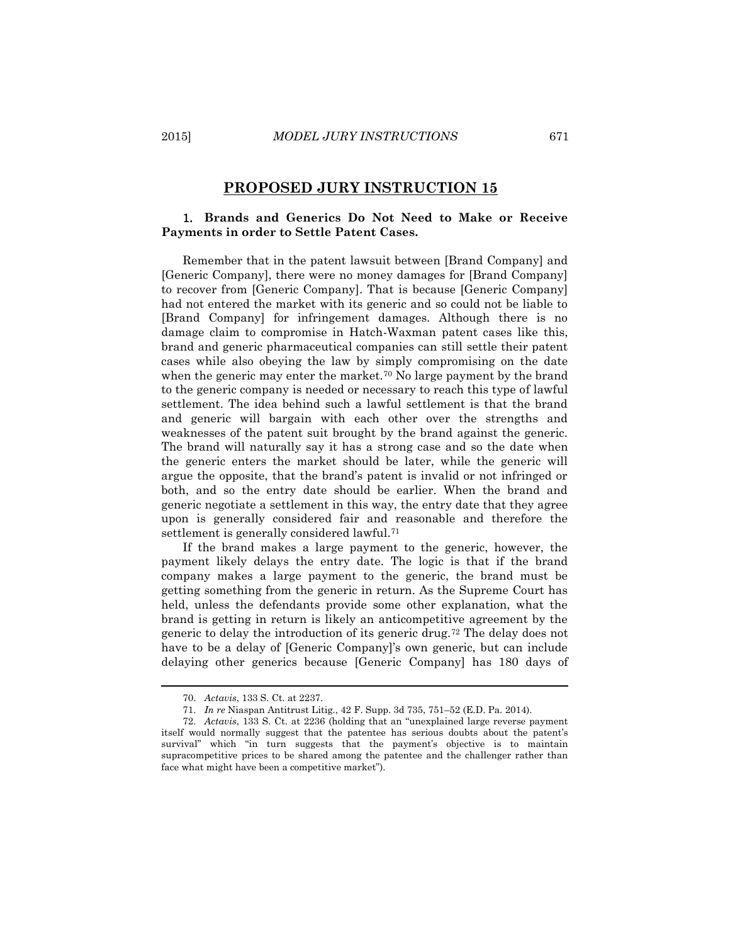# <span id="page-34-0"></span>1. **Brands and Generics Do Not Need to Make or Receive Payments in order to Settle Patent Cases.**

Remember that in the patent lawsuit between [Brand Company] and [Generic Company], there were no money damages for [Brand Company] to recover from [Generic Company]. That is because [Generic Company] had not entered the market with its generic and so could not be liable to [Brand Company] for infringement damages. Although there is no damage claim to compromise in Hatch-Waxman patent cases like this, brand and generic pharmaceutical companies can still settle their patent cases while also obeying the law by simply compromising on the date when the generic may enter the market.<sup>70</sup> No large payment by the brand to the generic company is needed or necessary to reach this type of lawful settlement. The idea behind such a lawful settlement is that the brand and generic will bargain with each other over the strengths and weaknesses of the patent suit brought by the brand against the generic. The brand will naturally say it has a strong case and so the date when the generic enters the market should be later, while the generic will argue the opposite, that the brand's patent is invalid or not infringed or both, and so the entry date should be earlier. When the brand and generic negotiate a settlement in this way, the entry date that they agree upon is generally considered fair and reasonable and therefore the settlement is generally considered lawful.<sup>71</sup>

If the brand makes a large payment to the generic, however, the payment likely delays the entry date. The logic is that if the brand company makes a large payment to the generic, the brand must be getting something from the generic in return. As the Supreme Court has held, unless the defendants provide some other explanation, what the brand is getting in return is likely an anticompetitive agreement by the generic to delay the introduction of its generic drug.<sup>72</sup> The delay does not have to be a delay of [Generic Company]'s own generic, but can include delaying other generics because [Generic Company] has 180 days of

<sup>70.</sup> *Actavis*, 133 S. Ct. at 2237.

<sup>71.</sup> *In re* Niaspan Antitrust Litig., 42 F. Supp. 3d 735, 751–52 (E.D. Pa. 2014).

<sup>72.</sup> *Actavis*, 133 S. Ct. at 2236 (holding that an "unexplained large reverse payment itself would normally suggest that the patentee has serious doubts about the patent's survival" which "in turn suggests that the payment's objective is to maintain supracompetitive prices to be shared among the patentee and the challenger rather than face what might have been a competitive market").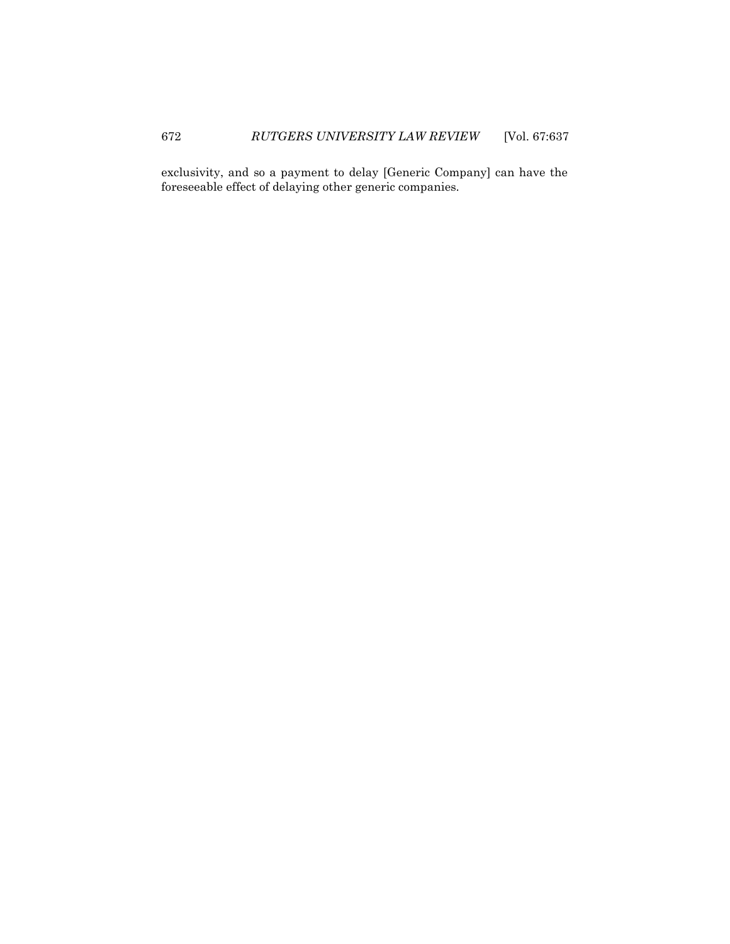exclusivity, and so a payment to delay [Generic Company] can have the foreseeable effect of delaying other generic companies.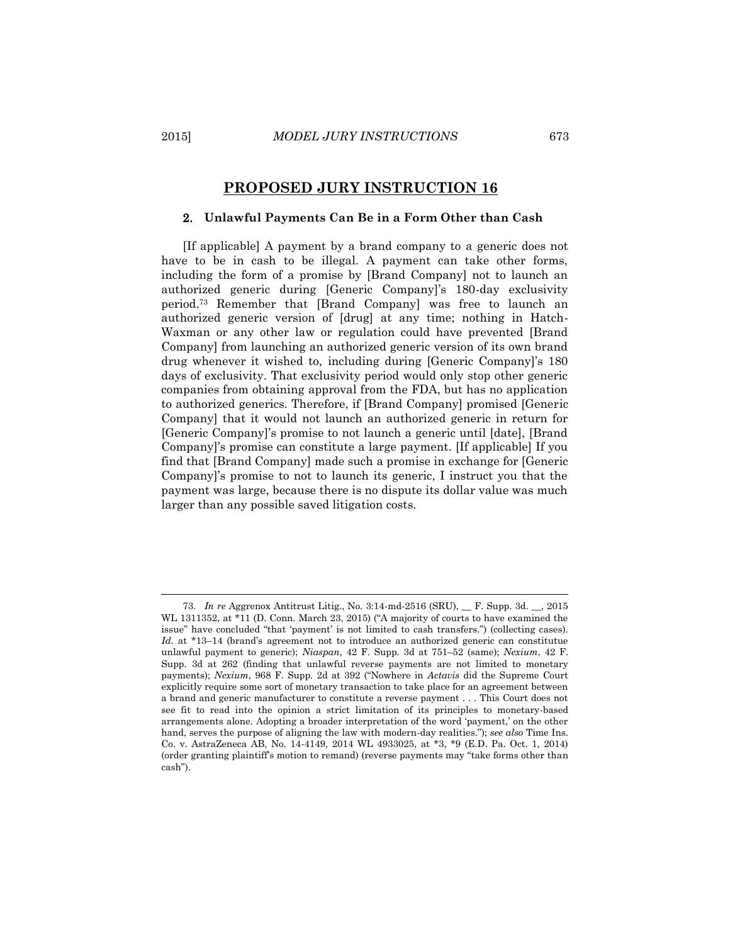#### <span id="page-36-0"></span>2. **Unlawful Payments Can Be in a Form Other than Cash**

[If applicable] A payment by a brand company to a generic does not have to be in cash to be illegal. A payment can take other forms, including the form of a promise by [Brand Company] not to launch an authorized generic during [Generic Company]'s 180-day exclusivity period.<sup>73</sup> Remember that [Brand Company] was free to launch an authorized generic version of [drug] at any time; nothing in Hatch-Waxman or any other law or regulation could have prevented [Brand Company] from launching an authorized generic version of its own brand drug whenever it wished to, including during [Generic Company]'s 180 days of exclusivity. That exclusivity period would only stop other generic companies from obtaining approval from the FDA, but has no application to authorized generics. Therefore, if [Brand Company] promised [Generic Company] that it would not launch an authorized generic in return for [Generic Company]'s promise to not launch a generic until [date], [Brand Company]'s promise can constitute a large payment. [If applicable] If you find that [Brand Company] made such a promise in exchange for [Generic Company]'s promise to not to launch its generic, I instruct you that the payment was large, because there is no dispute its dollar value was much larger than any possible saved litigation costs.

 $\overline{\phantom{a}}$ 

<sup>73.</sup> *In re* Aggrenox Antitrust Litig., No. 3:14-md-2516 (SRU), \_\_ F. Supp. 3d. \_\_, 2015 WL 1311352, at \*11 (D. Conn. March 23, 2015) ("A majority of courts to have examined the issue" have concluded "that 'payment' is not limited to cash transfers.") (collecting cases). *Id.* at \*13–14 (brand's agreement not to introduce an authorized generic can constitutue unlawful payment to generic); *Niaspan*, 42 F. Supp. 3d at 751–52 (same); *Nexium*, 42 F. Supp. 3d at 262 (finding that unlawful reverse payments are not limited to monetary payments); *Nexium*, 968 F. Supp. 2d at 392 ("Nowhere in *Actavis* did the Supreme Court explicitly require some sort of monetary transaction to take place for an agreement between a brand and generic manufacturer to constitute a reverse payment . . . This Court does not see fit to read into the opinion a strict limitation of its principles to monetary-based arrangements alone. Adopting a broader interpretation of the word 'payment,' on the other hand, serves the purpose of aligning the law with modern-day realities."); *see also* Time Ins. Co. v. AstraZeneca AB, No. 14-4149, 2014 WL 4933025, at \*3, \*9 (E.D. Pa. Oct. 1, 2014) (order granting plaintiff's motion to remand) (reverse payments may "take forms other than cash").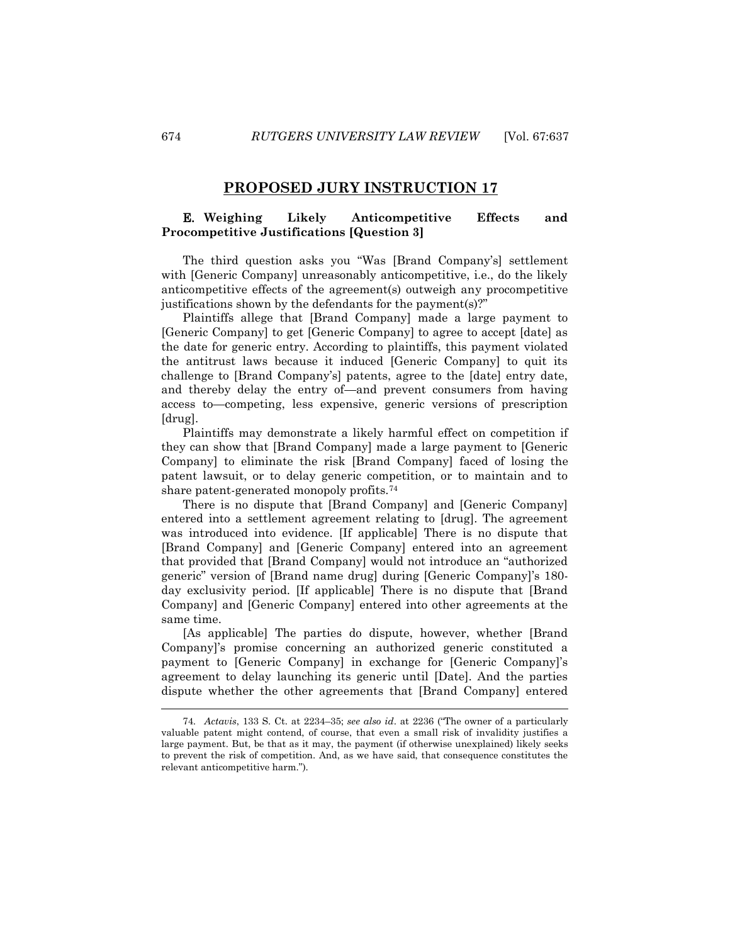# <span id="page-37-0"></span>E. **Weighing Likely Anticompetitive Effects and Procompetitive Justifications [Question 3]**

The third question asks you "Was [Brand Company's] settlement with [Generic Company] unreasonably anticompetitive, i.e., do the likely anticompetitive effects of the agreement(s) outweigh any procompetitive justifications shown by the defendants for the payment(s)?"

Plaintiffs allege that [Brand Company] made a large payment to [Generic Company] to get [Generic Company] to agree to accept [date] as the date for generic entry. According to plaintiffs, this payment violated the antitrust laws because it induced [Generic Company] to quit its challenge to [Brand Company's] patents, agree to the [date] entry date, and thereby delay the entry of—and prevent consumers from having access to—competing, less expensive, generic versions of prescription [drug].

Plaintiffs may demonstrate a likely harmful effect on competition if they can show that [Brand Company] made a large payment to [Generic Company] to eliminate the risk [Brand Company] faced of losing the patent lawsuit, or to delay generic competition, or to maintain and to share patent-generated monopoly profits.<sup>74</sup>

There is no dispute that [Brand Company] and [Generic Company] entered into a settlement agreement relating to [drug]. The agreement was introduced into evidence. [If applicable] There is no dispute that [Brand Company] and [Generic Company] entered into an agreement that provided that [Brand Company] would not introduce an "authorized generic" version of [Brand name drug] during [Generic Company]'s 180 day exclusivity period. [If applicable] There is no dispute that [Brand Company] and [Generic Company] entered into other agreements at the same time.

[As applicable] The parties do dispute, however, whether [Brand Company]'s promise concerning an authorized generic constituted a payment to [Generic Company] in exchange for [Generic Company]'s agreement to delay launching its generic until [Date]. And the parties dispute whether the other agreements that [Brand Company] entered

<sup>74</sup>*. Actavis*, 133 S. Ct. at 2234–35; *see also id*. at 2236 ("The owner of a particularly valuable patent might contend, of course, that even a small risk of invalidity justifies a large payment. But, be that as it may, the payment (if otherwise unexplained) likely seeks to prevent the risk of competition. And, as we have said, that consequence constitutes the relevant anticompetitive harm.").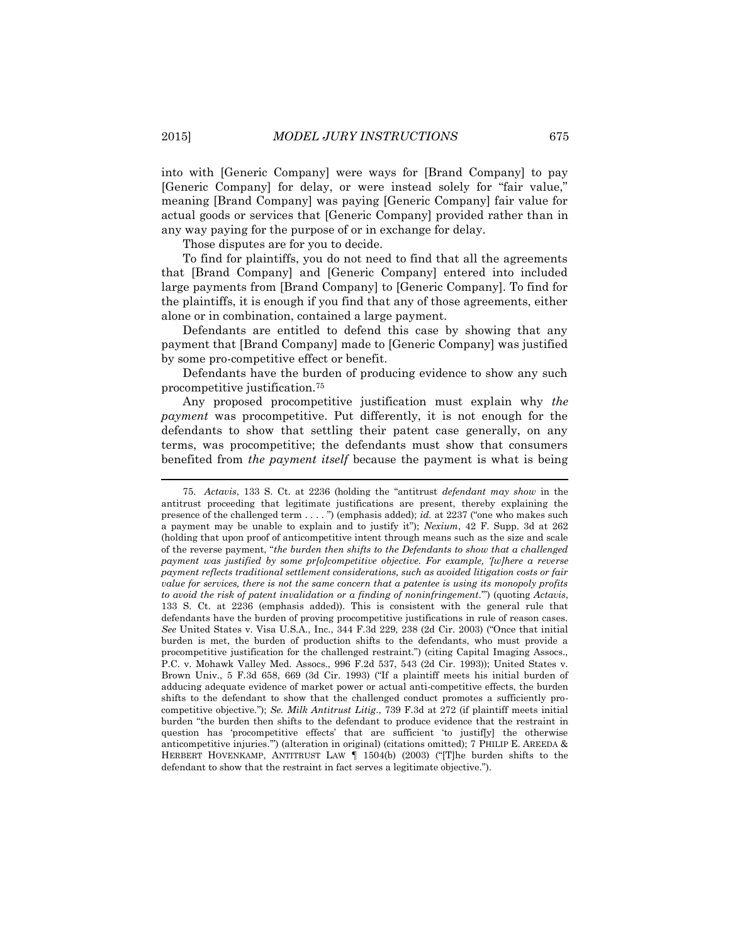into with [Generic Company] were ways for [Brand Company] to pay [Generic Company] for delay, or were instead solely for "fair value," meaning [Brand Company] was paying [Generic Company] fair value for actual goods or services that [Generic Company] provided rather than in any way paying for the purpose of or in exchange for delay.

Those disputes are for you to decide.

To find for plaintiffs, you do not need to find that all the agreements that [Brand Company] and [Generic Company] entered into included large payments from [Brand Company] to [Generic Company]. To find for the plaintiffs, it is enough if you find that any of those agreements, either alone or in combination, contained a large payment.

Defendants are entitled to defend this case by showing that any payment that [Brand Company] made to [Generic Company] was justified by some pro-competitive effect or benefit.

Defendants have the burden of producing evidence to show any such procompetitive justification.<sup>75</sup>

Any proposed procompetitive justification must explain why *the payment* was procompetitive. Put differently, it is not enough for the defendants to show that settling their patent case generally, on any terms, was procompetitive; the defendants must show that consumers benefited from *the payment itself* because the payment is what is being

<sup>75.</sup> *Actavis*, 133 S. Ct. at 2236 (holding the "antitrust *defendant may show* in the antitrust proceeding that legitimate justifications are present, thereby explaining the presence of the challenged term . . . . ") (emphasis added); *id.* at 2237 ("one who makes such a payment may be unable to explain and to justify it"); *Nexium*, 42 F. Supp. 3d at 262 (holding that upon proof of anticompetitive intent through means such as the size and scale of the reverse payment, "*the burden then shifts to the Defendants to show that a challenged payment was justified by some pr[o]competitive objective. For example, '[w]here a reverse payment reflects traditional settlement considerations, such as avoided litigation costs or fair value for services, there is not the same concern that a patentee is using its monopoly profits to avoid the risk of patent invalidation or a finding of noninfringement*.'") (quoting *Actavis*, 133 S. Ct. at 2236 (emphasis added)). This is consistent with the general rule that defendants have the burden of proving procompetitive justifications in rule of reason cases. *See* United States v. Visa U.S.A., Inc., 344 F.3d 229, 238 (2d Cir. 2003) ("Once that initial burden is met, the burden of production shifts to the defendants, who must provide a procompetitive justification for the challenged restraint.") (citing Capital Imaging Assocs., P.C. v. Mohawk Valley Med. Assocs., 996 F.2d 537, 543 (2d Cir. 1993)); United States v. Brown Univ., 5 F.3d 658, 669 (3d Cir. 1993) ("If a plaintiff meets his initial burden of adducing adequate evidence of market power or actual anti-competitive effects, the burden shifts to the defendant to show that the challenged conduct promotes a sufficiently procompetitive objective."); *Se. Milk Antitrust Litig*., 739 F.3d at 272 (if plaintiff meets initial burden "the burden then shifts to the defendant to produce evidence that the restraint in question has 'procompetitive effects' that are sufficient 'to justif[y] the otherwise anticompetitive injuries.'") (alteration in original) (citations omitted); 7 PHILIP E. AREEDA & HERBERT HOVENKAMP, ANTITRUST LAW ¶ 1504(b) (2003) ("[T]he burden shifts to the defendant to show that the restraint in fact serves a legitimate objective.").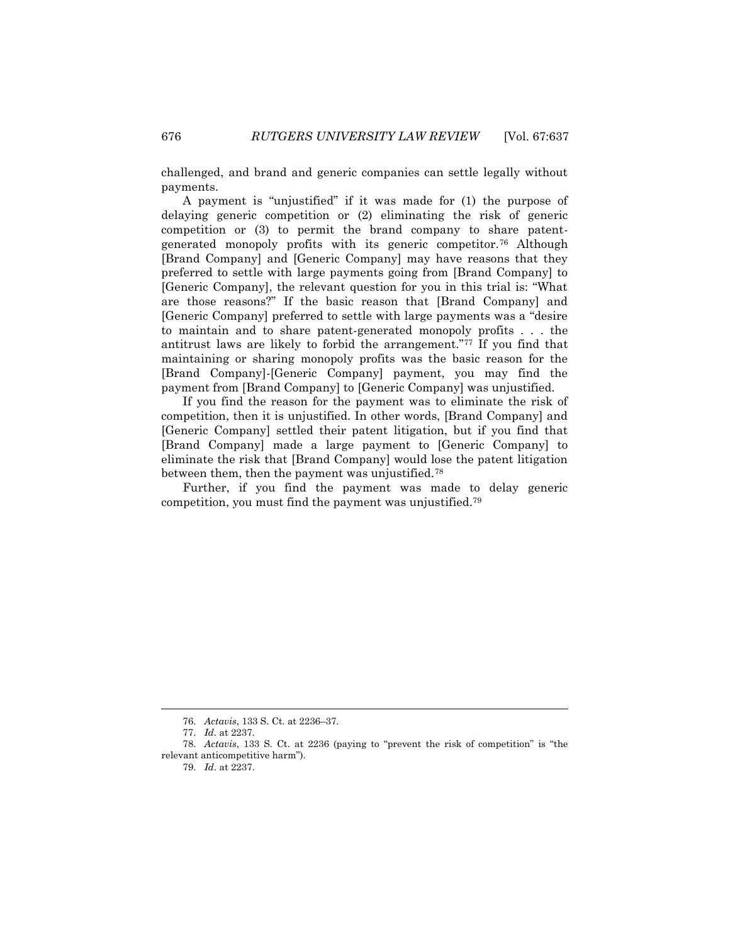challenged, and brand and generic companies can settle legally without payments.

A payment is "unjustified" if it was made for (1) the purpose of delaying generic competition or (2) eliminating the risk of generic competition or (3) to permit the brand company to share patentgenerated monopoly profits with its generic competitor.<sup>76</sup> Although [Brand Company] and [Generic Company] may have reasons that they preferred to settle with large payments going from [Brand Company] to [Generic Company], the relevant question for you in this trial is: "What are those reasons?" If the basic reason that [Brand Company] and [Generic Company] preferred to settle with large payments was a "desire to maintain and to share patent-generated monopoly profits . . . the antitrust laws are likely to forbid the arrangement."<sup>77</sup> If you find that maintaining or sharing monopoly profits was the basic reason for the [Brand Company]-[Generic Company] payment, you may find the payment from [Brand Company] to [Generic Company] was unjustified.

If you find the reason for the payment was to eliminate the risk of competition, then it is unjustified. In other words, [Brand Company] and [Generic Company] settled their patent litigation, but if you find that [Brand Company] made a large payment to [Generic Company] to eliminate the risk that [Brand Company] would lose the patent litigation between them, then the payment was unjustified.<sup>78</sup>

Further, if you find the payment was made to delay generic competition, you must find the payment was unjustified.<sup>79</sup>

<sup>76.</sup> *Actavis*, 133 S. Ct. at 2236–37.

<sup>77.</sup> *Id.* at 2237.

<sup>78.</sup> *Actavis*, 133 S. Ct. at 2236 (paying to "prevent the risk of competition" is "the relevant anticompetitive harm").

<sup>79.</sup> *Id*. at 2237.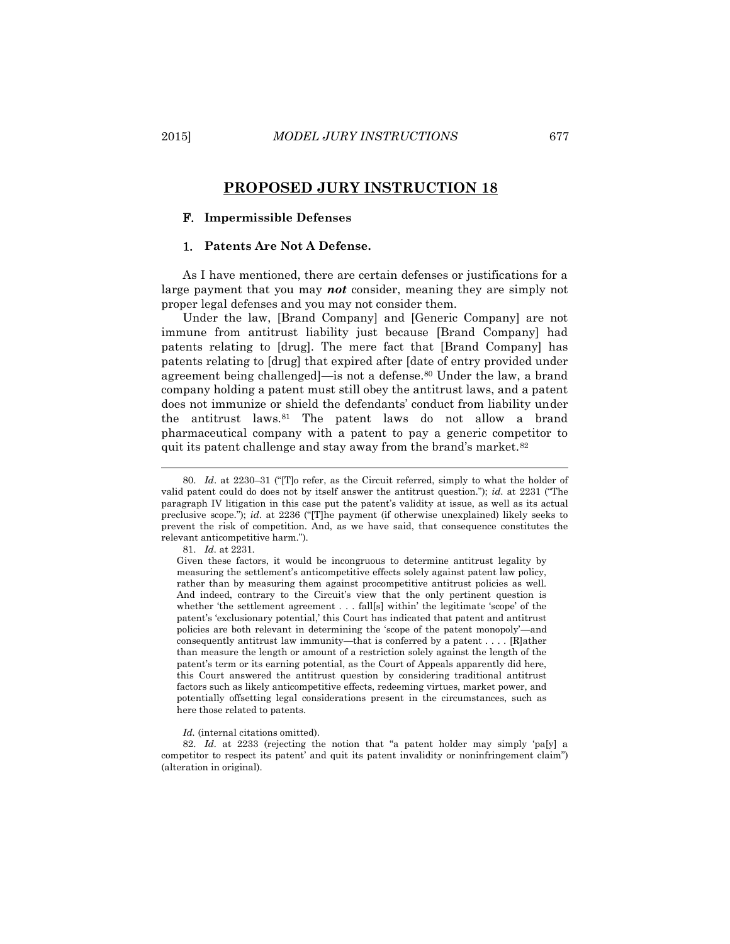#### <span id="page-40-0"></span>F. **Impermissible Defenses**

#### <span id="page-40-1"></span>1. **Patents Are Not A Defense.**

As I have mentioned, there are certain defenses or justifications for a large payment that you may *not* consider, meaning they are simply not proper legal defenses and you may not consider them.

Under the law, [Brand Company] and [Generic Company] are not immune from antitrust liability just because [Brand Company] had patents relating to [drug]. The mere fact that [Brand Company] has patents relating to [drug] that expired after [date of entry provided under agreement being challenged]—is not a defense.<sup>80</sup> Under the law, a brand company holding a patent must still obey the antitrust laws, and a patent does not immunize or shield the defendants' conduct from liability under the antitrust laws.<sup>81</sup> The patent laws do not allow a brand pharmaceutical company with a patent to pay a generic competitor to quit its patent challenge and stay away from the brand's market.<sup>82</sup>

l

Given these factors, it would be incongruous to determine antitrust legality by measuring the settlement's anticompetitive effects solely against patent law policy, rather than by measuring them against procompetitive antitrust policies as well. And indeed, contrary to the Circuit's view that the only pertinent question is whether 'the settlement agreement . . . fall[s] within' the legitimate 'scope' of the patent's 'exclusionary potential,' this Court has indicated that patent and antitrust policies are both relevant in determining the 'scope of the patent monopoly'—and consequently antitrust law immunity—that is conferred by a patent . . . . [R]ather than measure the length or amount of a restriction solely against the length of the patent's term or its earning potential, as the Court of Appeals apparently did here, this Court answered the antitrust question by considering traditional antitrust factors such as likely anticompetitive effects, redeeming virtues, market power, and potentially offsetting legal considerations present in the circumstances, such as here those related to patents.

*Id.* (internal citations omitted).

82. *Id.* at 2233 (rejecting the notion that "a patent holder may simply 'pa[y] a competitor to respect its patent' and quit its patent invalidity or noninfringement claim") (alteration in original).

<sup>80.</sup> *Id*. at 2230–31 ("[T]o refer, as the Circuit referred, simply to what the holder of valid patent could do does not by itself answer the antitrust question."); *id*. at 2231 ("The paragraph IV litigation in this case put the patent's validity at issue, as well as its actual preclusive scope."); *id*. at 2236 ("[T]he payment (if otherwise unexplained) likely seeks to prevent the risk of competition. And, as we have said, that consequence constitutes the relevant anticompetitive harm.").

<sup>81.</sup> *Id.* at 2231.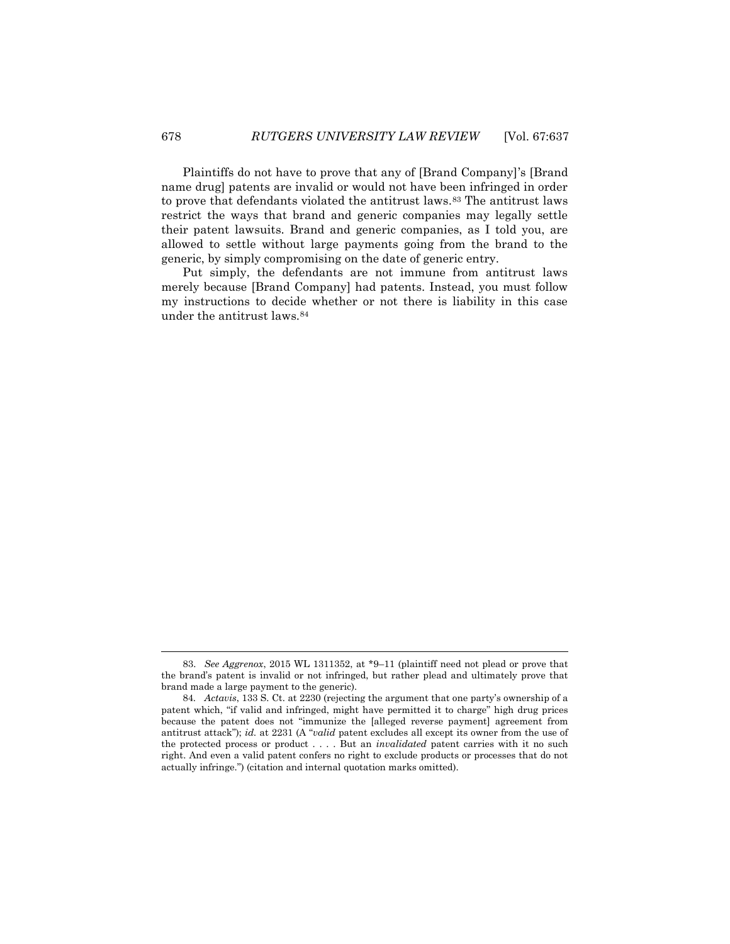Plaintiffs do not have to prove that any of [Brand Company]'s [Brand name drug] patents are invalid or would not have been infringed in order to prove that defendants violated the antitrust laws.<sup>83</sup> The antitrust laws restrict the ways that brand and generic companies may legally settle their patent lawsuits. Brand and generic companies, as I told you, are allowed to settle without large payments going from the brand to the generic, by simply compromising on the date of generic entry.

Put simply, the defendants are not immune from antitrust laws merely because [Brand Company] had patents. Instead, you must follow my instructions to decide whether or not there is liability in this case under the antitrust laws.<sup>84</sup>

<sup>83.</sup> *See Aggrenox*, 2015 WL 1311352, at \*9–11 (plaintiff need not plead or prove that the brand's patent is invalid or not infringed, but rather plead and ultimately prove that brand made a large payment to the generic).

<sup>84</sup>*. Actavis*, 133 S. Ct. at 2230 (rejecting the argument that one party's ownership of a patent which, "if valid and infringed, might have permitted it to charge" high drug prices because the patent does not "immunize the [alleged reverse payment] agreement from antitrust attack"); *id.* at 2231 (A "*valid* patent excludes all except its owner from the use of the protected process or product . . . . But an *invalidated* patent carries with it no such right. And even a valid patent confers no right to exclude products or processes that do not actually infringe.") (citation and internal quotation marks omitted).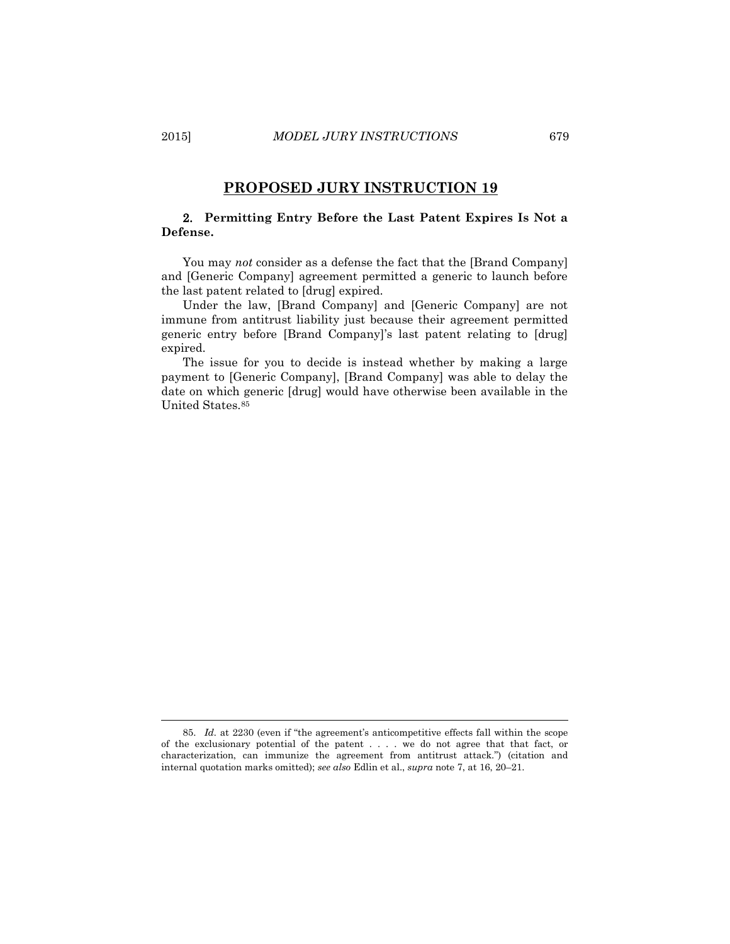# <span id="page-42-0"></span>2. **Permitting Entry Before the Last Patent Expires Is Not a Defense.**

You may *not* consider as a defense the fact that the [Brand Company] and [Generic Company] agreement permitted a generic to launch before the last patent related to [drug] expired.

Under the law, [Brand Company] and [Generic Company] are not immune from antitrust liability just because their agreement permitted generic entry before [Brand Company]'s last patent relating to [drug] expired.

The issue for you to decide is instead whether by making a large payment to [Generic Company], [Brand Company] was able to delay the date on which generic [drug] would have otherwise been available in the United States.<sup>85</sup>

<sup>85.</sup> *Id.* at 2230 (even if "the agreement's anticompetitive effects fall within the scope of the exclusionary potential of the patent . . . . we do not agree that that fact, or characterization, can immunize the agreement from antitrust attack.") (citation and internal quotation marks omitted); *see also* Edlin et al., *supra* note 7, at 16, 20–21.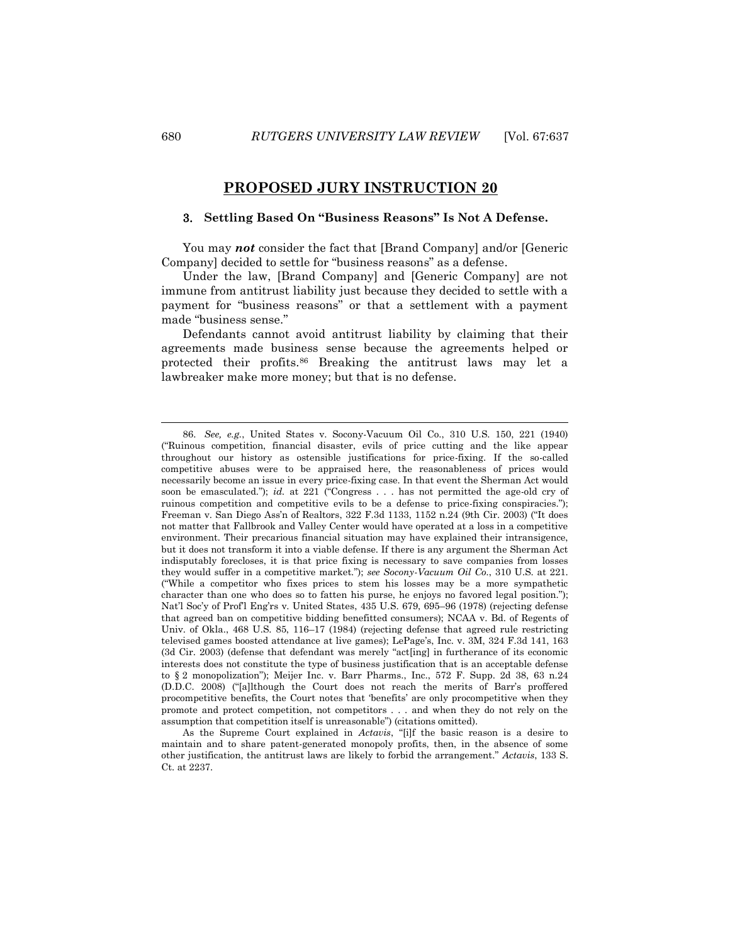#### <span id="page-43-0"></span>3. **Settling Based On "Business Reasons" Is Not A Defense.**

You may *not* consider the fact that [Brand Company] and/or [Generic Company] decided to settle for "business reasons" as a defense.

Under the law, [Brand Company] and [Generic Company] are not immune from antitrust liability just because they decided to settle with a payment for "business reasons" or that a settlement with a payment made "business sense."

Defendants cannot avoid antitrust liability by claiming that their agreements made business sense because the agreements helped or protected their profits.<sup>86</sup> Breaking the antitrust laws may let a lawbreaker make more money; but that is no defense.

<sup>86.</sup> *See, e.g.*, United States v. Socony-Vacuum Oil Co., 310 U.S. 150, 221 (1940) ("Ruinous competition, financial disaster, evils of price cutting and the like appear throughout our history as ostensible justifications for price-fixing. If the so-called competitive abuses were to be appraised here, the reasonableness of prices would necessarily become an issue in every price-fixing case. In that event the Sherman Act would soon be emasculated."); *id.* at 221 ("Congress . . . has not permitted the age-old cry of ruinous competition and competitive evils to be a defense to price-fixing conspiracies."); Freeman v. San Diego Ass'n of Realtors, 322 F.3d 1133, 1152 n.24 (9th Cir. 2003) ("It does not matter that Fallbrook and Valley Center would have operated at a loss in a competitive environment. Their precarious financial situation may have explained their intransigence, but it does not transform it into a viable defense. If there is any argument the Sherman Act indisputably forecloses, it is that price fixing is necessary to save companies from losses they would suffer in a competitive market."); *see Socony-Vacuum Oil Co.*, 310 U.S. at 221. ("While a competitor who fixes prices to stem his losses may be a more sympathetic character than one who does so to fatten his purse, he enjoys no favored legal position."); Nat'l Soc'y of Prof'l Eng'rs v. United States, 435 U.S. 679, 695–96 (1978) (rejecting defense that agreed ban on competitive bidding benefitted consumers); NCAA v. Bd. of Regents of Univ. of Okla., 468 U.S. 85, 116–17 (1984) (rejecting defense that agreed rule restricting televised games boosted attendance at live games); LePage's, Inc. v. 3M, 324 F.3d 141, 163 (3d Cir. 2003) (defense that defendant was merely "act[ing] in furtherance of its economic interests does not constitute the type of business justification that is an acceptable defense to § 2 monopolization"); Meijer Inc. v. Barr Pharms., Inc., 572 F. Supp. 2d 38, 63 n.24 (D.D.C. 2008) ("[a]lthough the Court does not reach the merits of Barr's proffered procompetitive benefits, the Court notes that 'benefits' are only procompetitive when they promote and protect competition, not competitors . . . and when they do not rely on the assumption that competition itself is unreasonable") (citations omitted).

As the Supreme Court explained in *Actavis*, "[i]f the basic reason is a desire to maintain and to share patent-generated monopoly profits, then, in the absence of some other justification, the antitrust laws are likely to forbid the arrangement." *Actavis*, 133 S. Ct. at 2237.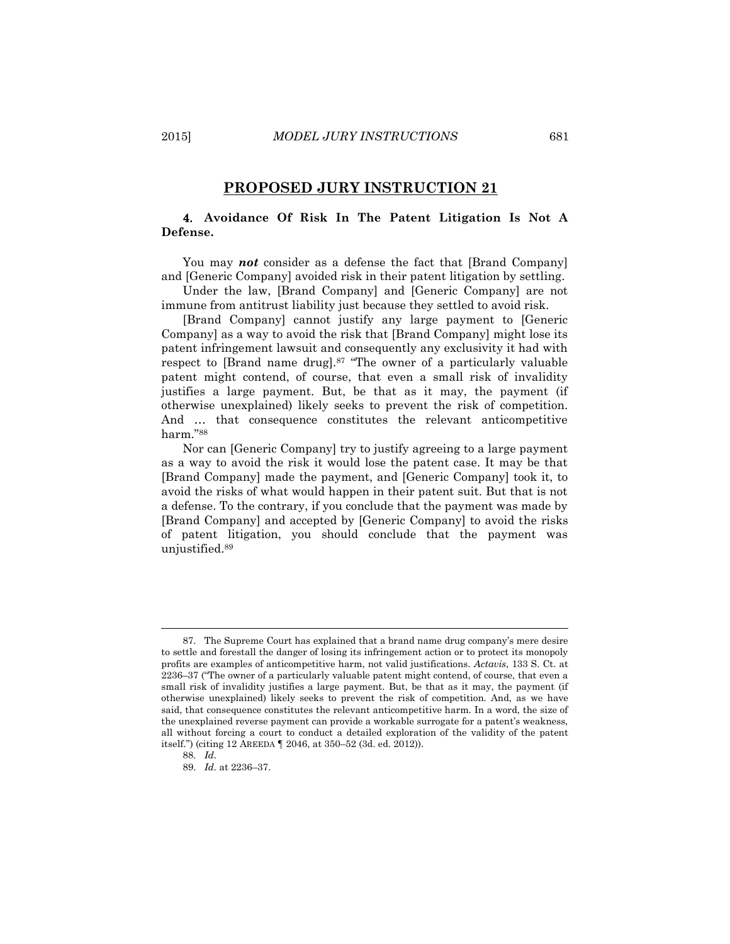# <span id="page-44-0"></span>4. **Avoidance Of Risk In The Patent Litigation Is Not A Defense.**

You may *not* consider as a defense the fact that [Brand Company] and [Generic Company] avoided risk in their patent litigation by settling.

Under the law, [Brand Company] and [Generic Company] are not immune from antitrust liability just because they settled to avoid risk.

[Brand Company] cannot justify any large payment to [Generic Company] as a way to avoid the risk that [Brand Company] might lose its patent infringement lawsuit and consequently any exclusivity it had with respect to [Brand name drug].<sup>87</sup> "The owner of a particularly valuable patent might contend, of course, that even a small risk of invalidity justifies a large payment. But, be that as it may, the payment (if otherwise unexplained) likely seeks to prevent the risk of competition. And ... that consequence constitutes the relevant anticompetitive harm."<sup>88</sup>

Nor can [Generic Company] try to justify agreeing to a large payment as a way to avoid the risk it would lose the patent case. It may be that [Brand Company] made the payment, and [Generic Company] took it, to avoid the risks of what would happen in their patent suit. But that is not a defense. To the contrary, if you conclude that the payment was made by [Brand Company] and accepted by [Generic Company] to avoid the risks of patent litigation, you should conclude that the payment was unjustified.<sup>89</sup>

 $\overline{a}$ 

<sup>87.</sup> The Supreme Court has explained that a brand name drug company's mere desire to settle and forestall the danger of losing its infringement action or to protect its monopoly profits are examples of anticompetitive harm, not valid justifications. *Actavis*, 133 S. Ct. at 2236–37 ("The owner of a particularly valuable patent might contend, of course, that even a small risk of invalidity justifies a large payment. But, be that as it may, the payment (if otherwise unexplained) likely seeks to prevent the risk of competition. And, as we have said, that consequence constitutes the relevant anticompetitive harm. In a word, the size of the unexplained reverse payment can provide a workable surrogate for a patent's weakness, all without forcing a court to conduct a detailed exploration of the validity of the patent itself.") (citing 12 AREEDA ¶ 2046, at 350–52 (3d. ed. 2012)).

<sup>88.</sup> *Id.*

<sup>89.</sup> *Id.* at 2236–37.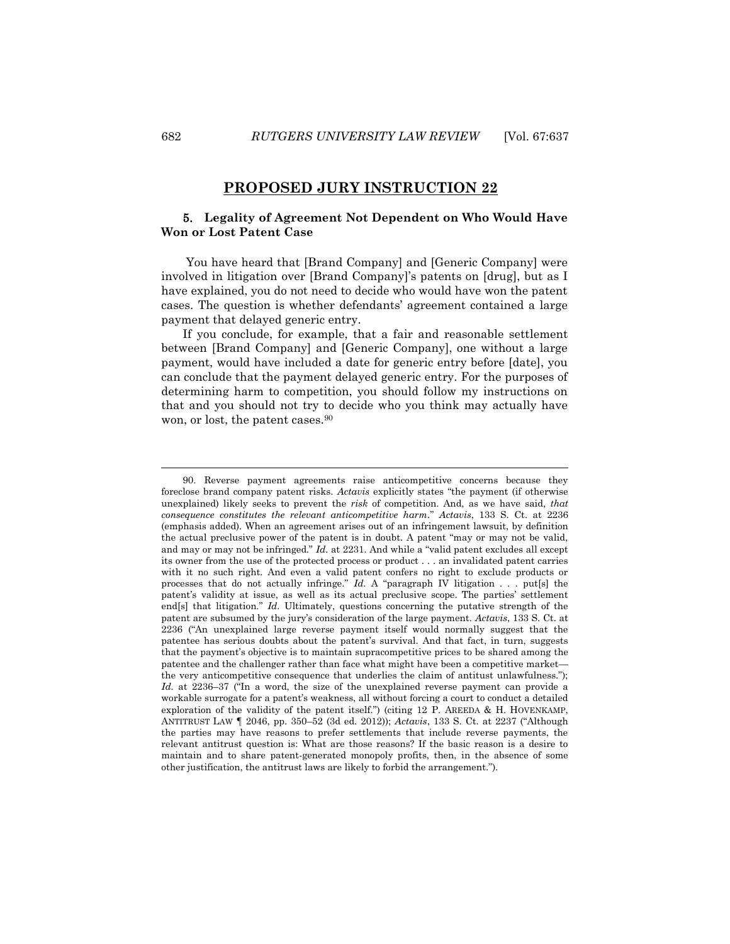### <span id="page-45-0"></span>5. **Legality of Agreement Not Dependent on Who Would Have Won or Lost Patent Case**

You have heard that [Brand Company] and [Generic Company] were involved in litigation over [Brand Company]'s patents on [drug], but as I have explained, you do not need to decide who would have won the patent cases. The question is whether defendants' agreement contained a large payment that delayed generic entry.

If you conclude, for example, that a fair and reasonable settlement between [Brand Company] and [Generic Company], one without a large payment, would have included a date for generic entry before [date], you can conclude that the payment delayed generic entry. For the purposes of determining harm to competition, you should follow my instructions on that and you should not try to decide who you think may actually have won, or lost, the patent cases.<sup>90</sup>

<sup>90.</sup> Reverse payment agreements raise anticompetitive concerns because they foreclose brand company patent risks. *Actavis* explicitly states "the payment (if otherwise unexplained) likely seeks to prevent the *risk* of competition. And, as we have said, *that consequence constitutes the relevant anticompetitive harm*." *Actavis*, 133 S. Ct. at 2236 (emphasis added). When an agreement arises out of an infringement lawsuit, by definition the actual preclusive power of the patent is in doubt. A patent "may or may not be valid, and may or may not be infringed." *Id*. at 2231. And while a "valid patent excludes all except its owner from the use of the protected process or product . . . an invalidated patent carries with it no such right. And even a valid patent confers no right to exclude products or processes that do not actually infringe." *Id*. A "paragraph IV litigation . . . put[s] the patent's validity at issue, as well as its actual preclusive scope. The parties' settlement end[s] that litigation." *Id.* Ultimately, questions concerning the putative strength of the patent are subsumed by the jury's consideration of the large payment. *Actavis*, 133 S. Ct. at 2236 ("An unexplained large reverse payment itself would normally suggest that the patentee has serious doubts about the patent's survival. And that fact, in turn, suggests that the payment's objective is to maintain supracompetitive prices to be shared among the patentee and the challenger rather than face what might have been a competitive market the very anticompetitive consequence that underlies the claim of antitust unlawfulness."); *Id.* at 2236–37 ("In a word, the size of the unexplained reverse payment can provide a workable surrogate for a patent's weakness, all without forcing a court to conduct a detailed exploration of the validity of the patent itself.") (citing 12 P. AREEDA & H. HOVENKAMP, ANTITRUST LAW ¶ 2046, pp. 350–52 (3d ed. 2012)); *Actavis*, 133 S. Ct. at 2237 ("Although the parties may have reasons to prefer settlements that include reverse payments, the relevant antitrust question is: What are those reasons? If the basic reason is a desire to maintain and to share patent-generated monopoly profits, then, in the absence of some other justification, the antitrust laws are likely to forbid the arrangement.").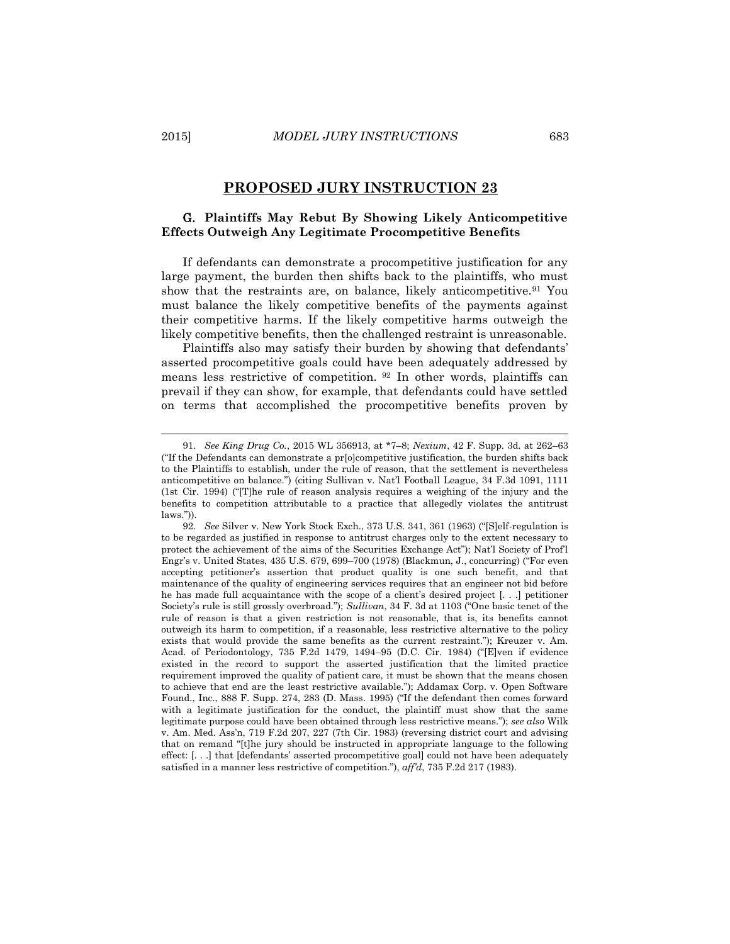$\overline{\phantom{a}}$ 

# **PROPOSED JURY INSTRUCTION 23**

# <span id="page-46-0"></span>G. **Plaintiffs May Rebut By Showing Likely Anticompetitive Effects Outweigh Any Legitimate Procompetitive Benefits**

If defendants can demonstrate a procompetitive justification for any large payment, the burden then shifts back to the plaintiffs, who must show that the restraints are, on balance, likely anticompetitive.<sup>91</sup> You must balance the likely competitive benefits of the payments against their competitive harms. If the likely competitive harms outweigh the likely competitive benefits, then the challenged restraint is unreasonable.

Plaintiffs also may satisfy their burden by showing that defendants' asserted procompetitive goals could have been adequately addressed by means less restrictive of competition. <sup>92</sup> In other words, plaintiffs can prevail if they can show, for example, that defendants could have settled on terms that accomplished the procompetitive benefits proven by

<sup>91.</sup> *See King Drug Co.*, 2015 WL 356913, at \*7–8; *Nexium*, 42 F. Supp. 3d. at 262–63 ("If the Defendants can demonstrate a pr[o]competitive justification, the burden shifts back to the Plaintiffs to establish, under the rule of reason, that the settlement is nevertheless anticompetitive on balance.") (citing Sullivan v. Nat'l Football League, 34 F.3d 1091, 1111 (1st Cir. 1994) ("[T]he rule of reason analysis requires a weighing of the injury and the benefits to competition attributable to a practice that allegedly violates the antitrust laws.")).

<sup>92.</sup> *See* Silver v. New York Stock Exch., 373 U.S. 341, 361 (1963) ("[S]elf-regulation is to be regarded as justified in response to antitrust charges only to the extent necessary to protect the achievement of the aims of the Securities Exchange Act"); Nat'l Society of Prof'l Engr's v. United States, 435 U.S. 679, 699–700 (1978) (Blackmun, J., concurring) ("For even accepting petitioner's assertion that product quality is one such benefit, and that maintenance of the quality of engineering services requires that an engineer not bid before he has made full acquaintance with the scope of a client's desired project [. . .] petitioner Society's rule is still grossly overbroad."); *Sullivan*, 34 F. 3d at 1103 ("One basic tenet of the rule of reason is that a given restriction is not reasonable, that is, its benefits cannot outweigh its harm to competition, if a reasonable, less restrictive alternative to the policy exists that would provide the same benefits as the current restraint."); Kreuzer v. Am. Acad. of Periodontology, 735 F.2d 1479, 1494–95 (D.C. Cir. 1984) ("[E]ven if evidence existed in the record to support the asserted justification that the limited practice requirement improved the quality of patient care, it must be shown that the means chosen to achieve that end are the least restrictive available."); Addamax Corp. v. Open Software Found., Inc., 888 F. Supp. 274, 283 (D. Mass. 1995) ("If the defendant then comes forward with a legitimate justification for the conduct, the plaintiff must show that the same legitimate purpose could have been obtained through less restrictive means."); *see also* Wilk v. Am. Med. Ass'n, 719 F.2d 207, 227 (7th Cir. 1983) (reversing district court and advising that on remand "[t]he jury should be instructed in appropriate language to the following effect: [. . .] that [defendants' asserted procompetitive goal] could not have been adequately satisfied in a manner less restrictive of competition."), *aff'd*, 735 F.2d 217 (1983).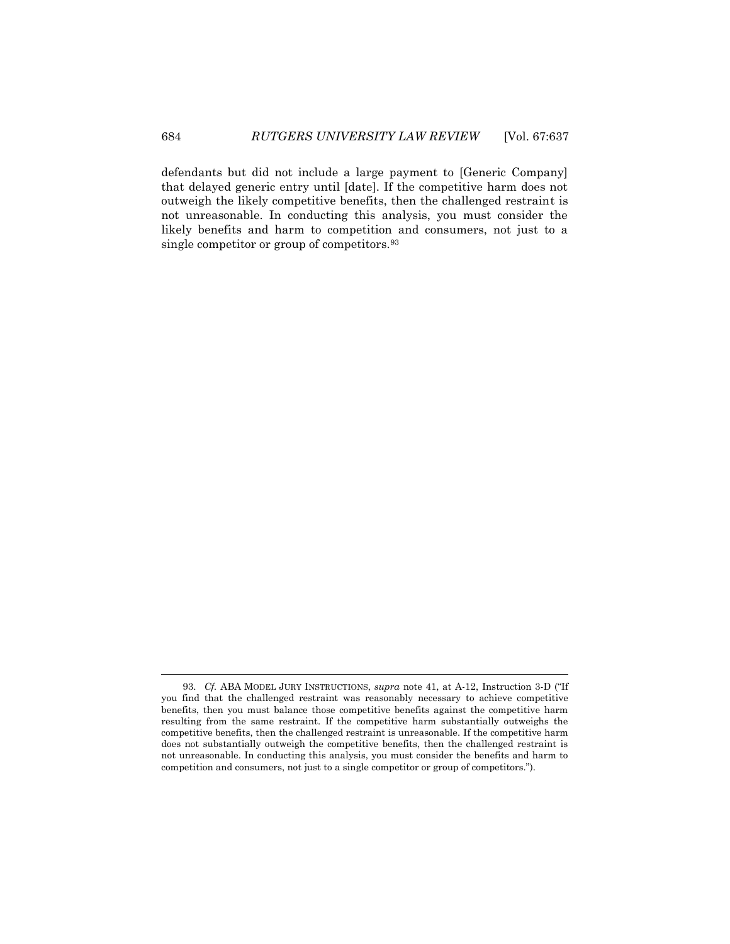defendants but did not include a large payment to [Generic Company] that delayed generic entry until [date]. If the competitive harm does not outweigh the likely competitive benefits, then the challenged restraint is not unreasonable. In conducting this analysis, you must consider the likely benefits and harm to competition and consumers, not just to a single competitor or group of competitors.<sup>93</sup>

<sup>93.</sup> *Cf.* ABA MODEL JURY INSTRUCTIONS, *supra* note 41, at A-12, Instruction 3-D ("If you find that the challenged restraint was reasonably necessary to achieve competitive benefits, then you must balance those competitive benefits against the competitive harm resulting from the same restraint. If the competitive harm substantially outweighs the competitive benefits, then the challenged restraint is unreasonable. If the competitive harm does not substantially outweigh the competitive benefits, then the challenged restraint is not unreasonable. In conducting this analysis, you must consider the benefits and harm to competition and consumers, not just to a single competitor or group of competitors.").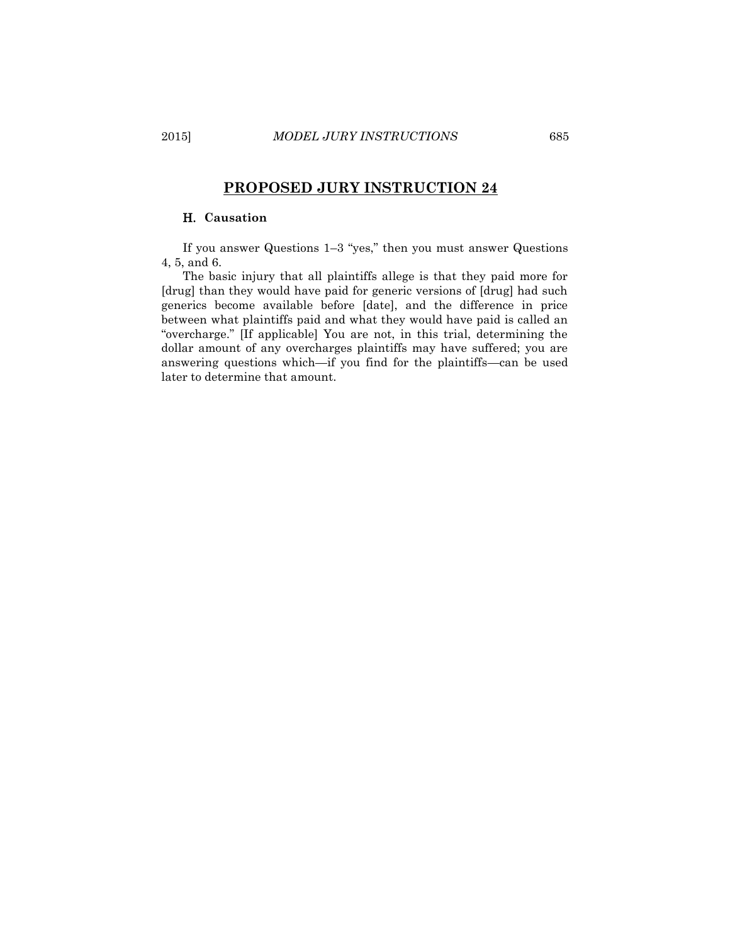#### <span id="page-48-0"></span>H. **Causation**

If you answer Questions 1–3 "yes," then you must answer Questions 4, 5, and 6.

The basic injury that all plaintiffs allege is that they paid more for [drug] than they would have paid for generic versions of [drug] had such generics become available before [date], and the difference in price between what plaintiffs paid and what they would have paid is called an "overcharge." [If applicable] You are not, in this trial, determining the dollar amount of any overcharges plaintiffs may have suffered; you are answering questions which—if you find for the plaintiffs—can be used later to determine that amount.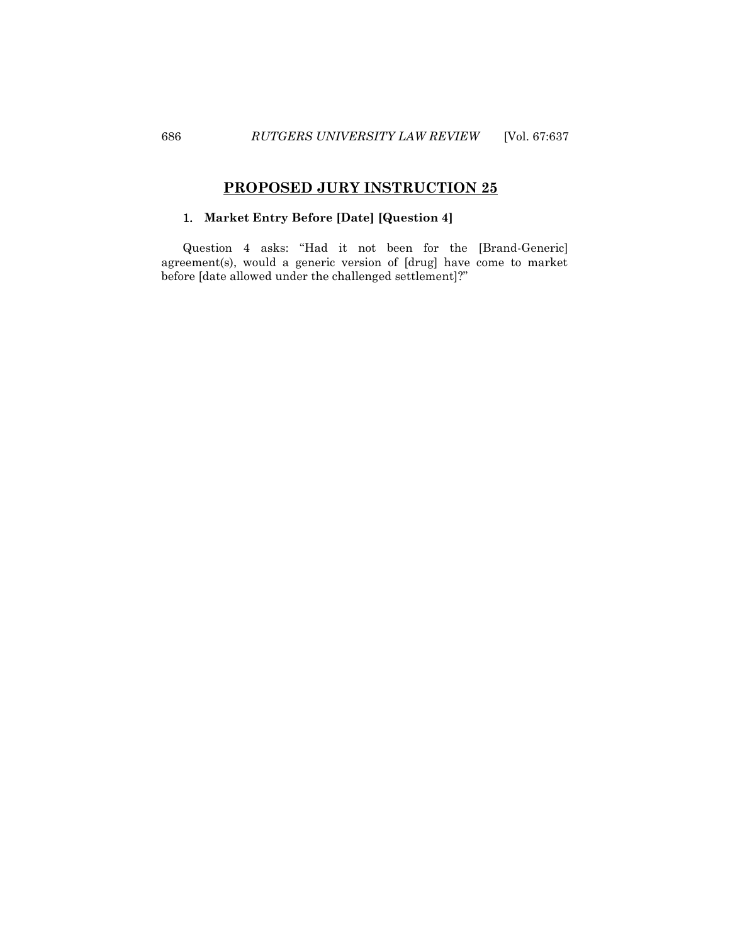# <span id="page-49-0"></span>1. **Market Entry Before [Date] [Question 4]**

Question 4 asks: "Had it not been for the [Brand-Generic] agreement(s), would a generic version of [drug] have come to market before [date allowed under the challenged settlement]?"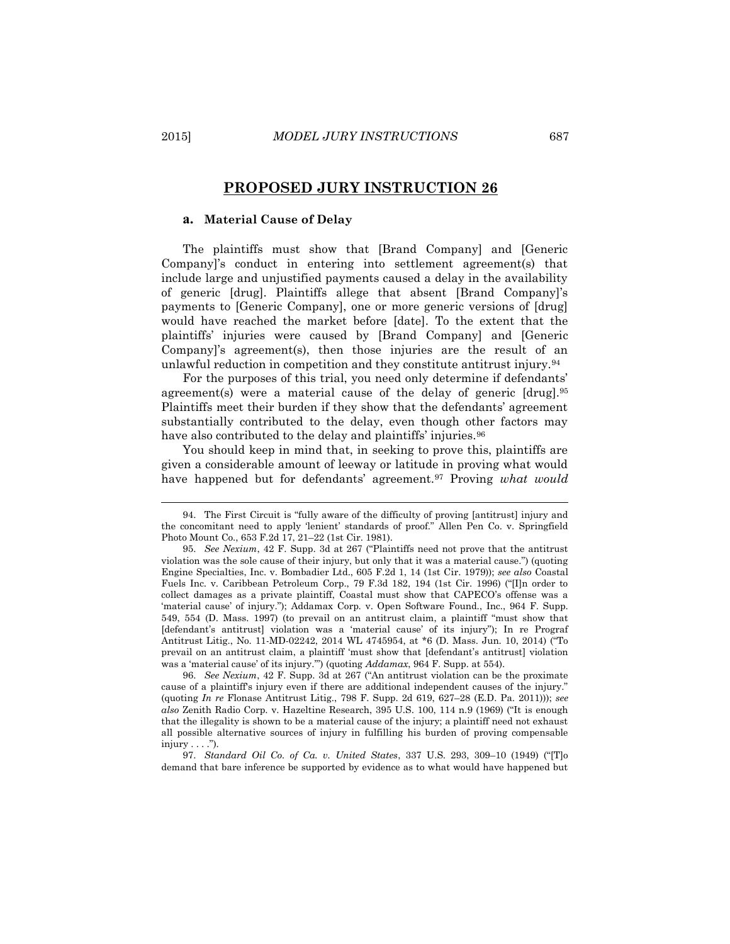#### <span id="page-50-0"></span>**a. Material Cause of Delay**

The plaintiffs must show that [Brand Company] and [Generic Company]'s conduct in entering into settlement agreement(s) that include large and unjustified payments caused a delay in the availability of generic [drug]. Plaintiffs allege that absent [Brand Company]'s payments to [Generic Company], one or more generic versions of [drug] would have reached the market before [date]. To the extent that the plaintiffs' injuries were caused by [Brand Company] and [Generic Company]'s agreement(s), then those injuries are the result of an unlawful reduction in competition and they constitute antitrust injury.<sup>94</sup>

For the purposes of this trial, you need only determine if defendants' agreement(s) were a material cause of the delay of generic [drug].<sup>95</sup> Plaintiffs meet their burden if they show that the defendants' agreement substantially contributed to the delay, even though other factors may have also contributed to the delay and plaintiffs' injuries.<sup>96</sup>

You should keep in mind that, in seeking to prove this, plaintiffs are given a considerable amount of leeway or latitude in proving what would have happened but for defendants' agreement.<sup>97</sup> Proving *what would* 

97. *Standard Oil Co. of Ca. v. United States*, 337 U.S. 293, 309–10 (1949) ("[T]o demand that bare inference be supported by evidence as to what would have happened but

 $\overline{\phantom{a}}$ 

<sup>94.</sup> The First Circuit is "fully aware of the difficulty of proving [antitrust] injury and the concomitant need to apply 'lenient' standards of proof." Allen Pen Co. v. Springfield Photo Mount Co., 653 F.2d 17, 21–22 (1st Cir. 1981).

<sup>95.</sup> *See Nexium*, 42 F. Supp. 3d at 267 ("Plaintiffs need not prove that the antitrust violation was the sole cause of their injury, but only that it was a material cause.") (quoting Engine Specialties, Inc. v. Bombadier Ltd., 605 F.2d 1, 14 (1st Cir. 1979)); *see also* Coastal Fuels Inc. v. Caribbean Petroleum Corp., 79 F.3d 182, 194 (1st Cir. 1996) ("[I]n order to collect damages as a private plaintiff, Coastal must show that CAPECO's offense was a 'material cause' of injury."); Addamax Corp. v. Open Software Found., Inc., 964 F. Supp. 549, 554 (D. Mass. 1997) (to prevail on an antitrust claim, a plaintiff "must show that [defendant's antitrust] violation was a 'material cause' of its injury"); In re Prograf Antitrust Litig., No. 11-MD-02242, 2014 WL 4745954, at \*6 (D. Mass. Jun. 10, 2014) ("To prevail on an antitrust claim, a plaintiff 'must show that [defendant's antitrust] violation was a 'material cause' of its injury.'") (quoting *Addamax*, 964 F. Supp. at 554).

<sup>96.</sup> *See Nexium*, 42 F. Supp. 3d at 267 ("An antitrust violation can be the proximate cause of a plaintiff's injury even if there are additional independent causes of the injury." (quoting *In re* Flonase Antitrust Litig., 798 F. Supp. 2d 619, 627–28 (E.D. Pa. 2011))); *see also* Zenith Radio Corp. v. Hazeltine Research, 395 U.S. 100, 114 n.9 (1969) ("It is enough that the illegality is shown to be a material cause of the injury; a plaintiff need not exhaust all possible alternative sources of injury in fulfilling his burden of proving compensable injury  $\dots$ ").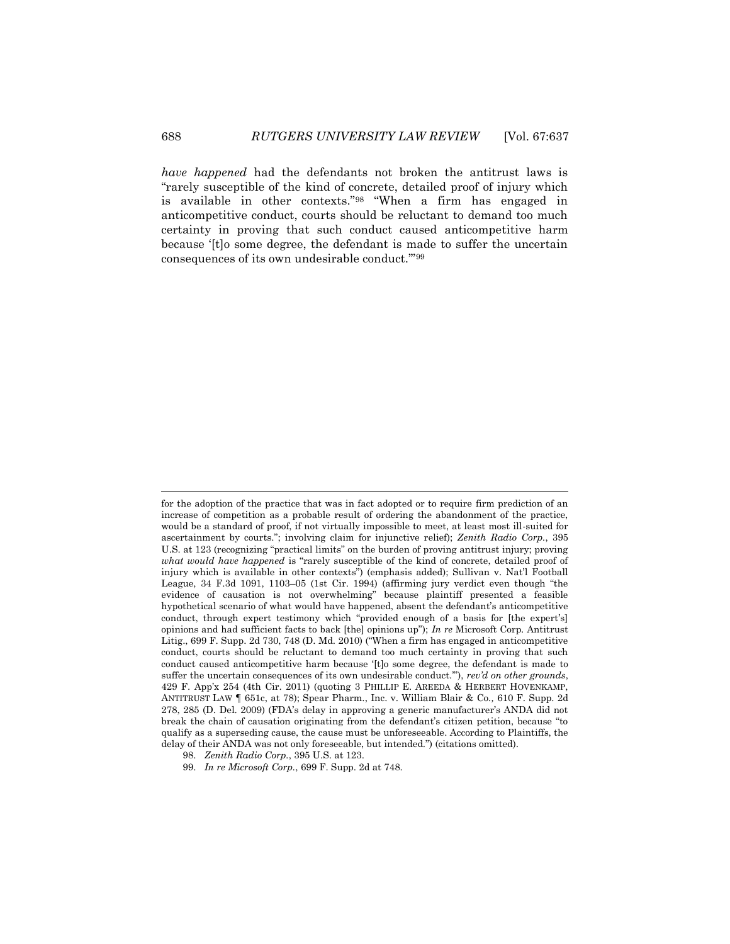*have happened* had the defendants not broken the antitrust laws is "rarely susceptible of the kind of concrete, detailed proof of injury which is available in other contexts."<sup>98</sup> "When a firm has engaged in anticompetitive conduct, courts should be reluctant to demand too much certainty in proving that such conduct caused anticompetitive harm because '[t]o some degree, the defendant is made to suffer the uncertain consequences of its own undesirable conduct.'"<sup>99</sup>

for the adoption of the practice that was in fact adopted or to require firm prediction of an increase of competition as a probable result of ordering the abandonment of the practice, would be a standard of proof, if not virtually impossible to meet, at least most ill-suited for ascertainment by courts."; involving claim for injunctive relief); *Zenith Radio Corp.*, 395 U.S. at 123 (recognizing "practical limits" on the burden of proving antitrust injury; proving *what would have happened* is "rarely susceptible of the kind of concrete, detailed proof of injury which is available in other contexts") (emphasis added); Sullivan v. Nat'l Football League, 34 F.3d 1091, 1103–05 (1st Cir. 1994) (affirming jury verdict even though "the evidence of causation is not overwhelming" because plaintiff presented a feasible hypothetical scenario of what would have happened, absent the defendant's anticompetitive conduct, through expert testimony which "provided enough of a basis for [the expert's] opinions and had sufficient facts to back [the] opinions up"); *In re* Microsoft Corp. Antitrust Litig., 699 F. Supp. 2d 730, 748 (D. Md. 2010) ("When a firm has engaged in anticompetitive conduct, courts should be reluctant to demand too much certainty in proving that such conduct caused anticompetitive harm because '[t]o some degree, the defendant is made to suffer the uncertain consequences of its own undesirable conduct.'"), *rev'd on other grounds*, 429 F. App'x 254 (4th Cir. 2011) (quoting 3 PHILLIP E. AREEDA & HERBERT HOVENKAMP, ANTITRUST LAW ¶ 651c, at 78); Spear Pharm., Inc. v. William Blair & Co.*,* 610 F. Supp. 2d 278, 285 (D. Del. 2009) (FDA's delay in approving a generic manufacturer's ANDA did not break the chain of causation originating from the defendant's citizen petition, because "to qualify as a superseding cause, the cause must be unforeseeable. According to Plaintiffs, the delay of their ANDA was not only foreseeable, but intended.") (citations omitted).

<sup>98.</sup> *Zenith Radio Corp.*, 395 U.S. at 123.

<sup>99.</sup> *In re Microsoft Corp.*, 699 F. Supp. 2d at 748.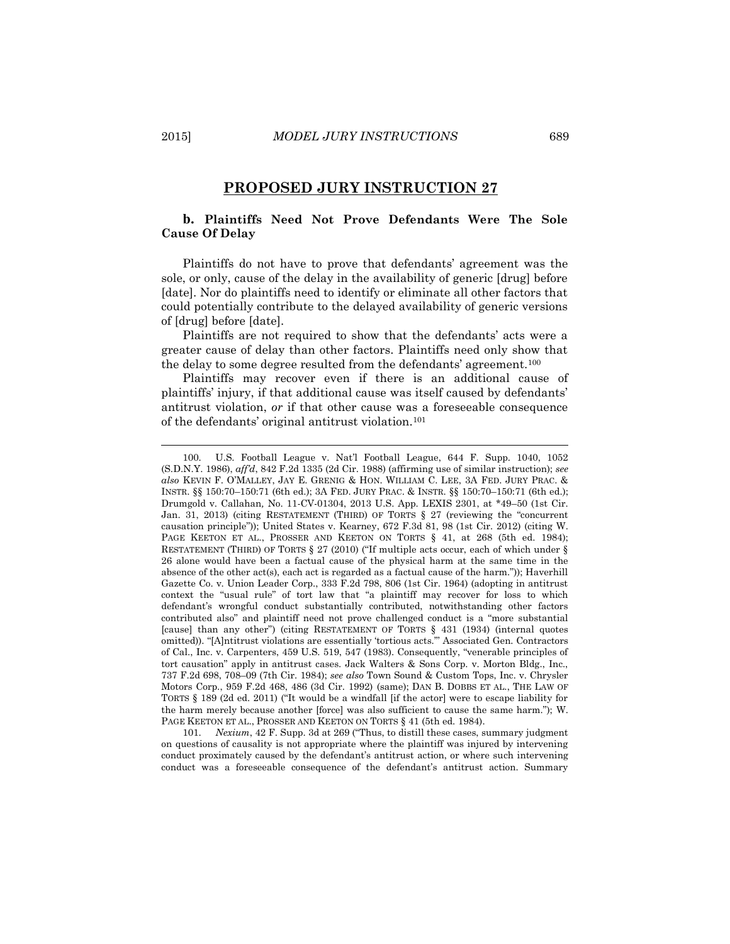# <span id="page-52-0"></span>**b. Plaintiffs Need Not Prove Defendants Were The Sole Cause Of Delay**

Plaintiffs do not have to prove that defendants' agreement was the sole, or only, cause of the delay in the availability of generic [drug] before [date]. Nor do plaintiffs need to identify or eliminate all other factors that could potentially contribute to the delayed availability of generic versions of [drug] before [date].

Plaintiffs are not required to show that the defendants' acts were a greater cause of delay than other factors. Plaintiffs need only show that the delay to some degree resulted from the defendants' agreement.<sup>100</sup>

Plaintiffs may recover even if there is an additional cause of plaintiffs' injury, if that additional cause was itself caused by defendants' antitrust violation, *or* if that other cause was a foreseeable consequence of the defendants' original antitrust violation.<sup>101</sup>

101. *Nexium*, 42 F. Supp. 3d at 269 ("Thus, to distill these cases, summary judgment on questions of causality is not appropriate where the plaintiff was injured by intervening conduct proximately caused by the defendant's antitrust action, or where such intervening conduct was a foreseeable consequence of the defendant's antitrust action. Summary

<sup>100.</sup> U.S. Football League v. Nat'l Football League, 644 F. Supp. 1040, 1052 (S.D.N.Y. 1986), *aff'd*, 842 F.2d 1335 (2d Cir. 1988) (affirming use of similar instruction); *see also* KEVIN F. O'MALLEY, JAY E. GRENIG & HON. WILLIAM C. LEE, 3A FED. JURY PRAC. & INSTR. §§ 150:70–150:71 (6th ed.); 3A FED. JURY PRAC. & INSTR. §§ 150:70–150:71 (6th ed.); Drumgold v. Callahan*,* No. 11-CV-01304, 2013 U.S. App. LEXIS 2301, at \*49–50 (1st Cir. Jan. 31, 2013) (citing RESTATEMENT (THIRD) OF TORTS § 27 (reviewing the "concurrent causation principle")); United States v. Kearney, 672 F.3d 81, 98 (1st Cir. 2012) (citing W. PAGE KEETON ET AL., PROSSER AND KEETON ON TORTS § 41, at 268 (5th ed. 1984); RESTATEMENT (THIRD) OF TORTS § 27 (2010) ("If multiple acts occur, each of which under § 26 alone would have been a factual cause of the physical harm at the same time in the absence of the other act(s), each act is regarded as a factual cause of the harm.")); Haverhill Gazette Co. v. Union Leader Corp., 333 F.2d 798, 806 (1st Cir. 1964) (adopting in antitrust context the "usual rule" of tort law that "a plaintiff may recover for loss to which defendant's wrongful conduct substantially contributed, notwithstanding other factors contributed also" and plaintiff need not prove challenged conduct is a "more substantial [cause] than any other") (citing RESTATEMENT OF TORTS § 431 (1934) (internal quotes omitted)). "[A]ntitrust violations are essentially 'tortious acts.'" Associated Gen. Contractors of Cal., Inc. v. Carpenters, 459 U.S. 519, 547 (1983). Consequently, "venerable principles of tort causation" apply in antitrust cases. Jack Walters & Sons Corp. v. Morton Bldg., Inc., 737 F.2d 698, 708–09 (7th Cir. 1984); *see also* Town Sound & Custom Tops, Inc. v. Chrysler Motors Corp., 959 F.2d 468, 486 (3d Cir. 1992) (same); DAN B. DOBBS ET AL., THE LAW OF TORTS § 189 (2d ed. 2011) ("It would be a windfall [if the actor] were to escape liability for the harm merely because another [force] was also sufficient to cause the same harm."); W. PAGE KEETON ET AL., PROSSER AND KEETON ON TORTS § 41 (5th ed. 1984).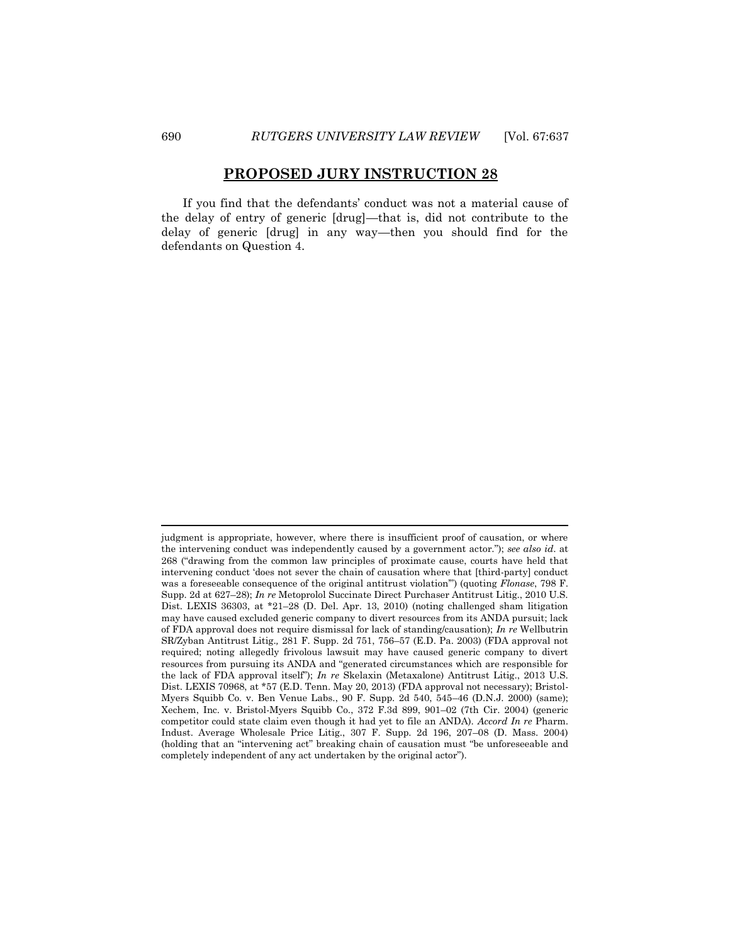If you find that the defendants' conduct was not a material cause of the delay of entry of generic [drug]—that is, did not contribute to the delay of generic [drug] in any way—then you should find for the defendants on Question 4.

 $\overline{\phantom{a}}$ 

judgment is appropriate, however, where there is insufficient proof of causation, or where the intervening conduct was independently caused by a government actor."); *see also id*. at 268 ("drawing from the common law principles of proximate cause, courts have held that intervening conduct 'does not sever the chain of causation where that [third-party] conduct was a foreseeable consequence of the original antitrust violation'") (quoting *Flonase*, 798 F. Supp. 2d at 627–28); *In re* Metoprolol Succinate Direct Purchaser Antitrust Litig., 2010 U.S. Dist. LEXIS 36303, at \*21–28 (D. Del. Apr. 13, 2010) (noting challenged sham litigation may have caused excluded generic company to divert resources from its ANDA pursuit; lack of FDA approval does not require dismissal for lack of standing/causation); *In re* Wellbutrin SR/Zyban Antitrust Litig.*,* 281 F. Supp. 2d 751, 756–57 (E.D. Pa. 2003) (FDA approval not required; noting allegedly frivolous lawsuit may have caused generic company to divert resources from pursuing its ANDA and "generated circumstances which are responsible for the lack of FDA approval itself"); *In re* Skelaxin (Metaxalone) Antitrust Litig., 2013 U.S. Dist. LEXIS 70968, at \*57 (E.D. Tenn. May 20, 2013) (FDA approval not necessary); Bristol-Myers Squibb Co. v. Ben Venue Labs., 90 F. Supp. 2d 540, 545–46 (D.N.J. 2000) (same); Xechem, Inc. v. Bristol-Myers Squibb Co., 372 F.3d 899, 901–02 (7th Cir. 2004) (generic competitor could state claim even though it had yet to file an ANDA). *Accord In re* Pharm. Indust. Average Wholesale Price Litig., 307 F. Supp. 2d 196, 207–08 (D. Mass. 2004) (holding that an "intervening act" breaking chain of causation must "be unforeseeable and completely independent of any act undertaken by the original actor").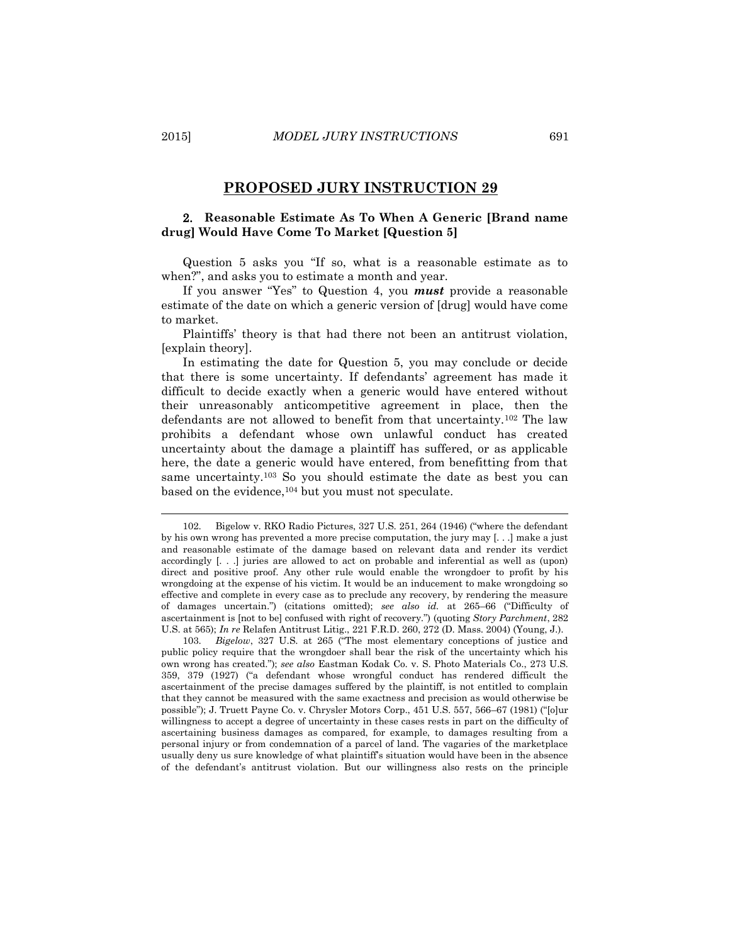# <span id="page-54-0"></span>2. **Reasonable Estimate As To When A Generic [Brand name drug] Would Have Come To Market [Question 5]**

Question 5 asks you "If so, what is a reasonable estimate as to when?", and asks you to estimate a month and year.

If you answer "Yes" to Question 4, you *must* provide a reasonable estimate of the date on which a generic version of [drug] would have come to market.

Plaintiffs' theory is that had there not been an antitrust violation, [explain theory].

In estimating the date for Question 5, you may conclude or decide that there is some uncertainty. If defendants' agreement has made it difficult to decide exactly when a generic would have entered without their unreasonably anticompetitive agreement in place, then the defendants are not allowed to benefit from that uncertainty.<sup>102</sup> The law prohibits a defendant whose own unlawful conduct has created uncertainty about the damage a plaintiff has suffered, or as applicable here, the date a generic would have entered, from benefitting from that same uncertainty.<sup>103</sup> So you should estimate the date as best you can based on the evidence,<sup>104</sup> but you must not speculate.

103. *Bigelow*, 327 U.S. at 265 ("The most elementary conceptions of justice and public policy require that the wrongdoer shall bear the risk of the uncertainty which his own wrong has created."); *see also* Eastman Kodak Co. v. S. Photo Materials Co., 273 U.S. 359, 379 (1927) ("a defendant whose wrongful conduct has rendered difficult the ascertainment of the precise damages suffered by the plaintiff, is not entitled to complain that they cannot be measured with the same exactness and precision as would otherwise be possible"); J. Truett Payne Co. v. Chrysler Motors Corp., 451 U.S. 557, 566–67 (1981) ("[o]ur willingness to accept a degree of uncertainty in these cases rests in part on the difficulty of ascertaining business damages as compared, for example, to damages resulting from a personal injury or from condemnation of a parcel of land. The vagaries of the marketplace usually deny us sure knowledge of what plaintiff's situation would have been in the absence of the defendant's antitrust violation. But our willingness also rests on the principle

<sup>102.</sup> Bigelow v. RKO Radio Pictures, 327 U.S. 251, 264 (1946) ("where the defendant by his own wrong has prevented a more precise computation, the jury may [. . .] make a just and reasonable estimate of the damage based on relevant data and render its verdict accordingly [. . .] juries are allowed to act on probable and inferential as well as (upon) direct and positive proof. Any other rule would enable the wrongdoer to profit by his wrongdoing at the expense of his victim. It would be an inducement to make wrongdoing so effective and complete in every case as to preclude any recovery, by rendering the measure of damages uncertain.") (citations omitted); *see also id.* at 265–66 ("Difficulty of ascertainment is [not to be] confused with right of recovery.") (quoting *Story Parchment*, 282 U.S. at 565); *In re* Relafen Antitrust Litig., 221 F.R.D. 260, 272 (D. Mass. 2004) (Young, J.).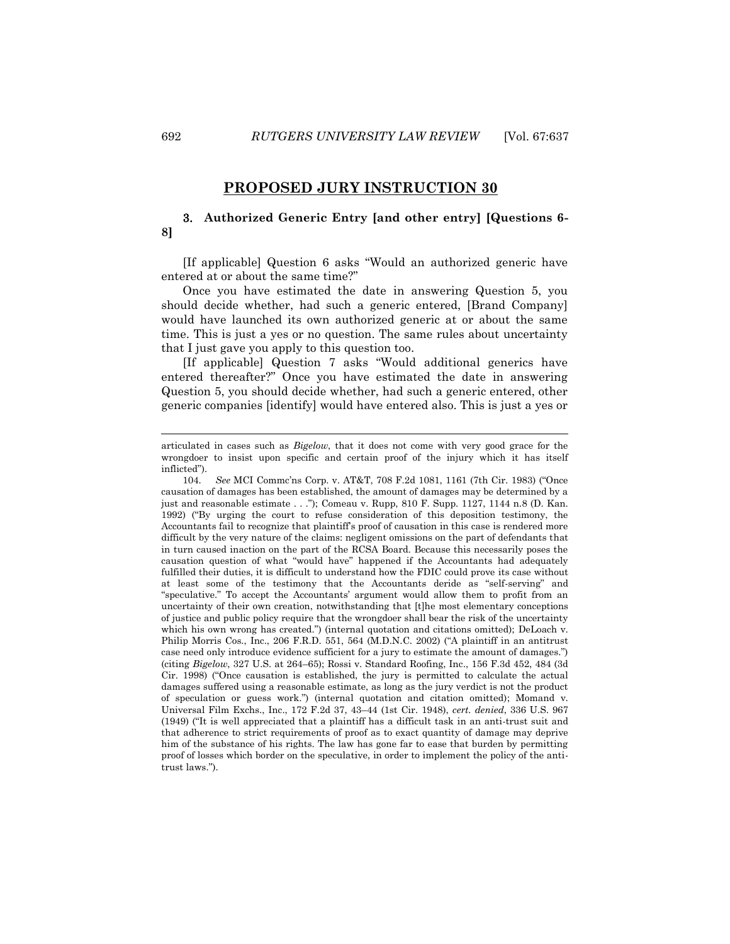# <span id="page-55-0"></span>3. **Authorized Generic Entry [and other entry] [Questions 6- 8]**

[If applicable] Question 6 asks "Would an authorized generic have entered at or about the same time?"

Once you have estimated the date in answering Question 5, you should decide whether, had such a generic entered, [Brand Company] would have launched its own authorized generic at or about the same time. This is just a yes or no question. The same rules about uncertainty that I just gave you apply to this question too.

[If applicable] Question 7 asks "Would additional generics have entered thereafter?" Once you have estimated the date in answering Question 5, you should decide whether, had such a generic entered, other generic companies [identify] would have entered also. This is just a yes or

 $\overline{\phantom{a}}$ 

articulated in cases such as *Bigelow*, that it does not come with very good grace for the wrongdoer to insist upon specific and certain proof of the injury which it has itself inflicted").

<sup>104.</sup> *See* MCI Commc'ns Corp. v. AT&T, 708 F.2d 1081, 1161 (7th Cir. 1983) ("Once causation of damages has been established, the amount of damages may be determined by a just and reasonable estimate . . ."); Comeau v. Rupp, 810 F. Supp. 1127, 1144 n.8 (D. Kan. 1992) ("By urging the court to refuse consideration of this deposition testimony, the Accountants fail to recognize that plaintiff's proof of causation in this case is rendered more difficult by the very nature of the claims: negligent omissions on the part of defendants that in turn caused inaction on the part of the RCSA Board. Because this necessarily poses the causation question of what "would have" happened if the Accountants had adequately fulfilled their duties, it is difficult to understand how the FDIC could prove its case without at least some of the testimony that the Accountants deride as "self-serving" and "speculative." To accept the Accountants' argument would allow them to profit from an uncertainty of their own creation, notwithstanding that [t]he most elementary conceptions of justice and public policy require that the wrongdoer shall bear the risk of the uncertainty which his own wrong has created.") (internal quotation and citations omitted); DeLoach v. Philip Morris Cos., Inc., 206 F.R.D. 551, 564 (M.D.N.C. 2002) ("A plaintiff in an antitrust case need only introduce evidence sufficient for a jury to estimate the amount of damages.") (citing *Bigelow*, 327 U.S. at 264–65); Rossi v. Standard Roofing, Inc., 156 F.3d 452, 484 (3d Cir. 1998) ("Once causation is established, the jury is permitted to calculate the actual damages suffered using a reasonable estimate, as long as the jury verdict is not the product of speculation or guess work.") (internal quotation and citation omitted); Momand v. Universal Film Exchs., Inc., 172 F.2d 37, 43–44 (1st Cir. 1948), *cert. denied*, 336 U.S. 967 (1949) ("It is well appreciated that a plaintiff has a difficult task in an anti-trust suit and that adherence to strict requirements of proof as to exact quantity of damage may deprive him of the substance of his rights. The law has gone far to ease that burden by permitting proof of losses which border on the speculative, in order to implement the policy of the antitrust laws.").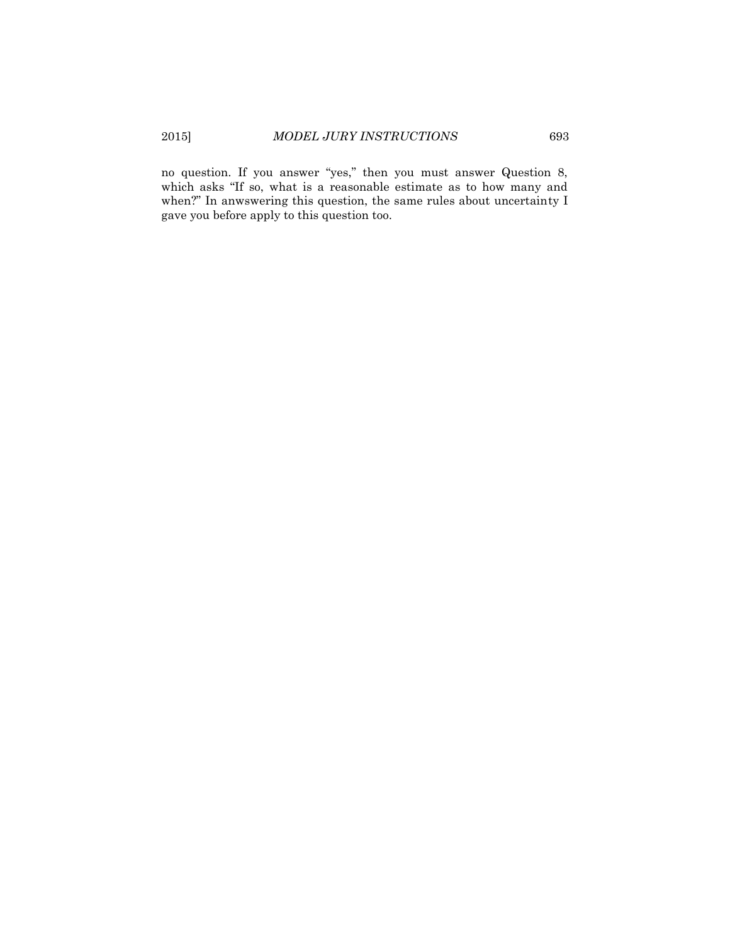no question. If you answer "yes," then you must answer Question 8, which asks "If so, what is a reasonable estimate as to how many and when?" In anwswering this question, the same rules about uncertainty I gave you before apply to this question too.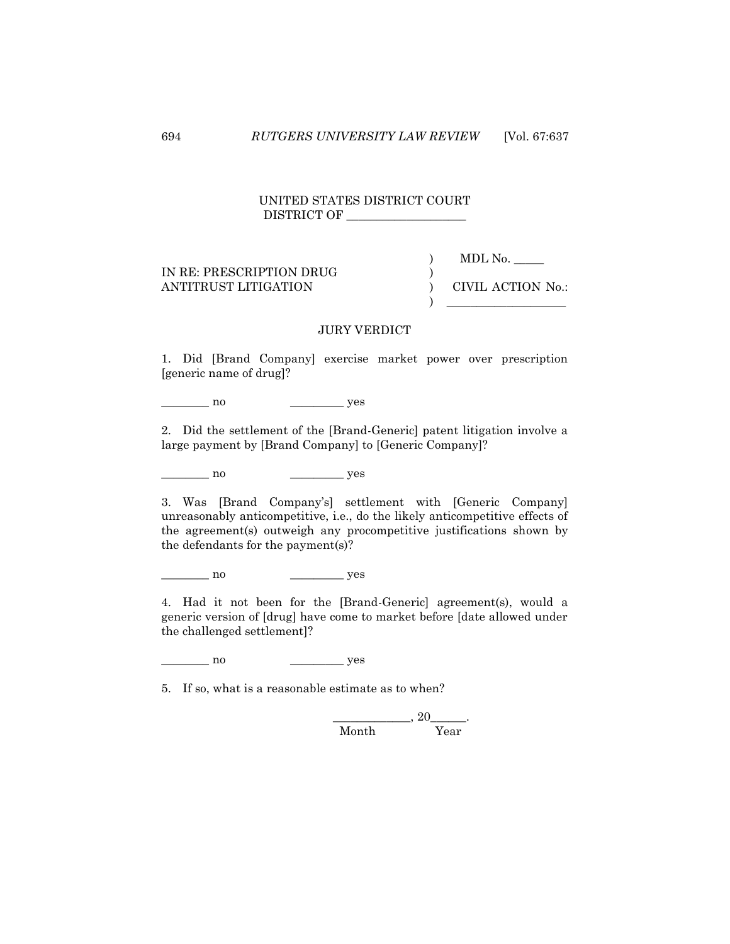# UNITED STATES DISTRICT COURT DISTRICT OF \_\_\_\_\_\_\_\_\_\_\_\_\_\_\_\_\_\_\_\_

|                          | MDL No.           |
|--------------------------|-------------------|
| IN RE: PRESCRIPTION DRUG |                   |
| ANTITRUST LITIGATION     | CIVIL ACTION No.: |
|                          |                   |

#### JURY VERDICT

1. Did [Brand Company] exercise market power over prescription [generic name of drug]?

\_\_\_\_\_\_\_\_ no \_\_\_\_\_\_\_\_\_ yes

2. Did the settlement of the [Brand-Generic] patent litigation involve a large payment by [Brand Company] to [Generic Company]?

\_\_\_\_\_\_\_\_ no \_\_\_\_\_\_\_\_\_ yes

3. Was [Brand Company's] settlement with [Generic Company] unreasonably anticompetitive, i.e., do the likely anticompetitive effects of the agreement(s) outweigh any procompetitive justifications shown by the defendants for the payment(s)?

 $\overline{\phantom{a}}$  no  $\overline{\phantom{a}}$  yes

4. Had it not been for the [Brand-Generic] agreement(s), would a generic version of [drug] have come to market before [date allowed under the challenged settlement]?

\_\_\_\_\_\_\_\_ no \_\_\_\_\_\_\_\_\_ yes

5. If so, what is a reasonable estimate as to when?

$$
\overbrace{\hbox{Month}}, 20 \\ \overline{\hbox{Year}} \\ \cdot
$$